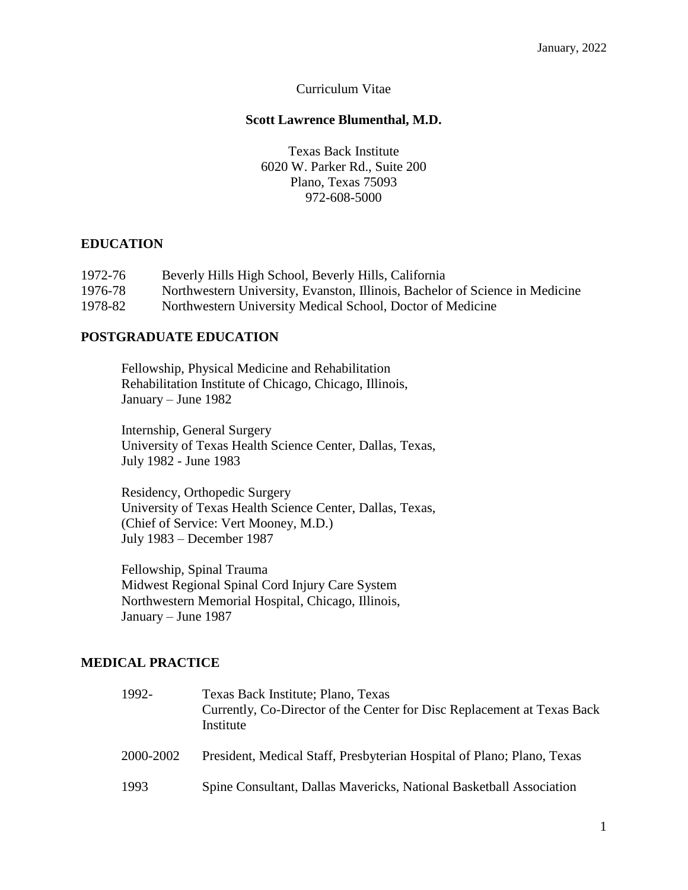#### Curriculum Vitae

#### **Scott Lawrence Blumenthal, M.D.**

Texas Back Institute 6020 W. Parker Rd., Suite 200 Plano, Texas 75093 972-608-5000

#### **EDUCATION**

| 1972-76 | Beverly Hills High School, Beverly Hills, California                         |
|---------|------------------------------------------------------------------------------|
| 1976-78 | Northwestern University, Evanston, Illinois, Bachelor of Science in Medicine |
| 1978-82 | Northwestern University Medical School, Doctor of Medicine                   |

### **POSTGRADUATE EDUCATION**

Fellowship, Physical Medicine and Rehabilitation Rehabilitation Institute of Chicago, Chicago, Illinois, January – June 1982

Internship, General Surgery University of Texas Health Science Center, Dallas, Texas, July 1982 - June 1983

Residency, Orthopedic Surgery University of Texas Health Science Center, Dallas, Texas, (Chief of Service: Vert Mooney, M.D.) July 1983 – December 1987

Fellowship, Spinal Trauma Midwest Regional Spinal Cord Injury Care System Northwestern Memorial Hospital, Chicago, Illinois, January – June 1987

### **MEDICAL PRACTICE**

| 1992-     | Texas Back Institute; Plano, Texas<br>Currently, Co-Director of the Center for Disc Replacement at Texas Back<br>Institute |
|-----------|----------------------------------------------------------------------------------------------------------------------------|
| 2000-2002 | President, Medical Staff, Presbyterian Hospital of Plano; Plano, Texas                                                     |
| 1993      | Spine Consultant, Dallas Mavericks, National Basketball Association                                                        |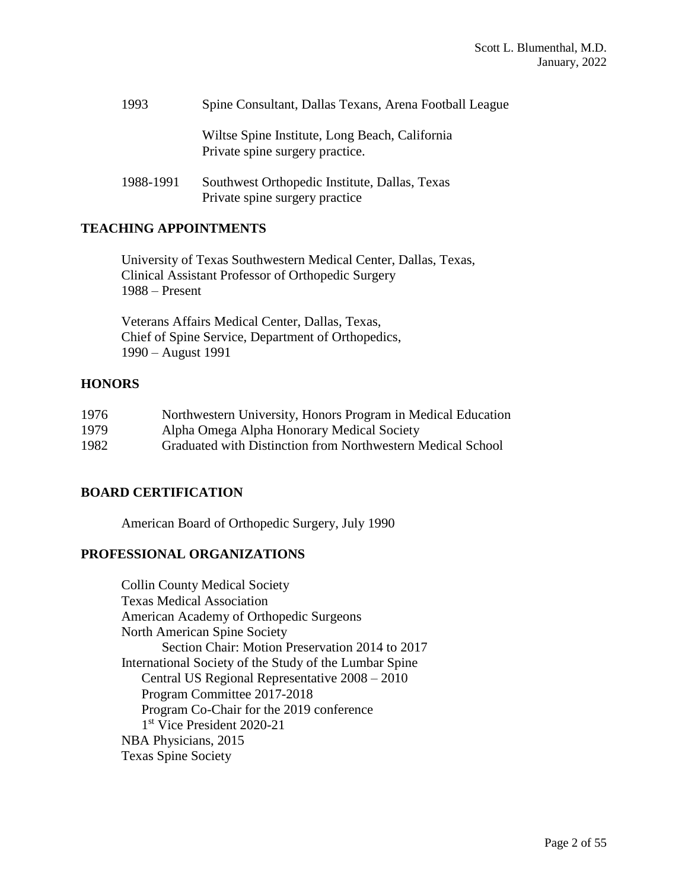| 1993      | Spine Consultant, Dallas Texans, Arena Football League                            |
|-----------|-----------------------------------------------------------------------------------|
|           | Wiltse Spine Institute, Long Beach, California<br>Private spine surgery practice. |
| 1988-1991 | Southwest Orthopedic Institute, Dallas, Texas<br>Private spine surgery practice   |

### **TEACHING APPOINTMENTS**

 University of Texas Southwestern Medical Center, Dallas, Texas, Clinical Assistant Professor of Orthopedic Surgery 1988 – Present

 Veterans Affairs Medical Center, Dallas, Texas, Chief of Spine Service, Department of Orthopedics, 1990 – August 1991

### **HONORS**

| 1976 | Northwestern University, Honors Program in Medical Education |
|------|--------------------------------------------------------------|
| 1979 | Alpha Omega Alpha Honorary Medical Society                   |
| 1982 | Graduated with Distinction from Northwestern Medical School  |

# **BOARD CERTIFICATION**

American Board of Orthopedic Surgery, July 1990

### **PROFESSIONAL ORGANIZATIONS**

Collin County Medical Society Texas Medical Association American Academy of Orthopedic Surgeons North American Spine Society Section Chair: Motion Preservation 2014 to 2017 International Society of the Study of the Lumbar Spine Central US Regional Representative 2008 – 2010 Program Committee 2017-2018 Program Co-Chair for the 2019 conference 1 st Vice President 2020-21 NBA Physicians, 2015 Texas Spine Society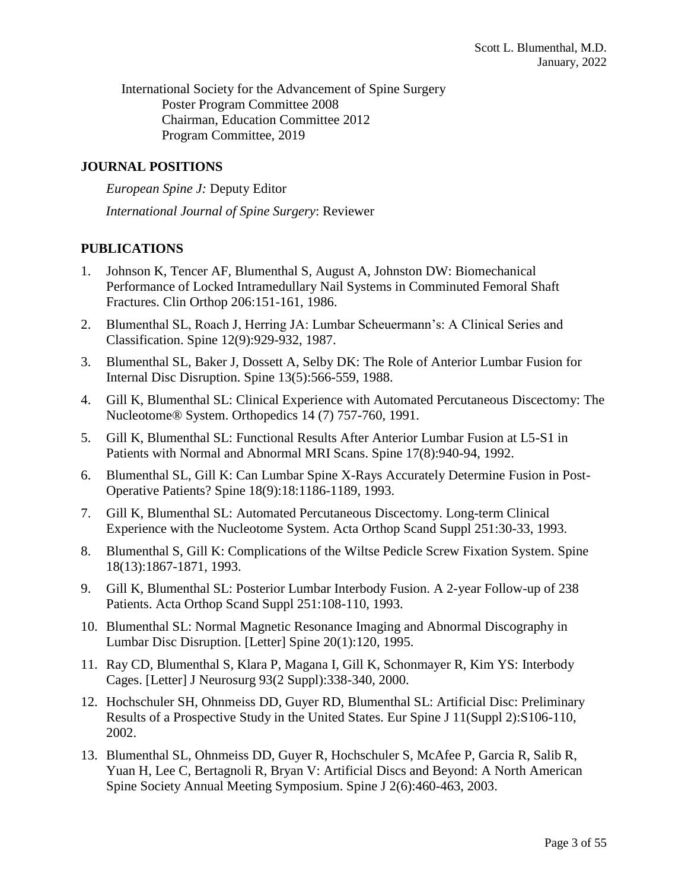International Society for the Advancement of Spine Surgery Poster Program Committee 2008 Chairman, Education Committee 2012 Program Committee, 2019

### **JOURNAL POSITIONS**

*European Spine J:* Deputy Editor *International Journal of Spine Surgery*: Reviewer

# **PUBLICATIONS**

- 1. Johnson K, Tencer AF, Blumenthal S, August A, Johnston DW: Biomechanical Performance of Locked Intramedullary Nail Systems in Comminuted Femoral Shaft Fractures. Clin Orthop 206:151-161, 1986.
- 2. Blumenthal SL, Roach J, Herring JA: Lumbar Scheuermann's: A Clinical Series and Classification. Spine 12(9):929-932, 1987.
- 3. Blumenthal SL, Baker J, Dossett A, Selby DK: The Role of Anterior Lumbar Fusion for Internal Disc Disruption. Spine 13(5):566-559, 1988.
- 4. Gill K, Blumenthal SL: Clinical Experience with Automated Percutaneous Discectomy: The Nucleotome® System. Orthopedics 14 (7) 757-760, 1991.
- 5. Gill K, Blumenthal SL: Functional Results After Anterior Lumbar Fusion at L5-S1 in Patients with Normal and Abnormal MRI Scans. Spine 17(8):940-94, 1992.
- 6. Blumenthal SL, Gill K: Can Lumbar Spine X-Rays Accurately Determine Fusion in Post-Operative Patients? Spine 18(9):18:1186-1189, 1993.
- 7. [Gill K, Blumenthal SL:](http://www.ncbi.nlm.nih.gov/entrez/query.fcgi?cmd=Retrieve&db=PubMed&list_uids=8451980&dopt=Abstract) Automated Percutaneous Discectomy. Long-term Clinical Experience with the Nucleotome System. Acta Orthop Scand Suppl 251:30-33, 1993.
- 8. Blumenthal S, Gill K: Complications of the Wiltse Pedicle Screw Fixation System. Spine 18(13):1867-1871, 1993.
- 9. Gill K, Blumenthal SL: Posterior Lumbar Interbody Fusion. A 2-year Follow-up of 238 Patients. Acta Orthop Scand Suppl 251:108-110, 1993.
- 10. [Blumenthal SL:](http://www.ncbi.nlm.nih.gov/entrez/query.fcgi?cmd=Retrieve&db=PubMed&list_uids=7709273&dopt=Abstract) Normal Magnetic Resonance Imaging and Abnormal Discography in Lumbar Disc Disruption. [Letter] Spine 20(1):120, 1995.
- 11. [Ray CD, Blumenthal S, Klara P, Magana I, Gill K, Schonmayer R, Kim YS: I](http://www.ncbi.nlm.nih.gov/entrez/query.fcgi?cmd=Retrieve&db=PubMed&list_uids=11012075&dopt=Abstract)nterbody Cages. [Letter] J Neurosurg 93(2 Suppl):338-340, 2000.
- 12. Hochschuler SH, Ohnmeiss DD, Guyer RD, Blumenthal SL: Artificial Disc: Preliminary Results of a Prospective Study in the United States. Eur Spine J 11(Suppl 2):S106-110, 2002.
- 13. Blumenthal SL, Ohnmeiss DD, Guyer R, Hochschuler S, McAfee P, Garcia R, Salib R, Yuan H, Lee C, Bertagnoli R, Bryan V: Artificial Discs and Beyond: A North American Spine Society Annual Meeting Symposium. Spine J 2(6):460-463, 2003.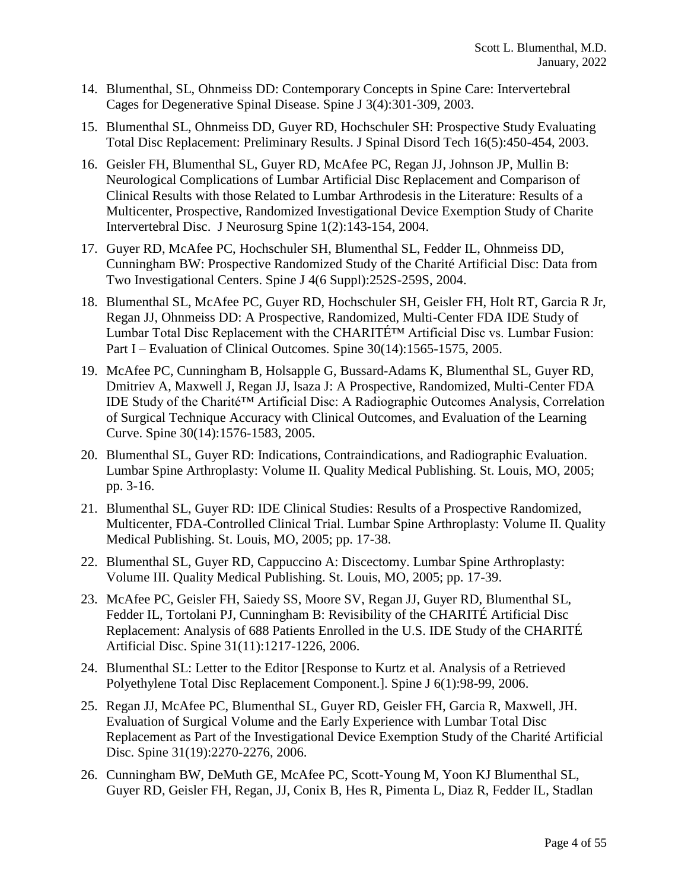- 14. Blumenthal, SL, Ohnmeiss DD: Contemporary Concepts in Spine Care: Intervertebral Cages for Degenerative Spinal Disease. Spine J 3(4):301-309, 2003.
- 15. Blumenthal SL, Ohnmeiss DD, Guyer RD, Hochschuler SH: Prospective Study Evaluating Total Disc Replacement: Preliminary Results. J Spinal Disord Tech 16(5):450-454, 2003.
- 16. Geisler FH, Blumenthal SL, Guyer RD, McAfee PC, Regan JJ, Johnson JP, Mullin B: Neurological Complications of Lumbar Artificial Disc Replacement and Comparison of Clinical Results with those Related to Lumbar Arthrodesis in the Literature: Results of a Multicenter, Prospective, Randomized Investigational Device Exemption Study of Charite Intervertebral Disc. J Neurosurg Spine 1(2):143-154, 2004.
- 17. Guyer RD, McAfee PC, Hochschuler SH, Blumenthal SL, Fedder IL, Ohnmeiss DD, Cunningham BW: Prospective Randomized Study of the Charité Artificial Disc: Data from Two Investigational Centers. Spine J 4(6 Suppl):252S-259S, 2004.
- 18. Blumenthal SL, McAfee PC, Guyer RD, Hochschuler SH, Geisler FH, Holt RT, Garcia R Jr, Regan JJ, Ohnmeiss DD: A Prospective, Randomized, Multi-Center FDA IDE Study of Lumbar Total Disc Replacement with the CHARITÉ™ Artificial Disc vs. Lumbar Fusion: Part I – Evaluation of Clinical Outcomes. Spine 30(14):1565-1575, 2005.
- 19. McAfee PC, Cunningham B, Holsapple G, Bussard-Adams K, Blumenthal SL, Guyer RD, Dmitriev A, Maxwell J, Regan JJ, Isaza J: A Prospective, Randomized, Multi-Center FDA IDE Study of the Charité™ Artificial Disc: A Radiographic Outcomes Analysis, Correlation of Surgical Technique Accuracy with Clinical Outcomes, and Evaluation of the Learning Curve. Spine 30(14):1576-1583, 2005.
- 20. Blumenthal SL, Guyer RD: Indications, Contraindications, and Radiographic Evaluation. Lumbar Spine Arthroplasty: Volume II. Quality Medical Publishing. St. Louis, MO, 2005; pp. 3-16.
- 21. Blumenthal SL, Guyer RD: IDE Clinical Studies: Results of a Prospective Randomized, Multicenter, FDA-Controlled Clinical Trial. Lumbar Spine Arthroplasty: Volume II. Quality Medical Publishing. St. Louis, MO, 2005; pp. 17-38.
- 22. Blumenthal SL, Guyer RD, Cappuccino A: Discectomy. Lumbar Spine Arthroplasty: Volume III. Quality Medical Publishing. St. Louis, MO, 2005; pp. 17-39.
- 23. McAfee PC, Geisler FH, Saiedy SS, Moore SV, Regan JJ, Guyer RD, Blumenthal SL, Fedder IL, Tortolani PJ, Cunningham B: Revisibility of the CHARITÉ Artificial Disc Replacement: Analysis of 688 Patients Enrolled in the U.S. IDE Study of the CHARITÉ Artificial Disc. Spine 31(11):1217-1226, 2006.
- 24. Blumenthal SL: Letter to the Editor [Response to Kurtz et al. Analysis of a Retrieved Polyethylene Total Disc Replacement Component.]. Spine J 6(1):98-99, 2006.
- 25. Regan JJ, McAfee PC, Blumenthal SL, Guyer RD, Geisler FH, Garcia R, Maxwell, JH. Evaluation of Surgical Volume and the Early Experience with Lumbar Total Disc Replacement as Part of the Investigational Device Exemption Study of the Charité Artificial Disc. Spine 31(19):2270-2276, 2006.
- 26. Cunningham BW, DeMuth GE, McAfee PC, Scott-Young M, Yoon KJ Blumenthal SL, Guyer RD, Geisler FH, Regan, JJ, Conix B, Hes R, Pimenta L, Diaz R, Fedder IL, Stadlan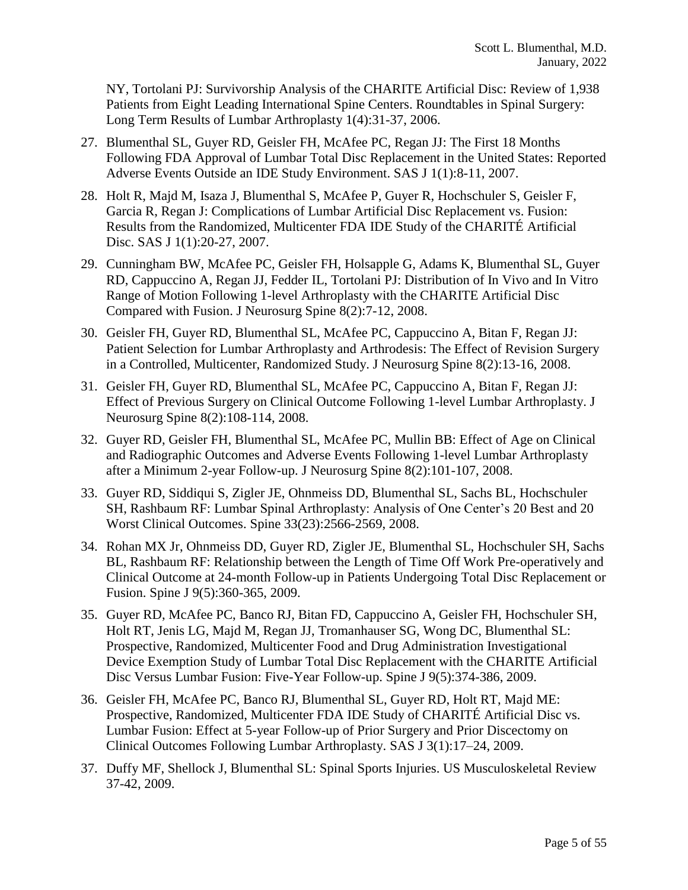NY, Tortolani PJ: Survivorship Analysis of the CHARITE Artificial Disc: Review of 1,938 Patients from Eight Leading International Spine Centers. Roundtables in Spinal Surgery: Long Term Results of Lumbar Arthroplasty 1(4):31-37, 2006.

- 27. Blumenthal SL, Guyer RD, Geisler FH, McAfee PC, Regan JJ: The First 18 Months Following FDA Approval of Lumbar Total Disc Replacement in the United States: Reported Adverse Events Outside an IDE Study Environment. SAS J 1(1):8-11, 2007.
- 28. Holt R, Majd M, Isaza J, Blumenthal S, McAfee P, Guyer R, Hochschuler S, Geisler F, Garcia R, Regan J: Complications of Lumbar Artificial Disc Replacement vs. Fusion: Results from the Randomized, Multicenter FDA IDE Study of the CHARITÉ Artificial Disc. SAS J 1(1):20-27, 2007.
- 29. Cunningham BW, McAfee PC, Geisler FH, Holsapple G, Adams K, Blumenthal SL, Guyer RD, Cappuccino A, Regan JJ, Fedder IL, Tortolani PJ: Distribution of In Vivo and In Vitro Range of Motion Following 1-level Arthroplasty with the CHARITE Artificial Disc Compared with Fusion. J Neurosurg Spine 8(2):7-12, 2008.
- 30. Geisler FH, Guyer RD, Blumenthal SL, McAfee PC, Cappuccino A, Bitan F, Regan JJ: Patient Selection for Lumbar Arthroplasty and Arthrodesis: The Effect of Revision Surgery in a Controlled, Multicenter, Randomized Study. J Neurosurg Spine 8(2):13-16, 2008.
- 31. Geisler FH, Guyer RD, Blumenthal SL, McAfee PC, Cappuccino A, Bitan F, Regan JJ: Effect of Previous Surgery on Clinical Outcome Following 1-level Lumbar Arthroplasty. J Neurosurg Spine 8(2):108-114, 2008.
- 32. Guyer RD, Geisler FH, Blumenthal SL, McAfee PC, Mullin BB: Effect of Age on Clinical and Radiographic Outcomes and Adverse Events Following 1-level Lumbar Arthroplasty after a Minimum 2-year Follow-up. J Neurosurg Spine 8(2):101-107, 2008.
- 33. Guyer RD, Siddiqui S, Zigler JE, Ohnmeiss DD, Blumenthal SL, Sachs BL, Hochschuler SH, Rashbaum RF: Lumbar Spinal Arthroplasty: Analysis of One Center's 20 Best and 20 Worst Clinical Outcomes. Spine 33(23):2566-2569, 2008.
- 34. Rohan MX Jr, Ohnmeiss DD, Guyer RD, Zigler JE, Blumenthal SL, Hochschuler SH, Sachs BL, Rashbaum RF: Relationship between the Length of Time Off Work Pre-operatively and Clinical Outcome at 24-month Follow-up in Patients Undergoing Total Disc Replacement or Fusion. Spine J 9(5):360-365, 2009.
- 35. Guyer RD, McAfee PC, Banco RJ, Bitan FD, Cappuccino A, Geisler FH, Hochschuler SH, Holt RT, Jenis LG, Majd M, Regan JJ, Tromanhauser SG, Wong DC, Blumenthal SL: Prospective, Randomized, Multicenter Food and Drug Administration Investigational Device Exemption Study of Lumbar Total Disc Replacement with the CHARITE Artificial Disc Versus Lumbar Fusion: Five-Year Follow-up. Spine J 9(5):374-386, 2009.
- 36. Geisler FH, McAfee PC, Banco RJ, Blumenthal SL, Guyer RD, Holt RT, Majd ME: Prospective, Randomized, Multicenter FDA IDE Study of CHARITÉ Artificial Disc vs. Lumbar Fusion: Effect at 5-year Follow-up of Prior Surgery and Prior Discectomy on Clinical Outcomes Following Lumbar Arthroplasty. SAS J 3(1):17–24, 2009.
- 37. Duffy MF, Shellock J, Blumenthal SL: Spinal Sports Injuries. US Musculoskeletal Review 37-42, 2009.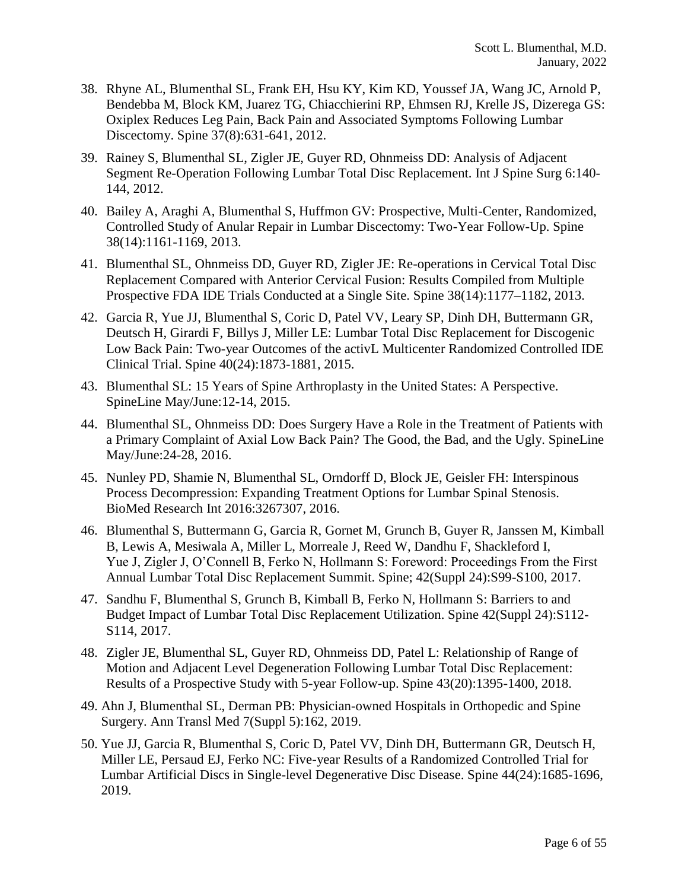- 38. Rhyne AL, Blumenthal SL, Frank EH, Hsu KY, Kim KD, Youssef JA, Wang JC, Arnold P, Bendebba M, Block KM, Juarez TG, Chiacchierini RP, Ehmsen RJ, Krelle JS, Dizerega GS: Oxiplex Reduces Leg Pain, Back Pain and Associated Symptoms Following Lumbar Discectomy. Spine 37(8):631-641, 2012.
- 39. Rainey S, Blumenthal SL, Zigler JE, Guyer RD, Ohnmeiss DD: Analysis of Adjacent Segment Re-Operation Following Lumbar Total Disc Replacement. Int J Spine Surg 6:140- 144, 2012.
- 40. Bailey A, Araghi A, Blumenthal S, Huffmon GV: Prospective, Multi-Center, Randomized, Controlled Study of Anular Repair in Lumbar Discectomy: Two-Year Follow-Up. Spine 38(14):1161-1169, 2013.
- 41. Blumenthal SL, Ohnmeiss DD, Guyer RD, Zigler JE: Re-operations in Cervical Total Disc Replacement Compared with Anterior Cervical Fusion: Results Compiled from Multiple Prospective FDA IDE Trials Conducted at a Single Site. Spine 38(14):1177–1182, 2013.
- 42. Garcia R, Yue JJ, Blumenthal S, Coric D, Patel VV, Leary SP, Dinh DH, Buttermann GR, Deutsch H, Girardi F, Billys J, Miller LE: Lumbar Total Disc Replacement for Discogenic Low Back Pain: Two-year Outcomes of the activL Multicenter Randomized Controlled IDE Clinical Trial. Spine 40(24):1873-1881, 2015.
- 43. Blumenthal SL: 15 Years of Spine Arthroplasty in the United States: A Perspective. SpineLine May/June:12-14, 2015.
- 44. Blumenthal SL, Ohnmeiss DD: Does Surgery Have a Role in the Treatment of Patients with a Primary Complaint of Axial Low Back Pain? The Good, the Bad, and the Ugly. SpineLine May/June:24-28, 2016.
- 45. Nunley PD, Shamie N, Blumenthal SL, Orndorff D, Block JE, Geisler FH: Interspinous Process Decompression: Expanding Treatment Options for Lumbar Spinal Stenosis. BioMed Research Int 2016:3267307, 2016.
- 46. Blumenthal S, Buttermann G, Garcia R, Gornet M, Grunch B, Guyer R, Janssen M, Kimball B, Lewis A, Mesiwala A, Miller L, Morreale J, Reed W, Dandhu F, Shackleford I, Yue J, Zigler J, O'Connell B, Ferko N, Hollmann S: Foreword: Proceedings From the First Annual Lumbar Total Disc Replacement Summit. Spine; 42(Suppl 24):S99-S100, 2017.
- 47. Sandhu F, Blumenthal S, Grunch B, Kimball B, Ferko N, Hollmann S: Barriers to and Budget Impact of Lumbar Total Disc Replacement Utilization. Spine 42(Suppl 24):S112- S114, 2017.
- 48. Zigler JE, Blumenthal SL, Guyer RD, Ohnmeiss DD, Patel L: Relationship of Range of Motion and Adjacent Level Degeneration Following Lumbar Total Disc Replacement: Results of a Prospective Study with 5-year Follow-up. Spine 43(20):1395-1400, 2018.
- 49. Ahn J, Blumenthal SL, Derman PB: Physician-owned Hospitals in Orthopedic and Spine Surgery. Ann Transl Med 7(Suppl 5):162, 2019.
- 50. Yue JJ, Garcia R, Blumenthal S, Coric D, Patel VV, Dinh DH, Buttermann GR, Deutsch H, Miller LE, Persaud EJ, Ferko NC: Five-year Results of a Randomized Controlled Trial for Lumbar Artificial Discs in Single-level Degenerative Disc Disease. Spine 44(24):1685-1696, 2019.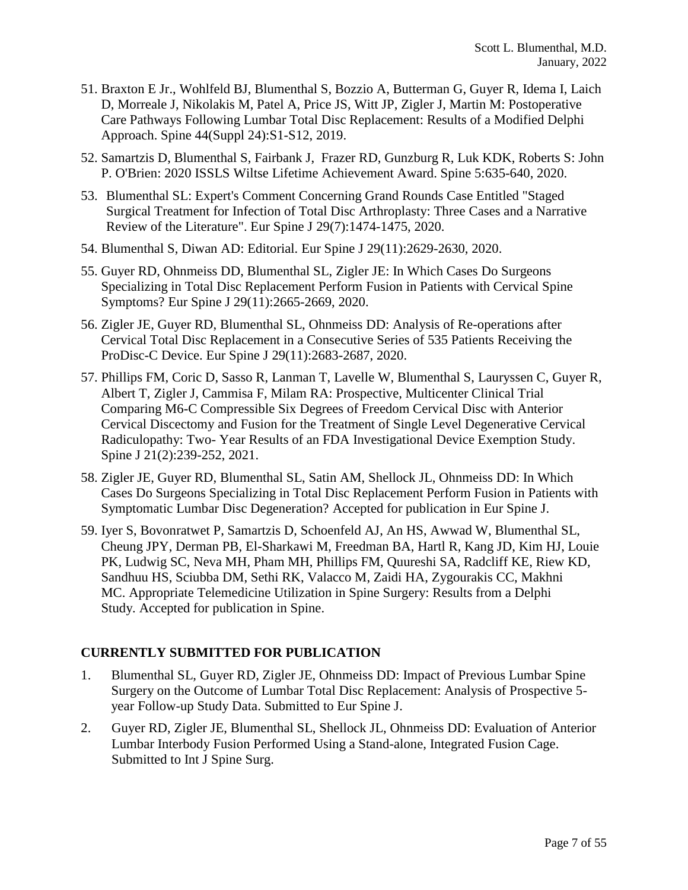- 51. Braxton E Jr., Wohlfeld BJ, Blumenthal S, Bozzio A, Butterman G, Guyer R, Idema I, Laich D, Morreale J, Nikolakis M, Patel A, Price JS, Witt JP, Zigler J, Martin M: Postoperative Care Pathways Following Lumbar Total Disc Replacement: Results of a Modified Delphi Approach. Spine 44(Suppl 24):S1-S12, 2019.
- 52. Samartzis D, Blumenthal S, Fairbank J, Frazer RD, Gunzburg R, Luk KDK, Roberts S: John P. O'Brien: 2020 ISSLS Wiltse Lifetime Achievement Award. Spine 5:635-640, 2020.
- 53. Blumenthal SL: Expert's Comment Concerning Grand Rounds Case Entitled "Staged Surgical Treatment for Infection of Total Disc Arthroplasty: Three Cases and a Narrative Review of the Literature". Eur Spine J 29(7):1474-1475, 2020.
- 54. Blumenthal S, Diwan AD: Editorial. Eur Spine J 29(11):2629-2630, 2020.
- 55. Guyer RD, Ohnmeiss DD, Blumenthal SL, Zigler JE: In Which Cases Do Surgeons Specializing in Total Disc Replacement Perform Fusion in Patients with Cervical Spine Symptoms? Eur Spine J 29(11):2665-2669, 2020.
- 56. Zigler JE, Guyer RD, Blumenthal SL, Ohnmeiss DD: Analysis of Re-operations after Cervical Total Disc Replacement in a Consecutive Series of 535 Patients Receiving the ProDisc-C Device. Eur Spine J 29(11):2683-2687, 2020.
- 57. Phillips FM, Coric D, Sasso R, Lanman T, Lavelle W, Blumenthal S, Lauryssen C, Guyer R, Albert T, Zigler J, Cammisa F, Milam RA: Prospective, Multicenter Clinical Trial Comparing M6-C Compressible Six Degrees of Freedom Cervical Disc with Anterior Cervical Discectomy and Fusion for the Treatment of Single Level Degenerative Cervical Radiculopathy: Two- Year Results of an FDA Investigational Device Exemption Study. Spine J 21(2):239-252, 2021.
- 58. Zigler JE, Guyer RD, Blumenthal SL, Satin AM, Shellock JL, Ohnmeiss DD: In Which Cases Do Surgeons Specializing in Total Disc Replacement Perform Fusion in Patients with Symptomatic Lumbar Disc Degeneration? Accepted for publication in Eur Spine J.
- 59. Iyer S, Bovonratwet P, Samartzis D, Schoenfeld AJ, An HS, Awwad W, Blumenthal SL, Cheung JPY, Derman PB, El-Sharkawi M, Freedman BA, Hartl R, Kang JD, Kim HJ, Louie PK, Ludwig SC, Neva MH, Pham MH, Phillips FM, Quureshi SA, Radcliff KE, Riew KD, Sandhuu HS, Sciubba DM, Sethi RK, Valacco M, Zaidi HA, Zygourakis CC, Makhni MC. Appropriate Telemedicine Utilization in Spine Surgery: Results from a Delphi Study. Accepted for publication in Spine.

### **CURRENTLY SUBMITTED FOR PUBLICATION**

- 1. Blumenthal SL, Guyer RD, Zigler JE, Ohnmeiss DD: Impact of Previous Lumbar Spine Surgery on the Outcome of Lumbar Total Disc Replacement: Analysis of Prospective 5 year Follow-up Study Data. Submitted to Eur Spine J.
- 2. Guyer RD, Zigler JE, Blumenthal SL, Shellock JL, Ohnmeiss DD: Evaluation of Anterior Lumbar Interbody Fusion Performed Using a Stand-alone, Integrated Fusion Cage. Submitted to Int J Spine Surg.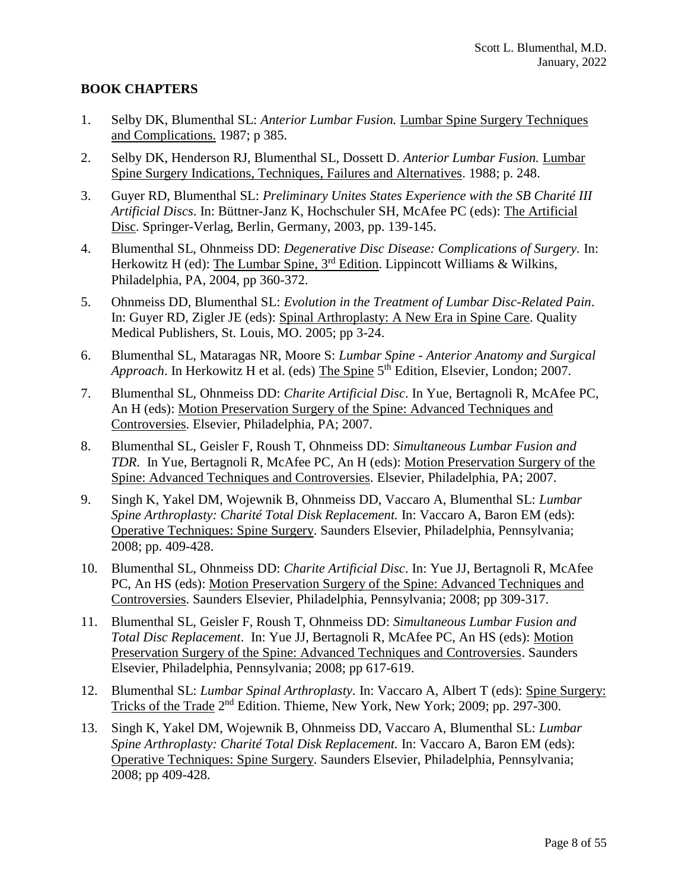# **BOOK CHAPTERS**

- 1. Selby DK, Blumenthal SL: *Anterior Lumbar Fusion.* Lumbar Spine Surgery Techniques and Complications. 1987; p 385.
- 2. Selby DK, Henderson RJ, Blumenthal SL, Dossett D. *Anterior Lumbar Fusion.* Lumbar Spine Surgery Indications, Techniques, Failures and Alternatives. 1988; p. 248.
- 3. Guyer RD, Blumenthal SL: *Preliminary Unites States Experience with the SB Charité III Artificial Discs*. In: Büttner-Janz K, Hochschuler SH, McAfee PC (eds): The Artificial Disc. Springer-Verlag, Berlin, Germany, 2003, pp. 139-145.
- 4. Blumenthal SL, Ohnmeiss DD: *Degenerative Disc Disease: Complications of Surgery.* In: Herkowitz H (ed): The Lumbar Spine, 3<sup>rd</sup> Edition. Lippincott Williams & Wilkins, Philadelphia, PA, 2004, pp 360-372.
- 5. Ohnmeiss DD, Blumenthal SL: *Evolution in the Treatment of Lumbar Disc-Related Pain*. In: Guyer RD, Zigler JE (eds): Spinal Arthroplasty: A New Era in Spine Care. Quality Medical Publishers, St. Louis, MO. 2005; pp 3-24.
- 6. Blumenthal SL, Mataragas NR, Moore S: *Lumbar Spine - Anterior Anatomy and Surgical*  Approach. In Herkowitz H et al. (eds) The Spine 5<sup>th</sup> Edition, Elsevier, London; 2007.
- 7. Blumenthal SL, Ohnmeiss DD: *Charite Artificial Disc*. In Yue, Bertagnoli R, McAfee PC, An H (eds): Motion Preservation Surgery of the Spine: Advanced Techniques and Controversies. Elsevier, Philadelphia, PA; 2007.
- 8. Blumenthal SL, Geisler F, Roush T, Ohnmeiss DD: *Simultaneous Lumbar Fusion and TDR*. In Yue, Bertagnoli R, McAfee PC, An H (eds): Motion Preservation Surgery of the Spine: Advanced Techniques and Controversies. Elsevier, Philadelphia, PA; 2007.
- 9. Singh K, Yakel DM, Wojewnik B, Ohnmeiss DD, Vaccaro A, Blumenthal SL: *Lumbar Spine Arthroplasty: Charité Total Disk Replacement.* In: Vaccaro A, Baron EM (eds): Operative Techniques: Spine Surgery. Saunders Elsevier, Philadelphia, Pennsylvania; 2008; pp. 409-428.
- 10. Blumenthal SL, Ohnmeiss DD: *Charite Artificial Disc*. In: Yue JJ, Bertagnoli R, McAfee PC, An HS (eds): Motion Preservation Surgery of the Spine: Advanced Techniques and Controversies. Saunders Elsevier, Philadelphia, Pennsylvania; 2008; pp 309-317.
- 11. Blumenthal SL, Geisler F, Roush T, Ohnmeiss DD: *Simultaneous Lumbar Fusion and Total Disc Replacement*. In: Yue JJ, Bertagnoli R, McAfee PC, An HS (eds): Motion Preservation Surgery of the Spine: Advanced Techniques and Controversies. Saunders Elsevier, Philadelphia, Pennsylvania; 2008; pp 617-619.
- 12. Blumenthal SL: *Lumbar Spinal Arthroplasty.* In: Vaccaro A, Albert T (eds): Spine Surgery: Tricks of the Trade 2<sup>nd</sup> Edition. Thieme, New York, New York; 2009; pp. 297-300.
- 13. Singh K, Yakel DM, Wojewnik B, Ohnmeiss DD, Vaccaro A, Blumenthal SL: *Lumbar Spine Arthroplasty: Charité Total Disk Replacement.* In: Vaccaro A, Baron EM (eds): Operative Techniques: Spine Surgery. Saunders Elsevier, Philadelphia, Pennsylvania; 2008; pp 409-428.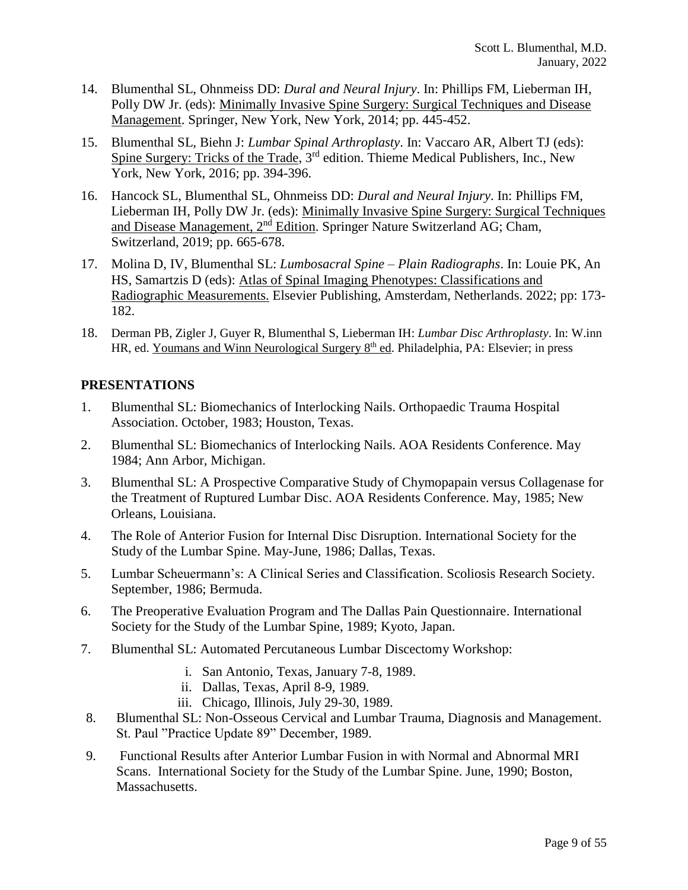- 14. Blumenthal SL, Ohnmeiss DD: *Dural and Neural Injury*. In: Phillips FM, Lieberman IH, Polly DW Jr. (eds): Minimally Invasive Spine Surgery: Surgical Techniques and Disease Management. Springer, New York, New York, 2014; pp. 445-452.
- 15. Blumenthal SL, Biehn J: *Lumbar Spinal Arthroplasty*. In: Vaccaro AR, Albert TJ (eds): Spine Surgery: Tricks of the Trade, 3<sup>rd</sup> edition. Thieme Medical Publishers, Inc., New York, New York, 2016; pp. 394-396.
- 16. Hancock SL, Blumenthal SL, Ohnmeiss DD: *Dural and Neural Injury*. In: Phillips FM, Lieberman IH, Polly DW Jr. (eds): Minimally Invasive Spine Surgery: Surgical Techniques and Disease Management, 2nd Edition. Springer Nature Switzerland AG; Cham, Switzerland, 2019; pp. 665-678.
- 17. Molina D, IV, Blumenthal SL: *Lumbosacral Spine – Plain Radiographs*. In: Louie PK, An HS, Samartzis D (eds): Atlas of Spinal Imaging Phenotypes: Classifications and Radiographic Measurements. Elsevier Publishing, Amsterdam, Netherlands. 2022; pp: 173- 182.
- 18. Derman PB, Zigler J, Guyer R, Blumenthal S, Lieberman IH: *Lumbar Disc Arthroplasty*. In: W.inn HR, ed. Youmans and Winn Neurological Surgery 8<sup>th</sup> ed. Philadelphia, PA: Elsevier; in press

# **PRESENTATIONS**

- 1. Blumenthal SL: Biomechanics of Interlocking Nails. Orthopaedic Trauma Hospital Association. October, 1983; Houston, Texas.
- 2. Blumenthal SL: Biomechanics of Interlocking Nails. AOA Residents Conference. May 1984; Ann Arbor, Michigan.
- 3. Blumenthal SL: A Prospective Comparative Study of Chymopapain versus Collagenase for the Treatment of Ruptured Lumbar Disc. AOA Residents Conference. May, 1985; New Orleans, Louisiana.
- 4. The Role of Anterior Fusion for Internal Disc Disruption. International Society for the Study of the Lumbar Spine. May-June, 1986; Dallas, Texas.
- 5. Lumbar Scheuermann's: A Clinical Series and Classification. Scoliosis Research Society. September, 1986; Bermuda.
- 6. The Preoperative Evaluation Program and The Dallas Pain Questionnaire. International Society for the Study of the Lumbar Spine, 1989; Kyoto, Japan.
- 7. Blumenthal SL: Automated Percutaneous Lumbar Discectomy Workshop:
	- i. San Antonio, Texas, January 7-8, 1989.
	- ii. Dallas, Texas, April 8-9, 1989.
	- iii. Chicago, Illinois, July 29-30, 1989.
- 8. Blumenthal SL: Non-Osseous Cervical and Lumbar Trauma, Diagnosis and Management. St. Paul "Practice Update 89" December, 1989.
- 9. Functional Results after Anterior Lumbar Fusion in with Normal and Abnormal MRI Scans. International Society for the Study of the Lumbar Spine. June, 1990; Boston, Massachusetts.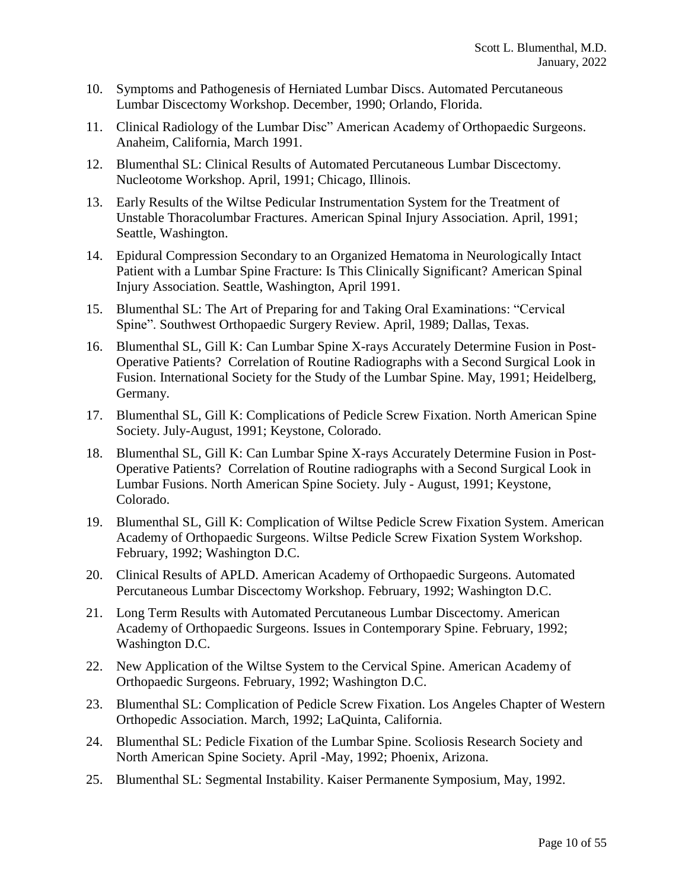- 10. Symptoms and Pathogenesis of Herniated Lumbar Discs. Automated Percutaneous Lumbar Discectomy Workshop. December, 1990; Orlando, Florida.
- 11. Clinical Radiology of the Lumbar Disc" American Academy of Orthopaedic Surgeons. Anaheim, California, March 1991.
- 12. Blumenthal SL: Clinical Results of Automated Percutaneous Lumbar Discectomy. Nucleotome Workshop. April, 1991; Chicago, Illinois.
- 13. Early Results of the Wiltse Pedicular Instrumentation System for the Treatment of Unstable Thoracolumbar Fractures. American Spinal Injury Association. April, 1991; Seattle, Washington.
- 14. Epidural Compression Secondary to an Organized Hematoma in Neurologically Intact Patient with a Lumbar Spine Fracture: Is This Clinically Significant? American Spinal Injury Association. Seattle, Washington, April 1991.
- 15. Blumenthal SL: The Art of Preparing for and Taking Oral Examinations: "Cervical Spine". Southwest Orthopaedic Surgery Review. April, 1989; Dallas, Texas.
- 16. Blumenthal SL, Gill K: Can Lumbar Spine X-rays Accurately Determine Fusion in Post-Operative Patients? Correlation of Routine Radiographs with a Second Surgical Look in Fusion. International Society for the Study of the Lumbar Spine. May, 1991; Heidelberg, Germany.
- 17. Blumenthal SL, Gill K: Complications of Pedicle Screw Fixation. North American Spine Society. July-August, 1991; Keystone, Colorado.
- 18. Blumenthal SL, Gill K: Can Lumbar Spine X-rays Accurately Determine Fusion in Post-Operative Patients? Correlation of Routine radiographs with a Second Surgical Look in Lumbar Fusions. North American Spine Society. July - August, 1991; Keystone, Colorado.
- 19. Blumenthal SL, Gill K: Complication of Wiltse Pedicle Screw Fixation System. American Academy of Orthopaedic Surgeons. Wiltse Pedicle Screw Fixation System Workshop. February, 1992; Washington D.C.
- 20. Clinical Results of APLD. American Academy of Orthopaedic Surgeons. Automated Percutaneous Lumbar Discectomy Workshop. February, 1992; Washington D.C.
- 21. Long Term Results with Automated Percutaneous Lumbar Discectomy. American Academy of Orthopaedic Surgeons. Issues in Contemporary Spine. February, 1992; Washington D.C.
- 22. New Application of the Wiltse System to the Cervical Spine. American Academy of Orthopaedic Surgeons. February, 1992; Washington D.C.
- 23. Blumenthal SL: Complication of Pedicle Screw Fixation. Los Angeles Chapter of Western Orthopedic Association. March, 1992; LaQuinta, California.
- 24. Blumenthal SL: Pedicle Fixation of the Lumbar Spine. Scoliosis Research Society and North American Spine Society. April -May, 1992; Phoenix, Arizona.
- 25. Blumenthal SL: Segmental Instability. Kaiser Permanente Symposium, May, 1992.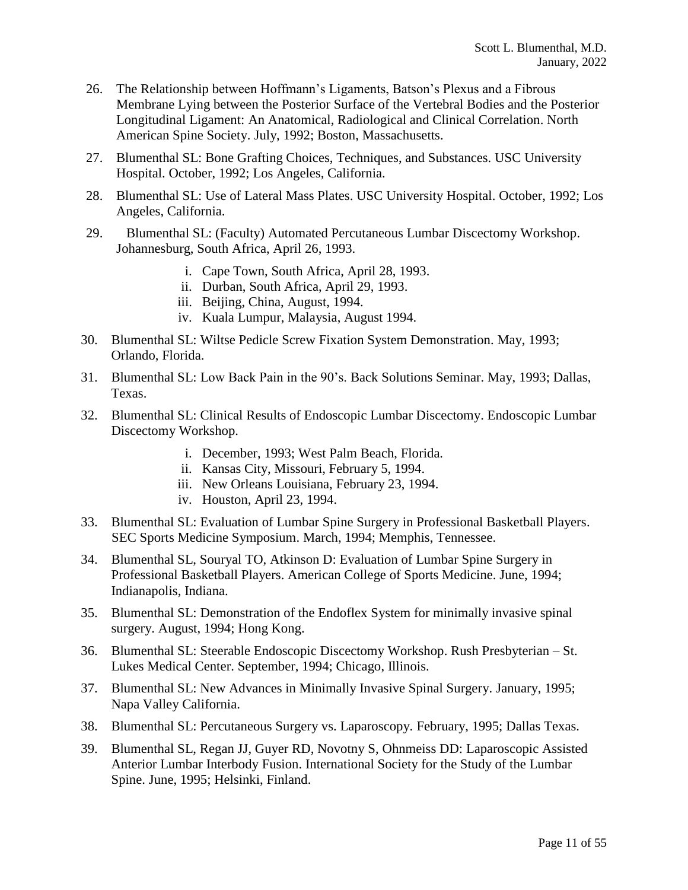- 26. The Relationship between Hoffmann's Ligaments, Batson's Plexus and a Fibrous Membrane Lying between the Posterior Surface of the Vertebral Bodies and the Posterior Longitudinal Ligament: An Anatomical, Radiological and Clinical Correlation. North American Spine Society. July, 1992; Boston, Massachusetts.
- 27. Blumenthal SL: Bone Grafting Choices, Techniques, and Substances. USC University Hospital. October, 1992; Los Angeles, California.
- 28. Blumenthal SL: Use of Lateral Mass Plates. USC University Hospital. October, 1992; Los Angeles, California.
- 29. Blumenthal SL: (Faculty) Automated Percutaneous Lumbar Discectomy Workshop. Johannesburg, South Africa, April 26, 1993.
	- i. Cape Town, South Africa, April 28, 1993.
	- ii. Durban, South Africa, April 29, 1993.
	- iii. Beijing, China, August, 1994.
	- iv. Kuala Lumpur, Malaysia, August 1994.
- 30. Blumenthal SL: Wiltse Pedicle Screw Fixation System Demonstration. May, 1993; Orlando, Florida.
- 31. Blumenthal SL: Low Back Pain in the 90's. Back Solutions Seminar. May, 1993; Dallas, Texas.
- 32. Blumenthal SL: Clinical Results of Endoscopic Lumbar Discectomy. Endoscopic Lumbar Discectomy Workshop.
	- i. December, 1993; West Palm Beach, Florida.
	- ii. Kansas City, Missouri, February 5, 1994.
	- iii. New Orleans Louisiana, February 23, 1994.
	- iv. Houston, April 23, 1994.
- 33. Blumenthal SL: Evaluation of Lumbar Spine Surgery in Professional Basketball Players. SEC Sports Medicine Symposium. March, 1994; Memphis, Tennessee.
- 34. Blumenthal SL, Souryal TO, Atkinson D: Evaluation of Lumbar Spine Surgery in Professional Basketball Players. American College of Sports Medicine. June, 1994; Indianapolis, Indiana.
- 35. Blumenthal SL: Demonstration of the Endoflex System for minimally invasive spinal surgery. August, 1994; Hong Kong.
- 36. Blumenthal SL: Steerable Endoscopic Discectomy Workshop. Rush Presbyterian St. Lukes Medical Center. September, 1994; Chicago, Illinois.
- 37. Blumenthal SL: New Advances in Minimally Invasive Spinal Surgery. January, 1995; Napa Valley California.
- 38. Blumenthal SL: Percutaneous Surgery vs. Laparoscopy. February, 1995; Dallas Texas.
- 39. Blumenthal SL, Regan JJ, Guyer RD, Novotny S, Ohnmeiss DD: Laparoscopic Assisted Anterior Lumbar Interbody Fusion. International Society for the Study of the Lumbar Spine. June, 1995; Helsinki, Finland.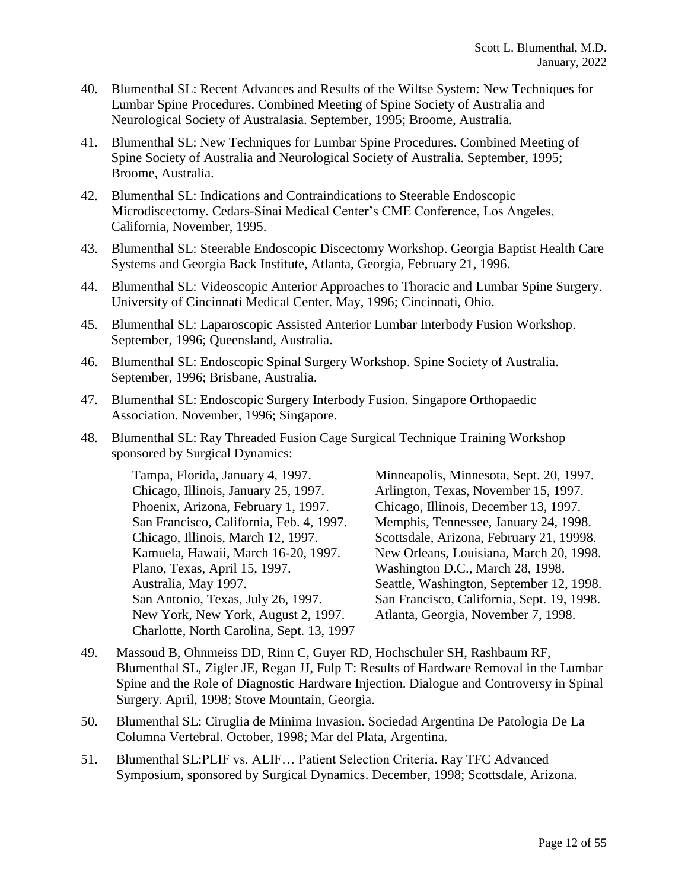- 40. Blumenthal SL: Recent Advances and Results of the Wiltse System: New Techniques for Lumbar Spine Procedures. Combined Meeting of Spine Society of Australia and Neurological Society of Australasia. September, 1995; Broome, Australia.
- 41. Blumenthal SL: New Techniques for Lumbar Spine Procedures. Combined Meeting of Spine Society of Australia and Neurological Society of Australia. September, 1995; Broome, Australia.
- 42. Blumenthal SL: Indications and Contraindications to Steerable Endoscopic Microdiscectomy. Cedars-Sinai Medical Center's CME Conference, Los Angeles, California, November, 1995.
- 43. Blumenthal SL: Steerable Endoscopic Discectomy Workshop. Georgia Baptist Health Care Systems and Georgia Back Institute, Atlanta, Georgia, February 21, 1996.
- 44. Blumenthal SL: Videoscopic Anterior Approaches to Thoracic and Lumbar Spine Surgery. University of Cincinnati Medical Center. May, 1996; Cincinnati, Ohio.
- 45. Blumenthal SL: Laparoscopic Assisted Anterior Lumbar Interbody Fusion Workshop. September, 1996; Queensland, Australia.
- 46. Blumenthal SL: Endoscopic Spinal Surgery Workshop. Spine Society of Australia. September, 1996; Brisbane, Australia.
- 47. Blumenthal SL: Endoscopic Surgery Interbody Fusion. Singapore Orthopaedic Association. November, 1996; Singapore.
- 48. Blumenthal SL: Ray Threaded Fusion Cage Surgical Technique Training Workshop sponsored by Surgical Dynamics:

Tampa, Florida, January 4, 1997. Chicago, Illinois, January 25, 1997. Phoenix, Arizona, February 1, 1997. San Francisco, California, Feb. 4, 1997. Chicago, Illinois, March 12, 1997. Kamuela, Hawaii, March 16-20, 1997. Plano, Texas, April 15, 1997. Australia, May 1997. San Antonio, Texas, July 26, 1997. New York, New York, August 2, 1997. Charlotte, North Carolina, Sept. 13, 1997 Minneapolis, Minnesota, Sept. 20, 1997. Arlington, Texas, November 15, 1997. Chicago, Illinois, December 13, 1997. Memphis, Tennessee, January 24, 1998. Scottsdale, Arizona, February 21, 19998. New Orleans, Louisiana, March 20, 1998. Washington D.C., March 28, 1998. Seattle, Washington, September 12, 1998. San Francisco, California, Sept. 19, 1998. Atlanta, Georgia, November 7, 1998.

- 49. Massoud B, Ohnmeiss DD, Rinn C, Guyer RD, Hochschuler SH, Rashbaum RF, Blumenthal SL, Zigler JE, Regan JJ, Fulp T: Results of Hardware Removal in the Lumbar Spine and the Role of Diagnostic Hardware Injection. Dialogue and Controversy in Spinal Surgery. April, 1998; Stove Mountain, Georgia.
- 50. Blumenthal SL: Ciruglia de Minima Invasion. Sociedad Argentina De Patologia De La Columna Vertebral. October, 1998; Mar del Plata, Argentina.
- 51. Blumenthal SL:PLIF vs. ALIF… Patient Selection Criteria. Ray TFC Advanced Symposium, sponsored by Surgical Dynamics. December, 1998; Scottsdale, Arizona.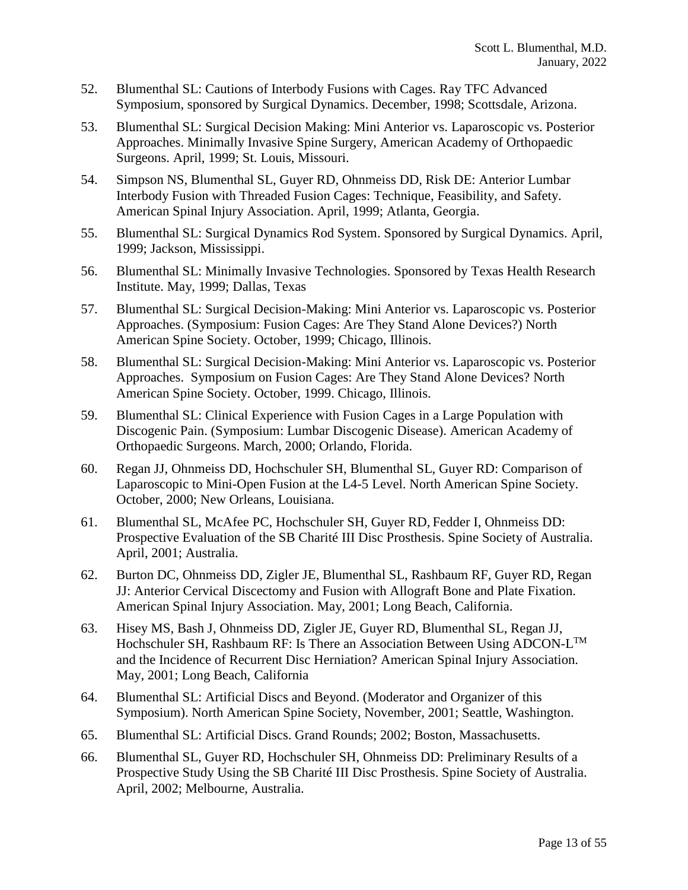- 52. Blumenthal SL: Cautions of Interbody Fusions with Cages. Ray TFC Advanced Symposium, sponsored by Surgical Dynamics. December, 1998; Scottsdale, Arizona.
- 53. Blumenthal SL: Surgical Decision Making: Mini Anterior vs. Laparoscopic vs. Posterior Approaches. Minimally Invasive Spine Surgery, American Academy of Orthopaedic Surgeons. April, 1999; St. Louis, Missouri.
- 54. Simpson NS, Blumenthal SL, Guyer RD, Ohnmeiss DD, Risk DE: Anterior Lumbar Interbody Fusion with Threaded Fusion Cages: Technique, Feasibility, and Safety. American Spinal Injury Association. April, 1999; Atlanta, Georgia.
- 55. Blumenthal SL: Surgical Dynamics Rod System. Sponsored by Surgical Dynamics. April, 1999; Jackson, Mississippi.
- 56. Blumenthal SL: Minimally Invasive Technologies. Sponsored by Texas Health Research Institute. May, 1999; Dallas, Texas
- 57. Blumenthal SL: Surgical Decision-Making: Mini Anterior vs. Laparoscopic vs. Posterior Approaches. (Symposium: Fusion Cages: Are They Stand Alone Devices?) North American Spine Society. October, 1999; Chicago, Illinois.
- 58. Blumenthal SL: Surgical Decision-Making: Mini Anterior vs. Laparoscopic vs. Posterior Approaches. Symposium on Fusion Cages: Are They Stand Alone Devices? North American Spine Society. October, 1999. Chicago, Illinois.
- 59. Blumenthal SL: Clinical Experience with Fusion Cages in a Large Population with Discogenic Pain. (Symposium: Lumbar Discogenic Disease). American Academy of Orthopaedic Surgeons. March, 2000; Orlando, Florida.
- 60. Regan JJ, Ohnmeiss DD, Hochschuler SH, Blumenthal SL, Guyer RD: Comparison of Laparoscopic to Mini-Open Fusion at the L4-5 Level. North American Spine Society. October, 2000; New Orleans, Louisiana.
- 61. Blumenthal SL, McAfee PC, Hochschuler SH, Guyer RD, Fedder I, Ohnmeiss DD: Prospective Evaluation of the SB Charité III Disc Prosthesis. Spine Society of Australia. April, 2001; Australia.
- 62. Burton DC, Ohnmeiss DD, Zigler JE, Blumenthal SL, Rashbaum RF, Guyer RD, Regan JJ: Anterior Cervical Discectomy and Fusion with Allograft Bone and Plate Fixation. American Spinal Injury Association. May, 2001; Long Beach, California.
- 63. Hisey MS, Bash J, Ohnmeiss DD, Zigler JE, Guyer RD, Blumenthal SL, Regan JJ, Hochschuler SH, Rashbaum RF: Is There an Association Between Using ADCON-L<sup>TM</sup> and the Incidence of Recurrent Disc Herniation? American Spinal Injury Association. May, 2001; Long Beach, California
- 64. Blumenthal SL: Artificial Discs and Beyond. (Moderator and Organizer of this Symposium). North American Spine Society, November, 2001; Seattle, Washington.
- 65. Blumenthal SL: Artificial Discs. Grand Rounds; 2002; Boston, Massachusetts.
- 66. Blumenthal SL, Guyer RD, Hochschuler SH, Ohnmeiss DD: Preliminary Results of a Prospective Study Using the SB Charité III Disc Prosthesis. Spine Society of Australia. April, 2002; Melbourne, Australia.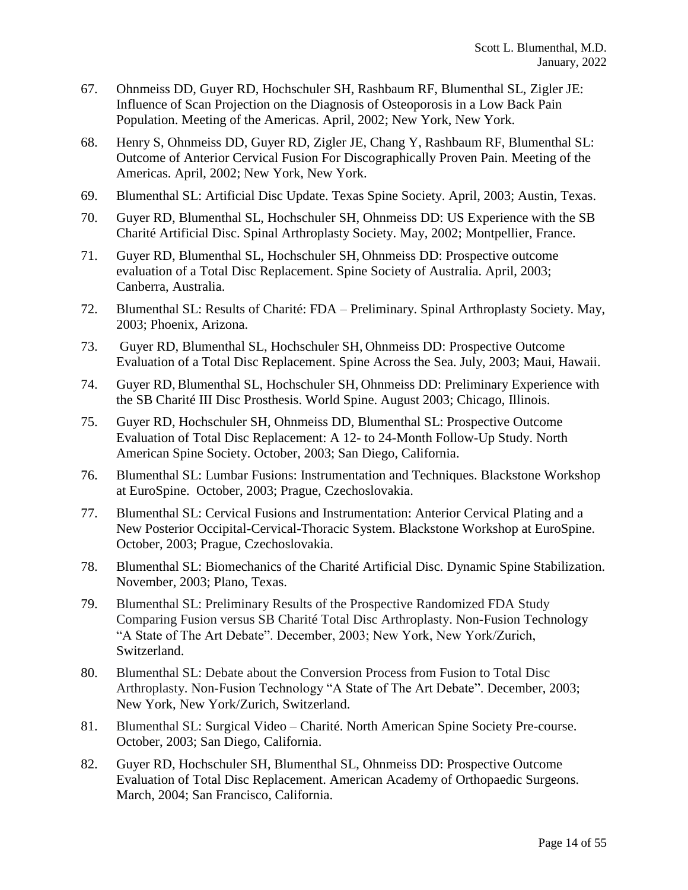- 67. Ohnmeiss DD, Guyer RD, Hochschuler SH, Rashbaum RF, Blumenthal SL, Zigler JE: Influence of Scan Projection on the Diagnosis of Osteoporosis in a Low Back Pain Population. Meeting of the Americas. April, 2002; New York, New York.
- 68. Henry S, Ohnmeiss DD, Guyer RD, Zigler JE, Chang Y, Rashbaum RF, Blumenthal SL: Outcome of Anterior Cervical Fusion For Discographically Proven Pain. Meeting of the Americas. April, 2002; New York, New York.
- 69. Blumenthal SL: Artificial Disc Update. Texas Spine Society. April, 2003; Austin, Texas.
- 70. Guyer RD, Blumenthal SL, Hochschuler SH, Ohnmeiss DD: US Experience with the SB Charité Artificial Disc. Spinal Arthroplasty Society. May, 2002; Montpellier, France.
- 71. Guyer RD, Blumenthal SL, Hochschuler SH, Ohnmeiss DD: Prospective outcome evaluation of a Total Disc Replacement. Spine Society of Australia. April, 2003; Canberra, Australia.
- 72. Blumenthal SL: Results of Charité: FDA Preliminary. Spinal Arthroplasty Society. May, 2003; Phoenix, Arizona.
- 73. Guyer RD, Blumenthal SL, Hochschuler SH, Ohnmeiss DD: Prospective Outcome Evaluation of a Total Disc Replacement. Spine Across the Sea. July, 2003; Maui, Hawaii.
- 74. Guyer RD, Blumenthal SL, Hochschuler SH, Ohnmeiss DD: Preliminary Experience with the SB Charité III Disc Prosthesis. World Spine. August 2003; Chicago, Illinois.
- 75. Guyer RD, Hochschuler SH, Ohnmeiss DD, Blumenthal SL: Prospective Outcome Evaluation of Total Disc Replacement: A 12- to 24-Month Follow-Up Study. North American Spine Society. October, 2003; San Diego, California.
- 76. Blumenthal SL: Lumbar Fusions: Instrumentation and Techniques. Blackstone Workshop at EuroSpine. October, 2003; Prague, Czechoslovakia.
- 77. Blumenthal SL: Cervical Fusions and Instrumentation: Anterior Cervical Plating and a New Posterior Occipital-Cervical-Thoracic System. Blackstone Workshop at EuroSpine. October, 2003; Prague, Czechoslovakia.
- 78. Blumenthal SL: Biomechanics of the Charité Artificial Disc. Dynamic Spine Stabilization. November, 2003; Plano, Texas.
- 79. Blumenthal SL: Preliminary Results of the Prospective Randomized FDA Study Comparing Fusion versus SB Charité Total Disc Arthroplasty. Non-Fusion Technology "A State of The Art Debate". December, 2003; New York, New York/Zurich, Switzerland.
- 80. Blumenthal SL: Debate about the Conversion Process from Fusion to Total Disc Arthroplasty. Non-Fusion Technology "A State of The Art Debate". December, 2003; New York, New York/Zurich, Switzerland.
- 81. Blumenthal SL: Surgical Video Charité. North American Spine Society Pre-course. October, 2003; San Diego, California.
- 82. Guyer RD, Hochschuler SH, Blumenthal SL, Ohnmeiss DD: Prospective Outcome Evaluation of Total Disc Replacement. American Academy of Orthopaedic Surgeons. March, 2004; San Francisco, California.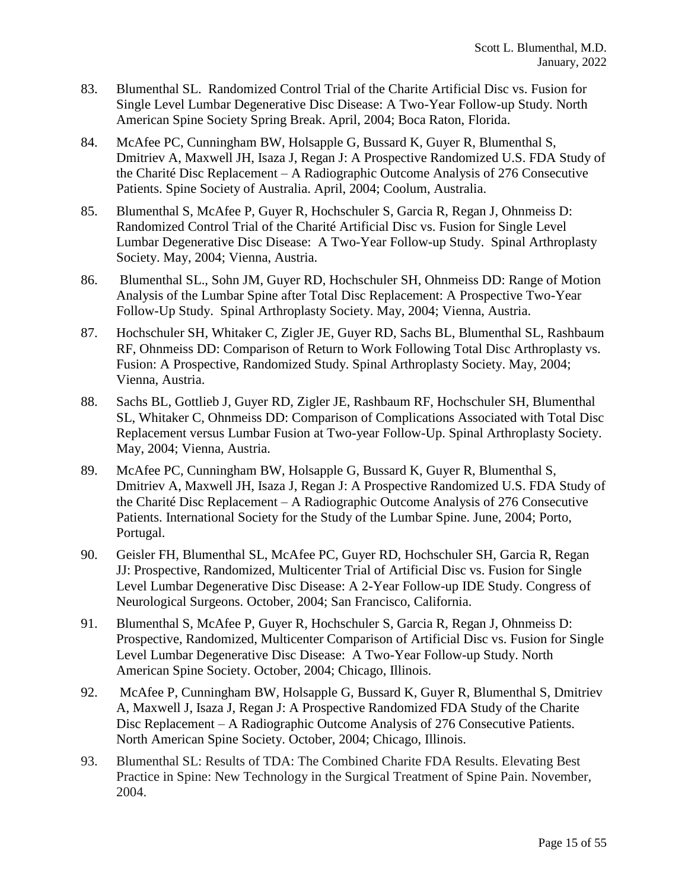- 83. Blumenthal SL. Randomized Control Trial of the Charite Artificial Disc vs. Fusion for Single Level Lumbar Degenerative Disc Disease: A Two-Year Follow-up Study. North American Spine Society Spring Break. April, 2004; Boca Raton, Florida.
- 84. McAfee PC, Cunningham BW, Holsapple G, Bussard K, Guyer R, Blumenthal S, Dmitriev A, Maxwell JH, Isaza J, Regan J: A Prospective Randomized U.S. FDA Study of the Charité Disc Replacement – A Radiographic Outcome Analysis of 276 Consecutive Patients. Spine Society of Australia. April, 2004; Coolum, Australia.
- 85. Blumenthal S, McAfee P, Guyer R, Hochschuler S, Garcia R, Regan J, Ohnmeiss D: Randomized Control Trial of the Charité Artificial Disc vs. Fusion for Single Level Lumbar Degenerative Disc Disease: A Two-Year Follow-up Study. Spinal Arthroplasty Society. May, 2004; Vienna, Austria.
- 86. Blumenthal SL., Sohn JM, Guyer RD, Hochschuler SH, Ohnmeiss DD: Range of Motion Analysis of the Lumbar Spine after Total Disc Replacement: A Prospective Two-Year Follow-Up Study. Spinal Arthroplasty Society. May, 2004; Vienna, Austria.
- 87. Hochschuler SH, Whitaker C, Zigler JE, Guyer RD, Sachs BL, Blumenthal SL, Rashbaum RF, Ohnmeiss DD: Comparison of Return to Work Following Total Disc Arthroplasty vs. Fusion: A Prospective, Randomized Study. Spinal Arthroplasty Society. May, 2004; Vienna, Austria.
- 88. Sachs BL, Gottlieb J, Guyer RD, Zigler JE, Rashbaum RF, Hochschuler SH, Blumenthal SL, Whitaker C, Ohnmeiss DD: Comparison of Complications Associated with Total Disc Replacement versus Lumbar Fusion at Two-year Follow-Up. Spinal Arthroplasty Society. May, 2004; Vienna, Austria.
- 89. McAfee PC, Cunningham BW, Holsapple G, Bussard K, Guyer R, Blumenthal S, Dmitriev A, Maxwell JH, Isaza J, Regan J: A Prospective Randomized U.S. FDA Study of the Charité Disc Replacement – A Radiographic Outcome Analysis of 276 Consecutive Patients. International Society for the Study of the Lumbar Spine. June, 2004; Porto, Portugal.
- 90. Geisler FH, Blumenthal SL, McAfee PC, Guyer RD, Hochschuler SH, Garcia R, Regan JJ: Prospective, Randomized, Multicenter Trial of Artificial Disc vs. Fusion for Single Level Lumbar Degenerative Disc Disease: A 2-Year Follow-up IDE Study. Congress of Neurological Surgeons. October, 2004; San Francisco, California.
- 91. Blumenthal S, McAfee P, Guyer R, Hochschuler S, Garcia R, Regan J, Ohnmeiss D: Prospective, Randomized, Multicenter Comparison of Artificial Disc vs. Fusion for Single Level Lumbar Degenerative Disc Disease: A Two-Year Follow-up Study. North American Spine Society. October, 2004; Chicago, Illinois.
- 92. McAfee P, Cunningham BW, Holsapple G, Bussard K, Guyer R, Blumenthal S, Dmitriev A, Maxwell J, Isaza J, Regan J: A Prospective Randomized FDA Study of the Charite Disc Replacement – A Radiographic Outcome Analysis of 276 Consecutive Patients. North American Spine Society. October, 2004; Chicago, Illinois.
- 93. Blumenthal SL: Results of TDA: The Combined Charite FDA Results. Elevating Best Practice in Spine: New Technology in the Surgical Treatment of Spine Pain. November, 2004.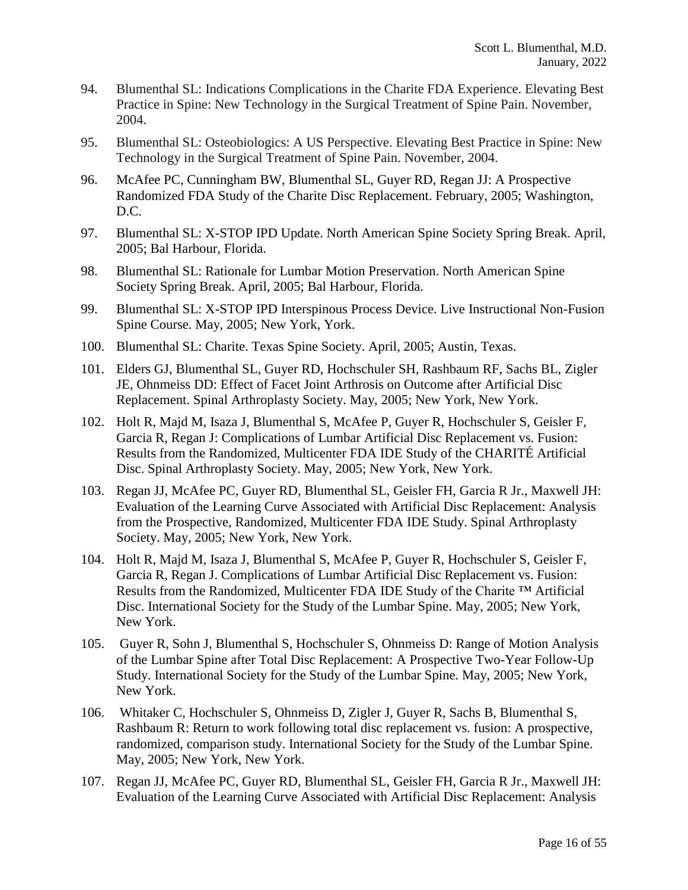- 94. Blumenthal SL: Indications Complications in the Charite FDA Experience. Elevating Best Practice in Spine: New Technology in the Surgical Treatment of Spine Pain. November, 2004.
- 95. Blumenthal SL: Osteobiologics: A US Perspective. Elevating Best Practice in Spine: New Technology in the Surgical Treatment of Spine Pain. November, 2004.
- 96. McAfee PC, Cunningham BW, Blumenthal SL, Guyer RD, Regan JJ: A Prospective Randomized FDA Study of the Charite Disc Replacement. February, 2005; Washington, D.C.
- 97. Blumenthal SL: X-STOP IPD Update. North American Spine Society Spring Break. April, 2005; Bal Harbour, Florida.
- 98. Blumenthal SL: Rationale for Lumbar Motion Preservation. North American Spine Society Spring Break. April, 2005; Bal Harbour, Florida.
- 99. Blumenthal SL: X-STOP IPD Interspinous Process Device. Live Instructional Non-Fusion Spine Course. May, 2005; New York, York.
- 100. Blumenthal SL: Charite. Texas Spine Society. April, 2005; Austin, Texas.
- 101. Elders GJ, Blumenthal SL, Guyer RD, Hochschuler SH, Rashbaum RF, Sachs BL, Zigler JE, Ohnmeiss DD: Effect of Facet Joint Arthrosis on Outcome after Artificial Disc Replacement. Spinal Arthroplasty Society. May, 2005; New York, New York.
- 102. Holt R, Majd M, Isaza J, Blumenthal S, McAfee P, Guyer R, Hochschuler S, Geisler F, Garcia R, Regan J: Complications of Lumbar Artificial Disc Replacement vs. Fusion: Results from the Randomized, Multicenter FDA IDE Study of the CHARITÉ Artificial Disc. Spinal Arthroplasty Society. May, 2005; New York, New York.
- 103. Regan JJ, McAfee PC, Guyer RD, Blumenthal SL, Geisler FH, Garcia R Jr., Maxwell JH: Evaluation of the Learning Curve Associated with Artificial Disc Replacement: Analysis from the Prospective, Randomized, Multicenter FDA IDE Study. Spinal Arthroplasty Society. May, 2005; New York, New York.
- 104. Holt R, Majd M, Isaza J, Blumenthal S, McAfee P, Guyer R, Hochschuler S, Geisler F, Garcia R, Regan J. Complications of Lumbar Artificial Disc Replacement vs. Fusion: Results from the Randomized, Multicenter FDA IDE Study of the Charite ™ Artificial Disc. International Society for the Study of the Lumbar Spine. May, 2005; New York, New York.
- 105. Guyer R, Sohn J, Blumenthal S, Hochschuler S, Ohnmeiss D: Range of Motion Analysis of the Lumbar Spine after Total Disc Replacement: A Prospective Two-Year Follow-Up Study. International Society for the Study of the Lumbar Spine. May, 2005; New York, New York.
- 106. Whitaker C, Hochschuler S, Ohnmeiss D, Zigler J, Guyer R, Sachs B, Blumenthal S, Rashbaum R: Return to work following total disc replacement vs. fusion: A prospective, randomized, comparison study. International Society for the Study of the Lumbar Spine. May, 2005; New York, New York.
- 107. Regan JJ, McAfee PC, Guyer RD, Blumenthal SL, Geisler FH, Garcia R Jr., Maxwell JH: Evaluation of the Learning Curve Associated with Artificial Disc Replacement: Analysis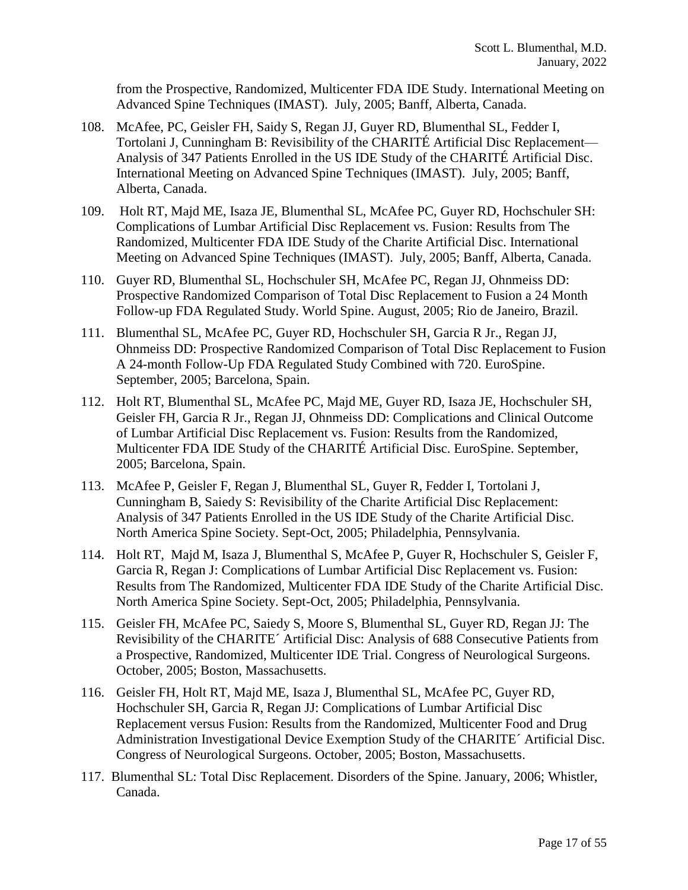from the Prospective, Randomized, Multicenter FDA IDE Study. International Meeting on Advanced Spine Techniques (IMAST). July, 2005; Banff, Alberta, Canada.

- 108. McAfee, PC, Geisler FH, Saidy S, Regan JJ, Guyer RD, Blumenthal SL, Fedder I, Tortolani J, Cunningham B: Revisibility of the CHARITÉ Artificial Disc Replacement— Analysis of 347 Patients Enrolled in the US IDE Study of the CHARITÉ Artificial Disc. International Meeting on Advanced Spine Techniques (IMAST). July, 2005; Banff, Alberta, Canada.
- 109. Holt RT, Majd ME, Isaza JE, Blumenthal SL, McAfee PC, Guyer RD, Hochschuler SH: Complications of Lumbar Artificial Disc Replacement vs. Fusion: Results from The Randomized, Multicenter FDA IDE Study of the Charite Artificial Disc. International Meeting on Advanced Spine Techniques (IMAST). July, 2005; Banff, Alberta, Canada.
- 110. Guyer RD, Blumenthal SL, Hochschuler SH, McAfee PC, Regan JJ, Ohnmeiss DD: Prospective Randomized Comparison of Total Disc Replacement to Fusion a 24 Month Follow-up FDA Regulated Study. World Spine. August, 2005; Rio de Janeiro, Brazil.
- 111. Blumenthal SL, McAfee PC, Guyer RD, Hochschuler SH, Garcia R Jr., Regan JJ, Ohnmeiss DD: Prospective Randomized Comparison of Total Disc Replacement to Fusion A 24-month Follow-Up FDA Regulated Study Combined with 720. EuroSpine. September, 2005; Barcelona, Spain.
- 112. Holt RT, Blumenthal SL, McAfee PC, Majd ME, Guyer RD, Isaza JE, Hochschuler SH, Geisler FH, Garcia R Jr., Regan JJ, Ohnmeiss DD: Complications and Clinical Outcome of Lumbar Artificial Disc Replacement vs. Fusion: Results from the Randomized, Multicenter FDA IDE Study of the CHARITÉ Artificial Disc. EuroSpine. September, 2005; Barcelona, Spain.
- 113. McAfee P, Geisler F, Regan J, Blumenthal SL, Guyer R, Fedder I, Tortolani J, Cunningham B, Saiedy S: Revisibility of the Charite Artificial Disc Replacement: Analysis of 347 Patients Enrolled in the US IDE Study of the Charite Artificial Disc. North America Spine Society. Sept-Oct, 2005; Philadelphia, Pennsylvania.
- 114. Holt RT, Majd M, Isaza J, Blumenthal S, McAfee P, Guyer R, Hochschuler S, Geisler F, Garcia R, Regan J: Complications of Lumbar Artificial Disc Replacement vs. Fusion: Results from The Randomized, Multicenter FDA IDE Study of the Charite Artificial Disc. North America Spine Society. Sept-Oct, 2005; Philadelphia, Pennsylvania.
- 115. Geisler FH, McAfee PC, Saiedy S, Moore S, Blumenthal SL, Guyer RD, Regan JJ: The Revisibility of the CHARITE´ Artificial Disc: Analysis of 688 Consecutive Patients from a Prospective, Randomized, Multicenter IDE Trial. Congress of Neurological Surgeons. October, 2005; Boston, Massachusetts.
- 116. Geisler FH, Holt RT, Majd ME, Isaza J, Blumenthal SL, McAfee PC, Guyer RD, Hochschuler SH, Garcia R, Regan JJ: Complications of Lumbar Artificial Disc Replacement versus Fusion: Results from the Randomized, Multicenter Food and Drug Administration Investigational Device Exemption Study of the CHARITE´ Artificial Disc. Congress of Neurological Surgeons. October, 2005; Boston, Massachusetts.
- 117. Blumenthal SL: Total Disc Replacement. Disorders of the Spine. January, 2006; Whistler, Canada.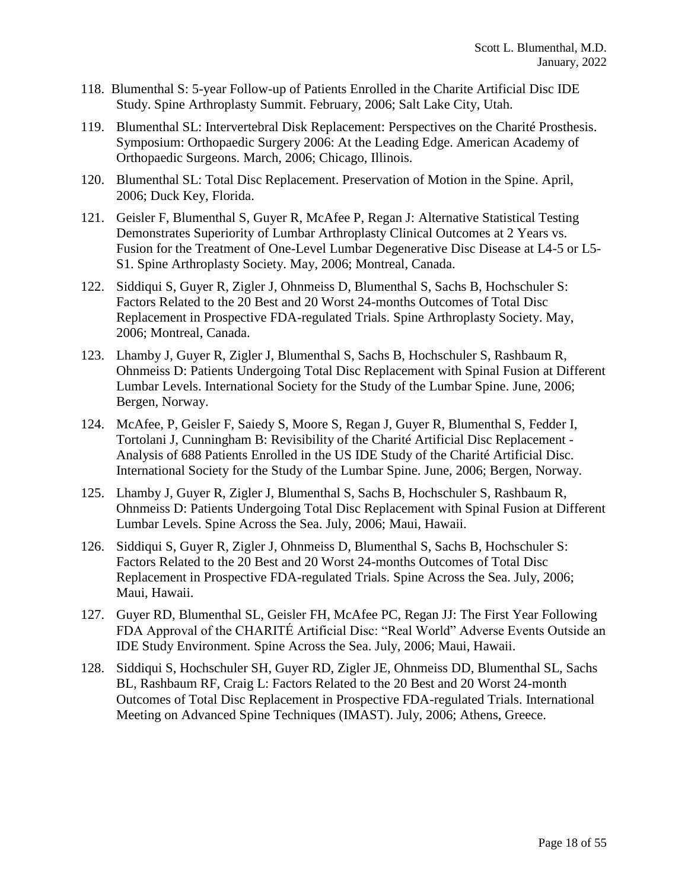- 118. Blumenthal S: 5-year Follow-up of Patients Enrolled in the Charite Artificial Disc IDE Study. Spine Arthroplasty Summit. February, 2006; Salt Lake City, Utah.
- 119. Blumenthal SL: Intervertebral Disk Replacement: Perspectives on the Charité Prosthesis. Symposium: Orthopaedic Surgery 2006: At the Leading Edge. American Academy of Orthopaedic Surgeons. March, 2006; Chicago, Illinois.
- 120. Blumenthal SL: Total Disc Replacement. Preservation of Motion in the Spine. April, 2006; Duck Key, Florida.
- 121. Geisler F, Blumenthal S, Guyer R, McAfee P, Regan J: Alternative Statistical Testing Demonstrates Superiority of Lumbar Arthroplasty Clinical Outcomes at 2 Years vs. Fusion for the Treatment of One-Level Lumbar Degenerative Disc Disease at L4-5 or L5- S1. Spine Arthroplasty Society. May, 2006; Montreal, Canada.
- 122. Siddiqui S, Guyer R, Zigler J, Ohnmeiss D, Blumenthal S, Sachs B, Hochschuler S: Factors Related to the 20 Best and 20 Worst 24-months Outcomes of Total Disc Replacement in Prospective FDA-regulated Trials. Spine Arthroplasty Society. May, 2006; Montreal, Canada.
- 123. Lhamby J, Guyer R, Zigler J, Blumenthal S, Sachs B, Hochschuler S, Rashbaum R, Ohnmeiss D: Patients Undergoing Total Disc Replacement with Spinal Fusion at Different Lumbar Levels. International Society for the Study of the Lumbar Spine. June, 2006; Bergen, Norway.
- 124. McAfee, P, Geisler F, Saiedy S, Moore S, Regan J, Guyer R, Blumenthal S, Fedder I, Tortolani J, Cunningham B: Revisibility of the Charité Artificial Disc Replacement - Analysis of 688 Patients Enrolled in the US IDE Study of the Charité Artificial Disc. International Society for the Study of the Lumbar Spine. June, 2006; Bergen, Norway.
- 125. Lhamby J, Guyer R, Zigler J, Blumenthal S, Sachs B, Hochschuler S, Rashbaum R, Ohnmeiss D: Patients Undergoing Total Disc Replacement with Spinal Fusion at Different Lumbar Levels. Spine Across the Sea. July, 2006; Maui, Hawaii.
- 126. Siddiqui S, Guyer R, Zigler J, Ohnmeiss D, Blumenthal S, Sachs B, Hochschuler S: Factors Related to the 20 Best and 20 Worst 24-months Outcomes of Total Disc Replacement in Prospective FDA-regulated Trials. Spine Across the Sea. July, 2006; Maui, Hawaii.
- 127. Guyer RD, Blumenthal SL, Geisler FH, McAfee PC, Regan JJ: The First Year Following FDA Approval of the CHARITÉ Artificial Disc: "Real World" Adverse Events Outside an IDE Study Environment. Spine Across the Sea. July, 2006; Maui, Hawaii.
- 128. Siddiqui S, Hochschuler SH, Guyer RD, Zigler JE, Ohnmeiss DD, Blumenthal SL, Sachs BL, Rashbaum RF, Craig L: Factors Related to the 20 Best and 20 Worst 24-month Outcomes of Total Disc Replacement in Prospective FDA-regulated Trials. International Meeting on Advanced Spine Techniques (IMAST). July, 2006; Athens, Greece.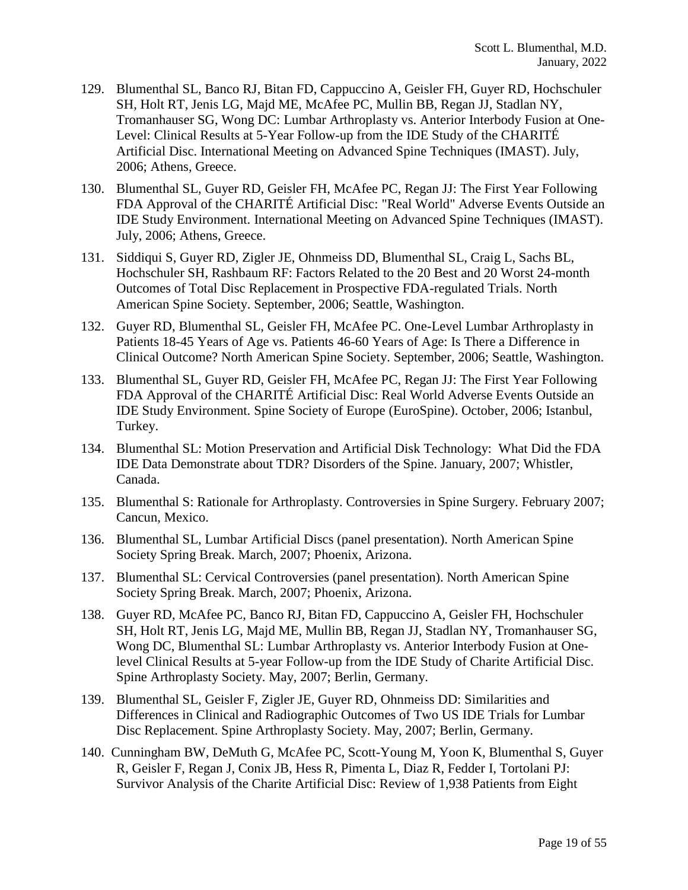- 129. Blumenthal SL, Banco RJ, Bitan FD, Cappuccino A, Geisler FH, Guyer RD, Hochschuler SH, Holt RT, Jenis LG, Majd ME, McAfee PC, Mullin BB, Regan JJ, Stadlan NY, Tromanhauser SG, Wong DC: Lumbar Arthroplasty vs. Anterior Interbody Fusion at One-Level: Clinical Results at 5-Year Follow-up from the IDE Study of the CHARITÉ Artificial Disc. International Meeting on Advanced Spine Techniques (IMAST). July, 2006; Athens, Greece.
- 130. Blumenthal SL, Guyer RD, Geisler FH, McAfee PC, Regan JJ: The First Year Following FDA Approval of the CHARITÉ Artificial Disc: "Real World" Adverse Events Outside an IDE Study Environment. International Meeting on Advanced Spine Techniques (IMAST). July, 2006; Athens, Greece.
- 131. Siddiqui S, Guyer RD, Zigler JE, Ohnmeiss DD, Blumenthal SL, Craig L, Sachs BL, Hochschuler SH, Rashbaum RF: Factors Related to the 20 Best and 20 Worst 24-month Outcomes of Total Disc Replacement in Prospective FDA-regulated Trials. North American Spine Society. September, 2006; Seattle, Washington.
- 132. Guyer RD, Blumenthal SL, Geisler FH, McAfee PC. One-Level Lumbar Arthroplasty in Patients 18-45 Years of Age vs. Patients 46-60 Years of Age: Is There a Difference in Clinical Outcome? North American Spine Society. September, 2006; Seattle, Washington.
- 133. Blumenthal SL, Guyer RD, Geisler FH, McAfee PC, Regan JJ: The First Year Following FDA Approval of the CHARITÉ Artificial Disc: Real World Adverse Events Outside an IDE Study Environment. Spine Society of Europe (EuroSpine). October, 2006; Istanbul, Turkey.
- 134. Blumenthal SL: Motion Preservation and Artificial Disk Technology: What Did the FDA IDE Data Demonstrate about TDR? Disorders of the Spine. January, 2007; Whistler, Canada.
- 135. Blumenthal S: Rationale for Arthroplasty. Controversies in Spine Surgery. February 2007; Cancun, Mexico.
- 136. Blumenthal SL, Lumbar Artificial Discs (panel presentation). North American Spine Society Spring Break. March, 2007; Phoenix, Arizona.
- 137. Blumenthal SL: Cervical Controversies (panel presentation). North American Spine Society Spring Break. March, 2007; Phoenix, Arizona.
- 138. Guyer RD, McAfee PC, Banco RJ, Bitan FD, Cappuccino A, Geisler FH, Hochschuler SH, Holt RT, Jenis LG, Majd ME, Mullin BB, Regan JJ, Stadlan NY, Tromanhauser SG, Wong DC, Blumenthal SL: Lumbar Arthroplasty vs. Anterior Interbody Fusion at Onelevel Clinical Results at 5-year Follow-up from the IDE Study of Charite Artificial Disc. Spine Arthroplasty Society. May, 2007; Berlin, Germany.
- 139. Blumenthal SL, Geisler F, Zigler JE, Guyer RD, Ohnmeiss DD: Similarities and Differences in Clinical and Radiographic Outcomes of Two US IDE Trials for Lumbar Disc Replacement. Spine Arthroplasty Society. May, 2007; Berlin, Germany.
- 140. Cunningham BW, DeMuth G, McAfee PC, Scott-Young M, Yoon K, Blumenthal S, Guyer R, Geisler F, Regan J, Conix JB, Hess R, Pimenta L, Diaz R, Fedder I, Tortolani PJ: Survivor Analysis of the Charite Artificial Disc: Review of 1,938 Patients from Eight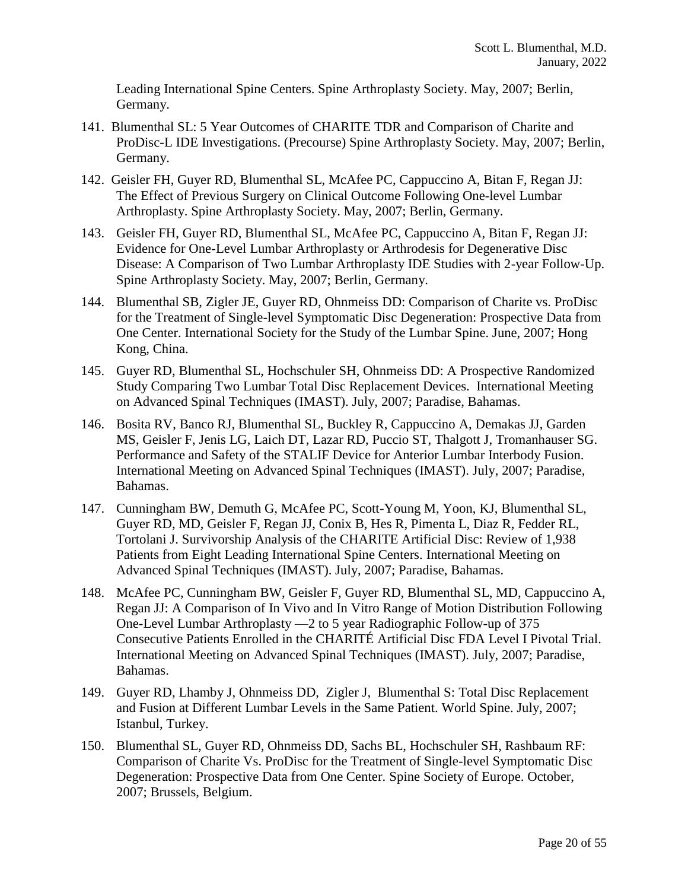Leading International Spine Centers. Spine Arthroplasty Society. May, 2007; Berlin, Germany.

- 141. Blumenthal SL: 5 Year Outcomes of CHARITE TDR and Comparison of Charite and ProDisc-L IDE Investigations. (Precourse) Spine Arthroplasty Society. May, 2007; Berlin, Germany.
- 142. Geisler FH, Guyer RD, Blumenthal SL, McAfee PC, Cappuccino A, Bitan F, Regan JJ: The Effect of Previous Surgery on Clinical Outcome Following One-level Lumbar Arthroplasty. Spine Arthroplasty Society. May, 2007; Berlin, Germany.
- 143. Geisler FH, Guyer RD, Blumenthal SL, McAfee PC, Cappuccino A, Bitan F, Regan JJ: Evidence for One-Level Lumbar Arthroplasty or Arthrodesis for Degenerative Disc Disease: A Comparison of Two Lumbar Arthroplasty IDE Studies with 2-year Follow-Up. Spine Arthroplasty Society. May, 2007; Berlin, Germany.
- 144. Blumenthal SB, Zigler JE, Guyer RD, Ohnmeiss DD: Comparison of Charite vs. ProDisc for the Treatment of Single-level Symptomatic Disc Degeneration: Prospective Data from One Center. International Society for the Study of the Lumbar Spine. June, 2007; Hong Kong, China.
- 145. Guyer RD, Blumenthal SL, Hochschuler SH, Ohnmeiss DD: A Prospective Randomized Study Comparing Two Lumbar Total Disc Replacement Devices. International Meeting on Advanced Spinal Techniques (IMAST). July, 2007; Paradise, Bahamas.
- 146. Bosita RV, Banco RJ, Blumenthal SL, Buckley R, Cappuccino A, Demakas JJ, Garden MS, Geisler F, Jenis LG, Laich DT, Lazar RD, Puccio ST, Thalgott J, Tromanhauser SG. Performance and Safety of the STALIF Device for Anterior Lumbar Interbody Fusion. International Meeting on Advanced Spinal Techniques (IMAST). July, 2007; Paradise, Bahamas.
- 147. Cunningham BW, Demuth G, McAfee PC, Scott-Young M, Yoon, KJ, Blumenthal SL, Guyer RD, MD, Geisler F, Regan JJ, Conix B, Hes R, Pimenta L, Diaz R, Fedder RL, Tortolani J. Survivorship Analysis of the CHARITE Artificial Disc: Review of 1,938 Patients from Eight Leading International Spine Centers. International Meeting on Advanced Spinal Techniques (IMAST). July, 2007; Paradise, Bahamas.
- 148. McAfee PC, Cunningham BW, Geisler F, Guyer RD, Blumenthal SL, MD, Cappuccino A, Regan JJ: A Comparison of In Vivo and In Vitro Range of Motion Distribution Following One-Level Lumbar Arthroplasty —2 to 5 year Radiographic Follow-up of 375 Consecutive Patients Enrolled in the CHARITÉ Artificial Disc FDA Level I Pivotal Trial. International Meeting on Advanced Spinal Techniques (IMAST). July, 2007; Paradise, Bahamas.
- 149. Guyer RD, Lhamby J, Ohnmeiss DD, Zigler J, Blumenthal S: Total Disc Replacement and Fusion at Different Lumbar Levels in the Same Patient. World Spine. July, 2007; Istanbul, Turkey.
- 150. Blumenthal SL, Guyer RD, Ohnmeiss DD, Sachs BL, Hochschuler SH, Rashbaum RF: Comparison of Charite Vs. ProDisc for the Treatment of Single-level Symptomatic Disc Degeneration: Prospective Data from One Center. Spine Society of Europe. October, 2007; Brussels, Belgium.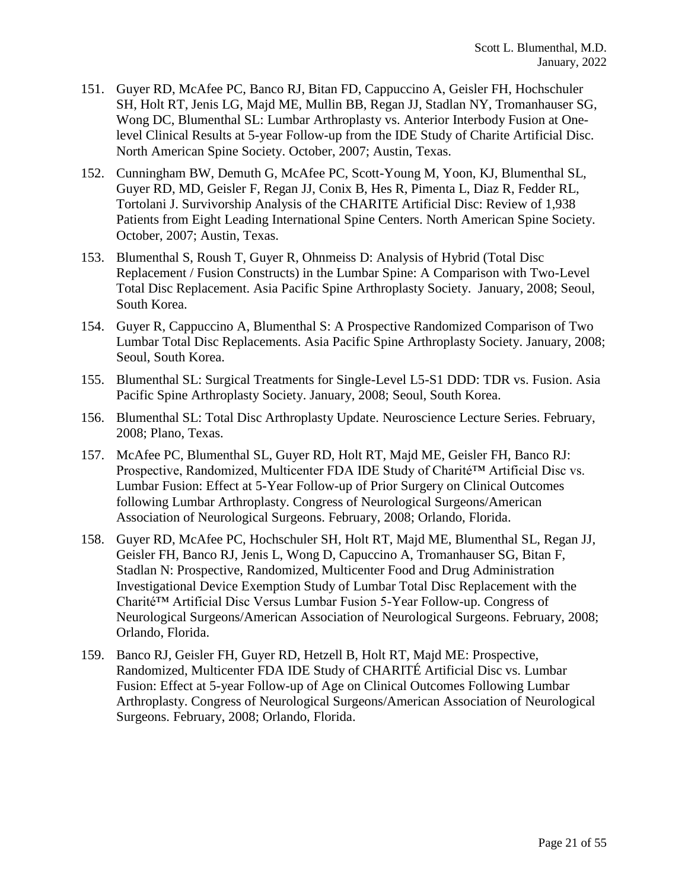- 151. Guyer RD, McAfee PC, Banco RJ, Bitan FD, Cappuccino A, Geisler FH, Hochschuler SH, Holt RT, Jenis LG, Majd ME, Mullin BB, Regan JJ, Stadlan NY, Tromanhauser SG, Wong DC, Blumenthal SL: Lumbar Arthroplasty vs. Anterior Interbody Fusion at Onelevel Clinical Results at 5-year Follow-up from the IDE Study of Charite Artificial Disc. North American Spine Society. October, 2007; Austin, Texas.
- 152. Cunningham BW, Demuth G, McAfee PC, Scott-Young M, Yoon, KJ, Blumenthal SL, Guyer RD, MD, Geisler F, Regan JJ, Conix B, Hes R, Pimenta L, Diaz R, Fedder RL, Tortolani J. Survivorship Analysis of the CHARITE Artificial Disc: Review of 1,938 Patients from Eight Leading International Spine Centers. North American Spine Society. October, 2007; Austin, Texas.
- 153. Blumenthal S, Roush T, Guyer R, Ohnmeiss D: Analysis of Hybrid (Total Disc Replacement / Fusion Constructs) in the Lumbar Spine: A Comparison with Two-Level Total Disc Replacement. Asia Pacific Spine Arthroplasty Society. January, 2008; Seoul, South Korea.
- 154. Guyer R, Cappuccino A, Blumenthal S: A Prospective Randomized Comparison of Two Lumbar Total Disc Replacements. Asia Pacific Spine Arthroplasty Society. January, 2008; Seoul, South Korea.
- 155. Blumenthal SL: Surgical Treatments for Single-Level L5-S1 DDD: TDR vs. Fusion. Asia Pacific Spine Arthroplasty Society. January, 2008; Seoul, South Korea.
- 156. Blumenthal SL: Total Disc Arthroplasty Update. Neuroscience Lecture Series. February, 2008; Plano, Texas.
- 157. McAfee PC, Blumenthal SL, Guyer RD, Holt RT, Majd ME, Geisler FH, Banco RJ: Prospective, Randomized, Multicenter FDA IDE Study of Charité™ Artificial Disc vs. Lumbar Fusion: Effect at 5-Year Follow-up of Prior Surgery on Clinical Outcomes following Lumbar Arthroplasty. Congress of Neurological Surgeons/American Association of Neurological Surgeons. February, 2008; Orlando, Florida.
- 158. Guyer RD, McAfee PC, Hochschuler SH, Holt RT, Majd ME, Blumenthal SL, Regan JJ, Geisler FH, Banco RJ, Jenis L, Wong D, Capuccino A, Tromanhauser SG, Bitan F, Stadlan N: Prospective, Randomized, Multicenter Food and Drug Administration Investigational Device Exemption Study of Lumbar Total Disc Replacement with the Charité™ Artificial Disc Versus Lumbar Fusion 5-Year Follow-up. Congress of Neurological Surgeons/American Association of Neurological Surgeons. February, 2008; Orlando, Florida.
- 159. Banco RJ, Geisler FH, Guyer RD, Hetzell B, Holt RT, Majd ME: Prospective, Randomized, Multicenter FDA IDE Study of CHARITÉ Artificial Disc vs. Lumbar Fusion: Effect at 5-year Follow-up of Age on Clinical Outcomes Following Lumbar Arthroplasty. Congress of Neurological Surgeons/American Association of Neurological Surgeons. February, 2008; Orlando, Florida.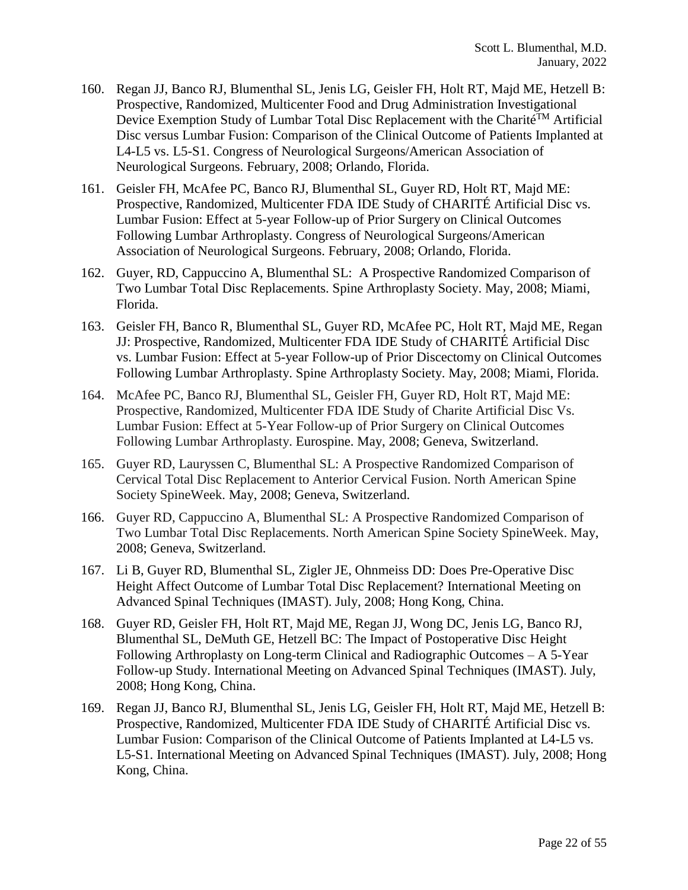- 160. Regan JJ, Banco RJ, Blumenthal SL, Jenis LG, Geisler FH, Holt RT, Majd ME, Hetzell B: Prospective, Randomized, Multicenter Food and Drug Administration Investigational Device Exemption Study of Lumbar Total Disc Replacement with the Charité<sup>TM</sup> Artificial Disc versus Lumbar Fusion: Comparison of the Clinical Outcome of Patients Implanted at L4-L5 vs. L5-S1. Congress of Neurological Surgeons/American Association of Neurological Surgeons. February, 2008; Orlando, Florida.
- 161. Geisler FH, McAfee PC, Banco RJ, Blumenthal SL, Guyer RD, Holt RT, Majd ME: Prospective, Randomized, Multicenter FDA IDE Study of CHARITÉ Artificial Disc vs. Lumbar Fusion: Effect at 5-year Follow-up of Prior Surgery on Clinical Outcomes Following Lumbar Arthroplasty. Congress of Neurological Surgeons/American Association of Neurological Surgeons. February, 2008; Orlando, Florida.
- 162. Guyer, RD, Cappuccino A, Blumenthal SL: A Prospective Randomized Comparison of Two Lumbar Total Disc Replacements. Spine Arthroplasty Society. May, 2008; Miami, Florida.
- 163. Geisler FH, Banco R, Blumenthal SL, Guyer RD, McAfee PC, Holt RT, Majd ME, Regan JJ: Prospective, Randomized, Multicenter FDA IDE Study of CHARITÉ Artificial Disc vs. Lumbar Fusion: Effect at 5-year Follow-up of Prior Discectomy on Clinical Outcomes Following Lumbar Arthroplasty. Spine Arthroplasty Society. May, 2008; Miami, Florida.
- 164. McAfee PC, Banco RJ, Blumenthal SL, Geisler FH, Guyer RD, Holt RT, Majd ME: Prospective, Randomized, Multicenter FDA IDE Study of Charite Artificial Disc Vs. Lumbar Fusion: Effect at 5-Year Follow-up of Prior Surgery on Clinical Outcomes Following Lumbar Arthroplasty. Eurospine. May, 2008; Geneva, Switzerland.
- 165. Guyer RD, Lauryssen C, Blumenthal SL: A Prospective Randomized Comparison of Cervical Total Disc Replacement to Anterior Cervical Fusion. North American Spine Society SpineWeek. May, 2008; Geneva, Switzerland.
- 166. Guyer RD, Cappuccino A, Blumenthal SL: A Prospective Randomized Comparison of Two Lumbar Total Disc Replacements. North American Spine Society SpineWeek. May, 2008; Geneva, Switzerland.
- 167. Li B, Guyer RD, Blumenthal SL, Zigler JE, Ohnmeiss DD: Does Pre-Operative Disc Height Affect Outcome of Lumbar Total Disc Replacement? International Meeting on Advanced Spinal Techniques (IMAST). July, 2008; Hong Kong, China.
- 168. Guyer RD, Geisler FH, Holt RT, Majd ME, Regan JJ, Wong DC, Jenis LG, Banco RJ, Blumenthal SL, DeMuth GE, Hetzell BC: The Impact of Postoperative Disc Height Following Arthroplasty on Long-term Clinical and Radiographic Outcomes – A 5-Year Follow-up Study. International Meeting on Advanced Spinal Techniques (IMAST). July, 2008; Hong Kong, China.
- 169. Regan JJ, Banco RJ, Blumenthal SL, Jenis LG, Geisler FH, Holt RT, Majd ME, Hetzell B: Prospective, Randomized, Multicenter FDA IDE Study of CHARITÉ Artificial Disc vs. Lumbar Fusion: Comparison of the Clinical Outcome of Patients Implanted at L4-L5 vs. L5-S1. International Meeting on Advanced Spinal Techniques (IMAST). July, 2008; Hong Kong, China.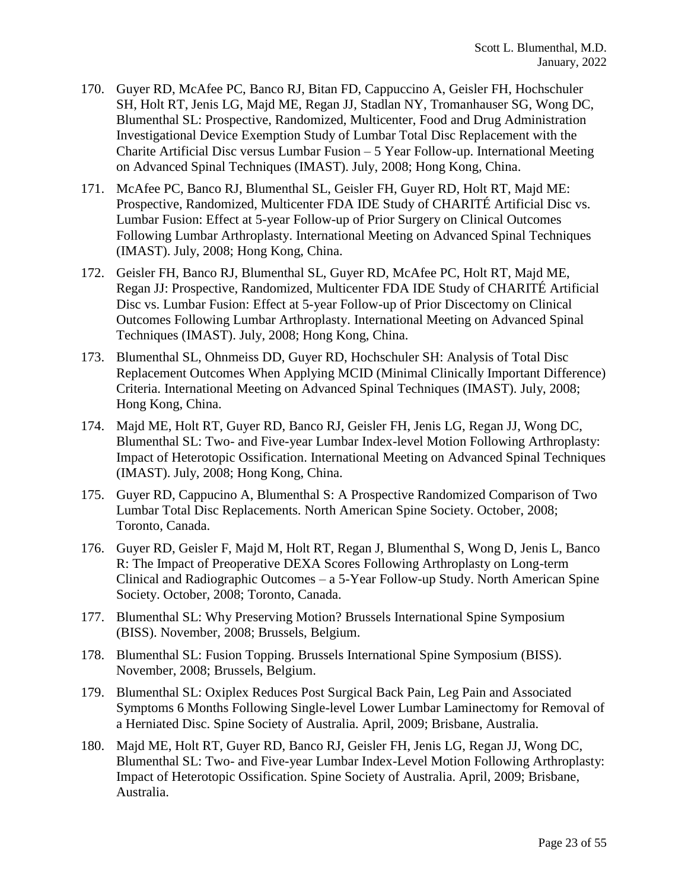- 170. Guyer RD, McAfee PC, Banco RJ, Bitan FD, Cappuccino A, Geisler FH, Hochschuler SH, Holt RT, Jenis LG, Majd ME, Regan JJ, Stadlan NY, Tromanhauser SG, Wong DC, Blumenthal SL: Prospective, Randomized, Multicenter, Food and Drug Administration Investigational Device Exemption Study of Lumbar Total Disc Replacement with the Charite Artificial Disc versus Lumbar Fusion – 5 Year Follow-up. International Meeting on Advanced Spinal Techniques (IMAST). July, 2008; Hong Kong, China.
- 171. McAfee PC, Banco RJ, Blumenthal SL, Geisler FH, Guyer RD, Holt RT, Majd ME: Prospective, Randomized, Multicenter FDA IDE Study of CHARITÉ Artificial Disc vs. Lumbar Fusion: Effect at 5-year Follow-up of Prior Surgery on Clinical Outcomes Following Lumbar Arthroplasty. International Meeting on Advanced Spinal Techniques (IMAST). July, 2008; Hong Kong, China.
- 172. Geisler FH, Banco RJ, Blumenthal SL, Guyer RD, McAfee PC, Holt RT, Majd ME, Regan JJ: Prospective, Randomized, Multicenter FDA IDE Study of CHARITÉ Artificial Disc vs. Lumbar Fusion: Effect at 5-year Follow-up of Prior Discectomy on Clinical Outcomes Following Lumbar Arthroplasty. International Meeting on Advanced Spinal Techniques (IMAST). July, 2008; Hong Kong, China.
- 173. Blumenthal SL, Ohnmeiss DD, Guyer RD, Hochschuler SH: Analysis of Total Disc Replacement Outcomes When Applying MCID (Minimal Clinically Important Difference) Criteria. International Meeting on Advanced Spinal Techniques (IMAST). July, 2008; Hong Kong, China.
- 174. Majd ME, Holt RT, Guyer RD, Banco RJ, Geisler FH, Jenis LG, Regan JJ, Wong DC, Blumenthal SL: Two- and Five-year Lumbar Index-level Motion Following Arthroplasty: Impact of Heterotopic Ossification. International Meeting on Advanced Spinal Techniques (IMAST). July, 2008; Hong Kong, China.
- 175. Guyer RD, Cappucino A, Blumenthal S: A Prospective Randomized Comparison of Two Lumbar Total Disc Replacements. North American Spine Society. October, 2008; Toronto, Canada.
- 176. Guyer RD, Geisler F, Majd M, Holt RT, Regan J, Blumenthal S, Wong D, Jenis L, Banco R: The Impact of Preoperative DEXA Scores Following Arthroplasty on Long-term Clinical and Radiographic Outcomes – a 5-Year Follow-up Study. North American Spine Society. October, 2008; Toronto, Canada.
- 177. Blumenthal SL: Why Preserving Motion? Brussels International Spine Symposium (BISS). November, 2008; Brussels, Belgium.
- 178. Blumenthal SL: Fusion Topping. Brussels International Spine Symposium (BISS). November, 2008; Brussels, Belgium.
- 179. Blumenthal SL: Oxiplex Reduces Post Surgical Back Pain, Leg Pain and Associated Symptoms 6 Months Following Single-level Lower Lumbar Laminectomy for Removal of a Herniated Disc. Spine Society of Australia. April, 2009; Brisbane, Australia.
- 180. Majd ME, Holt RT, Guyer RD, Banco RJ, Geisler FH, Jenis LG, Regan JJ, Wong DC, Blumenthal SL: Two- and Five-year Lumbar Index-Level Motion Following Arthroplasty: Impact of Heterotopic Ossification. Spine Society of Australia. April, 2009; Brisbane, Australia.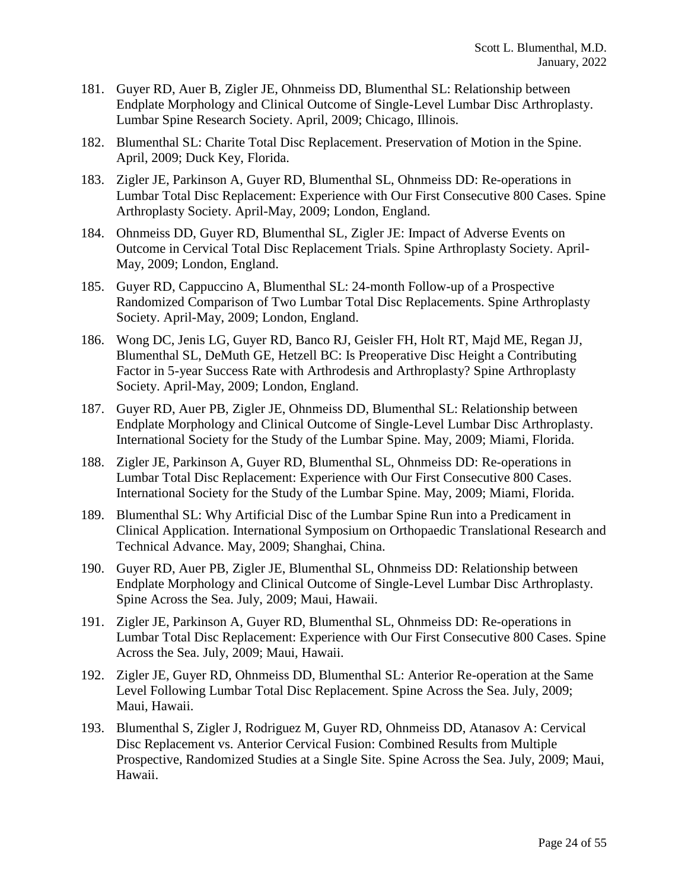- 181. Guyer RD, Auer B, Zigler JE, Ohnmeiss DD, Blumenthal SL: Relationship between Endplate Morphology and Clinical Outcome of Single-Level Lumbar Disc Arthroplasty. Lumbar Spine Research Society. April, 2009; Chicago, Illinois.
- 182. Blumenthal SL: Charite Total Disc Replacement. Preservation of Motion in the Spine. April, 2009; Duck Key, Florida.
- 183. Zigler JE, Parkinson A, Guyer RD, Blumenthal SL, Ohnmeiss DD: Re-operations in Lumbar Total Disc Replacement: Experience with Our First Consecutive 800 Cases. Spine Arthroplasty Society. April-May, 2009; London, England.
- 184. Ohnmeiss DD, Guyer RD, Blumenthal SL, Zigler JE: Impact of Adverse Events on Outcome in Cervical Total Disc Replacement Trials. Spine Arthroplasty Society. April-May, 2009; London, England.
- 185. Guyer RD, Cappuccino A, Blumenthal SL: 24-month Follow-up of a Prospective Randomized Comparison of Two Lumbar Total Disc Replacements. Spine Arthroplasty Society. April-May, 2009; London, England.
- 186. Wong DC, Jenis LG, Guyer RD, Banco RJ, Geisler FH, Holt RT, Majd ME, Regan JJ, Blumenthal SL, DeMuth GE, Hetzell BC: Is Preoperative Disc Height a Contributing Factor in 5-year Success Rate with Arthrodesis and Arthroplasty? Spine Arthroplasty Society. April-May, 2009; London, England.
- 187. Guyer RD, Auer PB, Zigler JE, Ohnmeiss DD, Blumenthal SL: Relationship between Endplate Morphology and Clinical Outcome of Single-Level Lumbar Disc Arthroplasty. International Society for the Study of the Lumbar Spine. May, 2009; Miami, Florida.
- 188. Zigler JE, Parkinson A, Guyer RD, Blumenthal SL, Ohnmeiss DD: Re-operations in Lumbar Total Disc Replacement: Experience with Our First Consecutive 800 Cases. International Society for the Study of the Lumbar Spine. May, 2009; Miami, Florida.
- 189. Blumenthal SL: Why Artificial Disc of the Lumbar Spine Run into a Predicament in Clinical Application. International Symposium on Orthopaedic Translational Research and Technical Advance. May, 2009; Shanghai, China.
- 190. Guyer RD, Auer PB, Zigler JE, Blumenthal SL, Ohnmeiss DD: Relationship between Endplate Morphology and Clinical Outcome of Single-Level Lumbar Disc Arthroplasty. Spine Across the Sea. July, 2009; Maui, Hawaii.
- 191. Zigler JE, Parkinson A, Guyer RD, Blumenthal SL, Ohnmeiss DD: Re-operations in Lumbar Total Disc Replacement: Experience with Our First Consecutive 800 Cases. Spine Across the Sea. July, 2009; Maui, Hawaii.
- 192. Zigler JE, Guyer RD, Ohnmeiss DD, Blumenthal SL: Anterior Re-operation at the Same Level Following Lumbar Total Disc Replacement. Spine Across the Sea. July, 2009; Maui, Hawaii.
- 193. Blumenthal S, Zigler J, Rodriguez M, Guyer RD, Ohnmeiss DD, Atanasov A: Cervical Disc Replacement vs. Anterior Cervical Fusion: Combined Results from Multiple Prospective, Randomized Studies at a Single Site. Spine Across the Sea. July, 2009; Maui, Hawaii.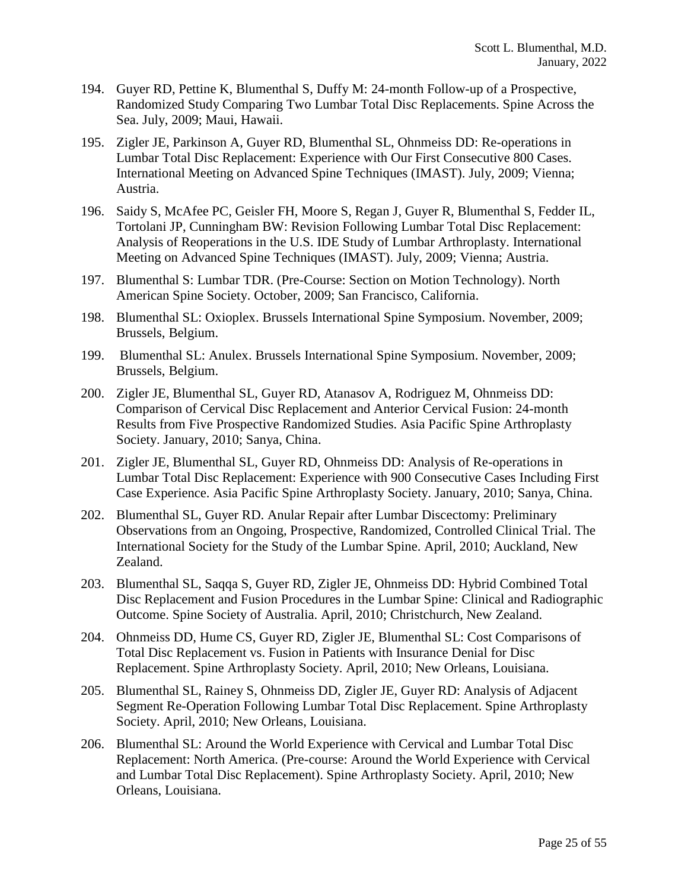- 194. Guyer RD, Pettine K, Blumenthal S, Duffy M: 24-month Follow-up of a Prospective, Randomized Study Comparing Two Lumbar Total Disc Replacements. Spine Across the Sea. July, 2009; Maui, Hawaii.
- 195. Zigler JE, Parkinson A, Guyer RD, Blumenthal SL, Ohnmeiss DD: Re-operations in Lumbar Total Disc Replacement: Experience with Our First Consecutive 800 Cases. International Meeting on Advanced Spine Techniques (IMAST). July, 2009; Vienna; Austria.
- 196. Saidy S, McAfee PC, Geisler FH, Moore S, Regan J, Guyer R, Blumenthal S, Fedder IL, Tortolani JP, Cunningham BW: Revision Following Lumbar Total Disc Replacement: Analysis of Reoperations in the U.S. IDE Study of Lumbar Arthroplasty. International Meeting on Advanced Spine Techniques (IMAST). July, 2009; Vienna; Austria.
- 197. Blumenthal S: Lumbar TDR. (Pre-Course: Section on Motion Technology). North American Spine Society. October, 2009; San Francisco, California.
- 198. Blumenthal SL: Oxioplex. Brussels International Spine Symposium. November, 2009; Brussels, Belgium.
- 199. Blumenthal SL: Anulex. Brussels International Spine Symposium. November, 2009; Brussels, Belgium.
- 200. Zigler JE, Blumenthal SL, Guyer RD, Atanasov A, Rodriguez M, Ohnmeiss DD: Comparison of Cervical Disc Replacement and Anterior Cervical Fusion: 24-month Results from Five Prospective Randomized Studies. Asia Pacific Spine Arthroplasty Society. January, 2010; Sanya, China.
- 201. Zigler JE, Blumenthal SL, Guyer RD, Ohnmeiss DD: Analysis of Re-operations in Lumbar Total Disc Replacement: Experience with 900 Consecutive Cases Including First Case Experience. Asia Pacific Spine Arthroplasty Society. January, 2010; Sanya, China.
- 202. Blumenthal SL, Guyer RD. Anular Repair after Lumbar Discectomy: Preliminary Observations from an Ongoing, Prospective, Randomized, Controlled Clinical Trial. The International Society for the Study of the Lumbar Spine. April, 2010; Auckland, New Zealand.
- 203. Blumenthal SL, Saqqa S, Guyer RD, Zigler JE, Ohnmeiss DD: Hybrid Combined Total Disc Replacement and Fusion Procedures in the Lumbar Spine: Clinical and Radiographic Outcome. Spine Society of Australia. April, 2010; Christchurch, New Zealand.
- 204. Ohnmeiss DD, Hume CS, Guyer RD, Zigler JE, Blumenthal SL: Cost Comparisons of Total Disc Replacement vs. Fusion in Patients with Insurance Denial for Disc Replacement. Spine Arthroplasty Society. April, 2010; New Orleans, Louisiana.
- 205. Blumenthal SL, Rainey S, Ohnmeiss DD, Zigler JE, Guyer RD: Analysis of Adjacent Segment Re-Operation Following Lumbar Total Disc Replacement. Spine Arthroplasty Society. April, 2010; New Orleans, Louisiana.
- 206. Blumenthal SL: Around the World Experience with Cervical and Lumbar Total Disc Replacement: North America. (Pre-course: Around the World Experience with Cervical and Lumbar Total Disc Replacement). Spine Arthroplasty Society. April, 2010; New Orleans, Louisiana.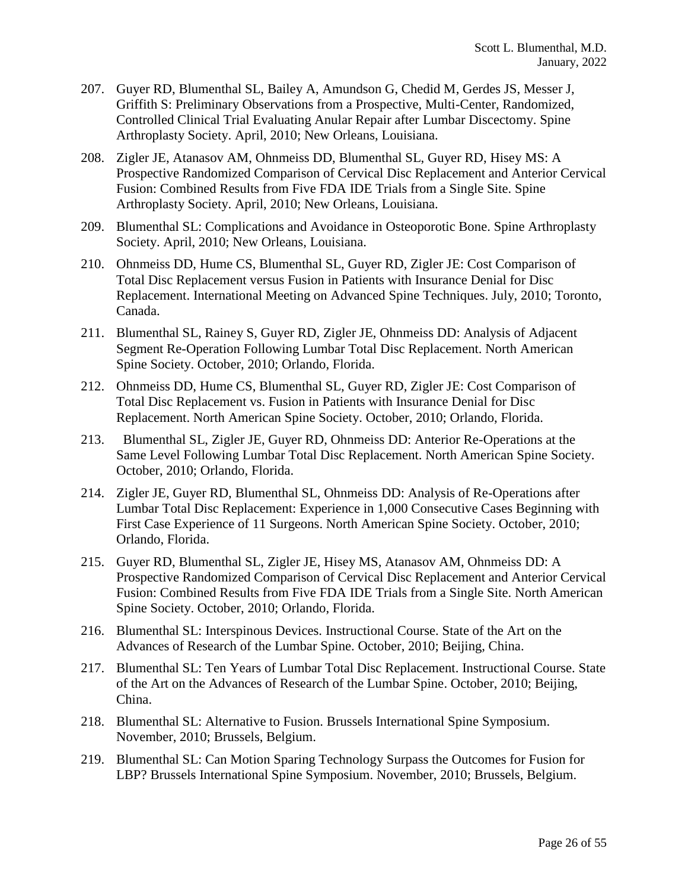- 207. Guyer RD, Blumenthal SL, Bailey A, Amundson G, Chedid M, Gerdes JS, Messer J, Griffith S: Preliminary Observations from a Prospective, Multi-Center, Randomized, Controlled Clinical Trial Evaluating Anular Repair after Lumbar Discectomy. Spine Arthroplasty Society. April, 2010; New Orleans, Louisiana.
- 208. Zigler JE, Atanasov AM, Ohnmeiss DD, Blumenthal SL, Guyer RD, Hisey MS: A Prospective Randomized Comparison of Cervical Disc Replacement and Anterior Cervical Fusion: Combined Results from Five FDA IDE Trials from a Single Site. Spine Arthroplasty Society. April, 2010; New Orleans, Louisiana.
- 209. Blumenthal SL: Complications and Avoidance in Osteoporotic Bone. Spine Arthroplasty Society. April, 2010; New Orleans, Louisiana.
- 210. Ohnmeiss DD, Hume CS, Blumenthal SL, Guyer RD, Zigler JE: Cost Comparison of Total Disc Replacement versus Fusion in Patients with Insurance Denial for Disc Replacement. International Meeting on Advanced Spine Techniques. July, 2010; Toronto, Canada.
- 211. Blumenthal SL, Rainey S, Guyer RD, Zigler JE, Ohnmeiss DD: Analysis of Adjacent Segment Re-Operation Following Lumbar Total Disc Replacement. North American Spine Society. October, 2010; Orlando, Florida.
- 212. Ohnmeiss DD, Hume CS, Blumenthal SL, Guyer RD, Zigler JE: Cost Comparison of Total Disc Replacement vs. Fusion in Patients with Insurance Denial for Disc Replacement. North American Spine Society. October, 2010; Orlando, Florida.
- 213. Blumenthal SL, Zigler JE, Guyer RD, Ohnmeiss DD: Anterior Re-Operations at the Same Level Following Lumbar Total Disc Replacement. North American Spine Society. October, 2010; Orlando, Florida.
- 214. Zigler JE, Guyer RD, Blumenthal SL, Ohnmeiss DD: Analysis of Re-Operations after Lumbar Total Disc Replacement: Experience in 1,000 Consecutive Cases Beginning with First Case Experience of 11 Surgeons. North American Spine Society. October, 2010; Orlando, Florida.
- 215. Guyer RD, Blumenthal SL, Zigler JE, Hisey MS, Atanasov AM, Ohnmeiss DD: A Prospective Randomized Comparison of Cervical Disc Replacement and Anterior Cervical Fusion: Combined Results from Five FDA IDE Trials from a Single Site. North American Spine Society. October, 2010; Orlando, Florida.
- 216. Blumenthal SL: Interspinous Devices. Instructional Course. State of the Art on the Advances of Research of the Lumbar Spine. October, 2010; Beijing, China.
- 217. Blumenthal SL: Ten Years of Lumbar Total Disc Replacement. Instructional Course. State of the Art on the Advances of Research of the Lumbar Spine. October, 2010; Beijing, China.
- 218. Blumenthal SL: Alternative to Fusion. Brussels International Spine Symposium. November, 2010; Brussels, Belgium.
- 219. Blumenthal SL: Can Motion Sparing Technology Surpass the Outcomes for Fusion for LBP? Brussels International Spine Symposium. November, 2010; Brussels, Belgium.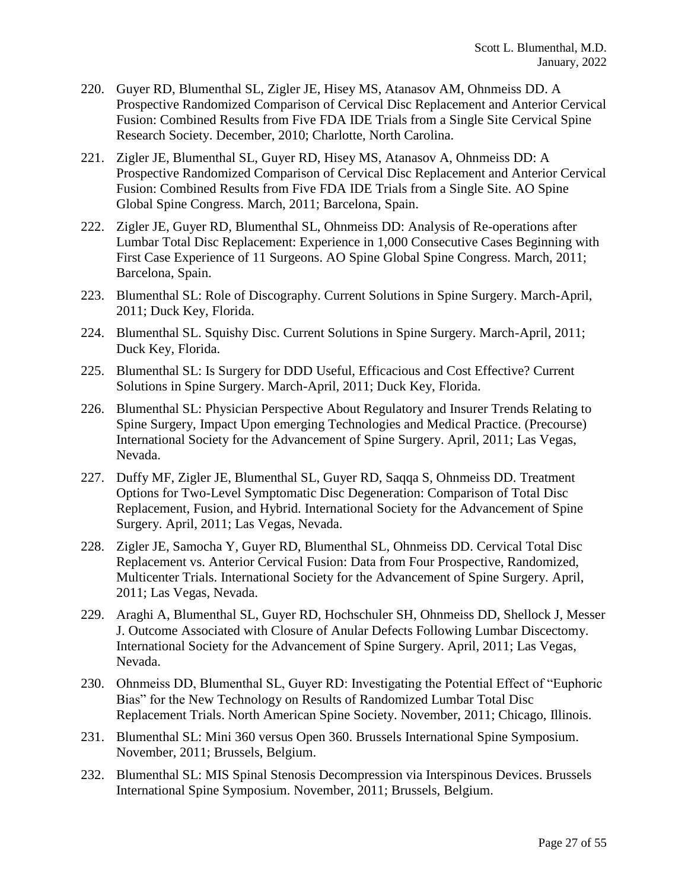- 220. Guyer RD, Blumenthal SL, Zigler JE, Hisey MS, Atanasov AM, Ohnmeiss DD. A Prospective Randomized Comparison of Cervical Disc Replacement and Anterior Cervical Fusion: Combined Results from Five FDA IDE Trials from a Single Site Cervical Spine Research Society. December, 2010; Charlotte, North Carolina.
- 221. Zigler JE, Blumenthal SL, Guyer RD, Hisey MS, Atanasov A, Ohnmeiss DD: A Prospective Randomized Comparison of Cervical Disc Replacement and Anterior Cervical Fusion: Combined Results from Five FDA IDE Trials from a Single Site. AO Spine Global Spine Congress. March, 2011; Barcelona, Spain.
- 222. Zigler JE, Guyer RD, Blumenthal SL, Ohnmeiss DD: Analysis of Re-operations after Lumbar Total Disc Replacement: Experience in 1,000 Consecutive Cases Beginning with First Case Experience of 11 Surgeons. AO Spine Global Spine Congress. March, 2011; Barcelona, Spain.
- 223. Blumenthal SL: Role of Discography. Current Solutions in Spine Surgery. March-April, 2011; Duck Key, Florida.
- 224. Blumenthal SL. Squishy Disc. Current Solutions in Spine Surgery. March-April, 2011; Duck Key, Florida.
- 225. Blumenthal SL: Is Surgery for DDD Useful, Efficacious and Cost Effective? Current Solutions in Spine Surgery. March-April, 2011; Duck Key, Florida.
- 226. Blumenthal SL: Physician Perspective About Regulatory and Insurer Trends Relating to Spine Surgery, Impact Upon emerging Technologies and Medical Practice. (Precourse) International Society for the Advancement of Spine Surgery. April, 2011; Las Vegas, Nevada.
- 227. Duffy MF, Zigler JE, Blumenthal SL, Guyer RD, Saqqa S, Ohnmeiss DD. Treatment Options for Two-Level Symptomatic Disc Degeneration: Comparison of Total Disc Replacement, Fusion, and Hybrid. International Society for the Advancement of Spine Surgery. April, 2011; Las Vegas, Nevada.
- 228. Zigler JE, Samocha Y, Guyer RD, Blumenthal SL, Ohnmeiss DD. Cervical Total Disc Replacement vs. Anterior Cervical Fusion: Data from Four Prospective, Randomized, Multicenter Trials. International Society for the Advancement of Spine Surgery. April, 2011; Las Vegas, Nevada.
- 229. Araghi A, Blumenthal SL, Guyer RD, Hochschuler SH, Ohnmeiss DD, Shellock J, Messer J. Outcome Associated with Closure of Anular Defects Following Lumbar Discectomy. International Society for the Advancement of Spine Surgery. April, 2011; Las Vegas, Nevada.
- 230. Ohnmeiss DD, Blumenthal SL, Guyer RD: Investigating the Potential Effect of "Euphoric Bias" for the New Technology on Results of Randomized Lumbar Total Disc Replacement Trials. North American Spine Society. November, 2011; Chicago, Illinois.
- 231. Blumenthal SL: Mini 360 versus Open 360. Brussels International Spine Symposium. November, 2011; Brussels, Belgium.
- 232. Blumenthal SL: MIS Spinal Stenosis Decompression via Interspinous Devices. Brussels International Spine Symposium. November, 2011; Brussels, Belgium.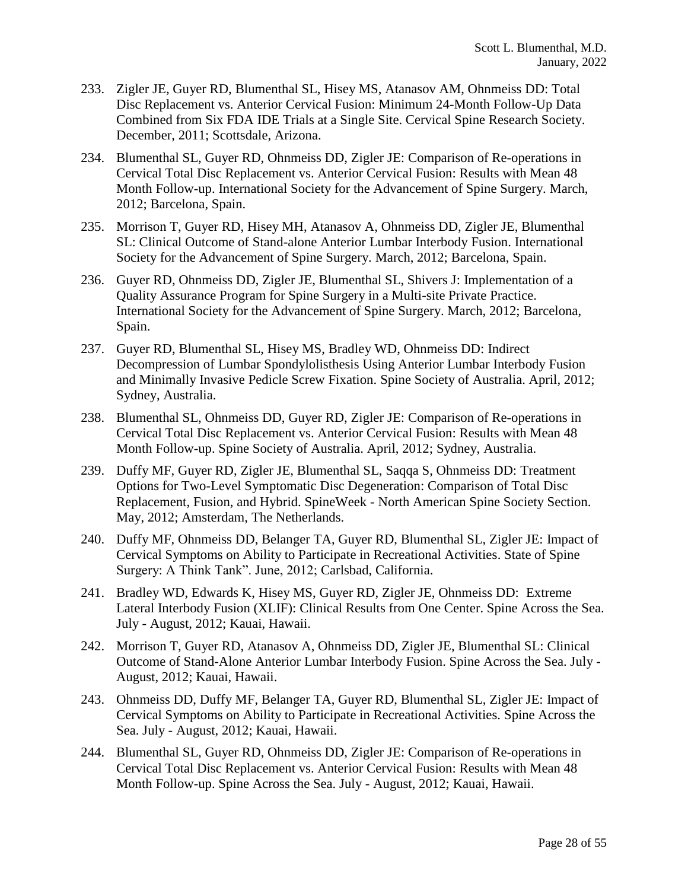- 233. Zigler JE, Guyer RD, Blumenthal SL, Hisey MS, Atanasov AM, Ohnmeiss DD: Total Disc Replacement vs. Anterior Cervical Fusion: Minimum 24-Month Follow-Up Data Combined from Six FDA IDE Trials at a Single Site. Cervical Spine Research Society. December, 2011; Scottsdale, Arizona.
- 234. Blumenthal SL, Guyer RD, Ohnmeiss DD, Zigler JE: Comparison of Re-operations in Cervical Total Disc Replacement vs. Anterior Cervical Fusion: Results with Mean 48 Month Follow-up. International Society for the Advancement of Spine Surgery. March, 2012; Barcelona, Spain.
- 235. Morrison T, Guyer RD, Hisey MH, Atanasov A, Ohnmeiss DD, Zigler JE, Blumenthal SL: Clinical Outcome of Stand-alone Anterior Lumbar Interbody Fusion. International Society for the Advancement of Spine Surgery. March, 2012; Barcelona, Spain.
- 236. Guyer RD, Ohnmeiss DD, Zigler JE, Blumenthal SL, Shivers J: Implementation of a Quality Assurance Program for Spine Surgery in a Multi-site Private Practice. International Society for the Advancement of Spine Surgery. March, 2012; Barcelona, Spain.
- 237. Guyer RD, Blumenthal SL, Hisey MS, Bradley WD, Ohnmeiss DD: Indirect Decompression of Lumbar Spondylolisthesis Using Anterior Lumbar Interbody Fusion and Minimally Invasive Pedicle Screw Fixation. Spine Society of Australia. April, 2012; Sydney, Australia.
- 238. Blumenthal SL, Ohnmeiss DD, Guyer RD, Zigler JE: Comparison of Re-operations in Cervical Total Disc Replacement vs. Anterior Cervical Fusion: Results with Mean 48 Month Follow-up. Spine Society of Australia. April, 2012; Sydney, Australia.
- 239. Duffy MF, Guyer RD, Zigler JE, Blumenthal SL, Saqqa S, Ohnmeiss DD: Treatment Options for Two-Level Symptomatic Disc Degeneration: Comparison of Total Disc Replacement, Fusion, and Hybrid. SpineWeek - North American Spine Society Section. May, 2012; Amsterdam, The Netherlands.
- 240. Duffy MF, Ohnmeiss DD, Belanger TA, Guyer RD, Blumenthal SL, Zigler JE: Impact of Cervical Symptoms on Ability to Participate in Recreational Activities. State of Spine Surgery: A Think Tank". June, 2012; Carlsbad, California.
- 241. Bradley WD, Edwards K, Hisey MS, Guyer RD, Zigler JE, Ohnmeiss DD: Extreme Lateral Interbody Fusion (XLIF): Clinical Results from One Center. Spine Across the Sea. July - August, 2012; Kauai, Hawaii.
- 242. Morrison T, Guyer RD, Atanasov A, Ohnmeiss DD, Zigler JE, Blumenthal SL: Clinical Outcome of Stand-Alone Anterior Lumbar Interbody Fusion. Spine Across the Sea. July - August, 2012; Kauai, Hawaii.
- 243. Ohnmeiss DD, Duffy MF, Belanger TA, Guyer RD, Blumenthal SL, Zigler JE: Impact of Cervical Symptoms on Ability to Participate in Recreational Activities. Spine Across the Sea. July - August, 2012; Kauai, Hawaii.
- 244. Blumenthal SL, Guyer RD, Ohnmeiss DD, Zigler JE: Comparison of Re-operations in Cervical Total Disc Replacement vs. Anterior Cervical Fusion: Results with Mean 48 Month Follow-up. Spine Across the Sea. July - August, 2012; Kauai, Hawaii.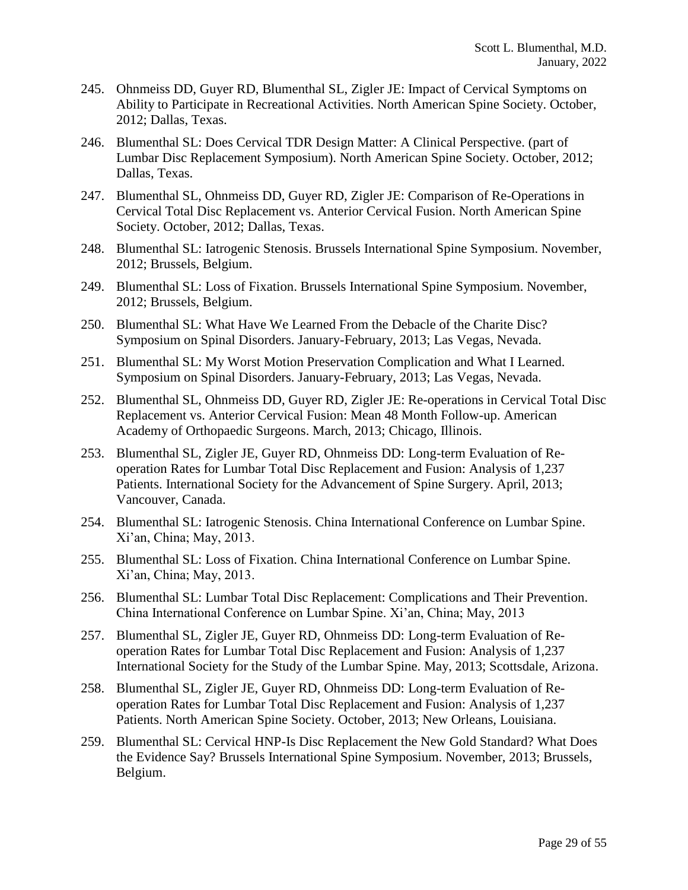- 245. Ohnmeiss DD, Guyer RD, Blumenthal SL, Zigler JE: Impact of Cervical Symptoms on Ability to Participate in Recreational Activities. North American Spine Society. October, 2012; Dallas, Texas.
- 246. Blumenthal SL: Does Cervical TDR Design Matter: A Clinical Perspective. (part of Lumbar Disc Replacement Symposium). North American Spine Society. October, 2012; Dallas, Texas.
- 247. Blumenthal SL, Ohnmeiss DD, Guyer RD, Zigler JE: Comparison of Re-Operations in Cervical Total Disc Replacement vs. Anterior Cervical Fusion. North American Spine Society. October, 2012; Dallas, Texas.
- 248. Blumenthal SL: Iatrogenic Stenosis. Brussels International Spine Symposium. November, 2012; Brussels, Belgium.
- 249. Blumenthal SL: Loss of Fixation. Brussels International Spine Symposium. November, 2012; Brussels, Belgium.
- 250. Blumenthal SL: What Have We Learned From the Debacle of the Charite Disc? Symposium on Spinal Disorders. January-February, 2013; Las Vegas, Nevada.
- 251. Blumenthal SL: My Worst Motion Preservation Complication and What I Learned. Symposium on Spinal Disorders. January-February, 2013; Las Vegas, Nevada.
- 252. Blumenthal SL, Ohnmeiss DD, Guyer RD, Zigler JE: Re-operations in Cervical Total Disc Replacement vs. Anterior Cervical Fusion: Mean 48 Month Follow-up. American Academy of Orthopaedic Surgeons. March, 2013; Chicago, Illinois.
- 253. Blumenthal SL, Zigler JE, Guyer RD, Ohnmeiss DD: Long-term Evaluation of Reoperation Rates for Lumbar Total Disc Replacement and Fusion: Analysis of 1,237 Patients. International Society for the Advancement of Spine Surgery. April, 2013; Vancouver, Canada.
- 254. Blumenthal SL: Iatrogenic Stenosis. China International Conference on Lumbar Spine. Xi'an, China; May, 2013.
- 255. Blumenthal SL: Loss of Fixation. China International Conference on Lumbar Spine. Xi'an, China; May, 2013.
- 256. Blumenthal SL: Lumbar Total Disc Replacement: Complications and Their Prevention. China International Conference on Lumbar Spine. Xi'an, China; May, 2013
- 257. Blumenthal SL, Zigler JE, Guyer RD, Ohnmeiss DD: Long-term Evaluation of Reoperation Rates for Lumbar Total Disc Replacement and Fusion: Analysis of 1,237 International Society for the Study of the Lumbar Spine. May, 2013; Scottsdale, Arizona.
- 258. Blumenthal SL, Zigler JE, Guyer RD, Ohnmeiss DD: Long-term Evaluation of Reoperation Rates for Lumbar Total Disc Replacement and Fusion: Analysis of 1,237 Patients. North American Spine Society. October, 2013; New Orleans, Louisiana.
- 259. Blumenthal SL: Cervical HNP-Is Disc Replacement the New Gold Standard? What Does the Evidence Say? Brussels International Spine Symposium. November, 2013; Brussels, Belgium.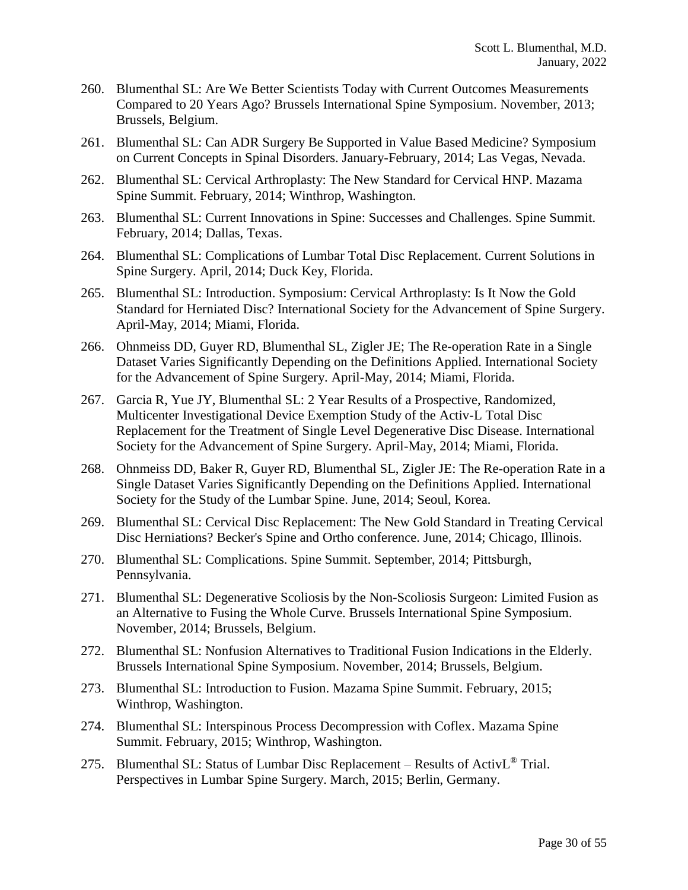- 260. Blumenthal SL: Are We Better Scientists Today with Current Outcomes Measurements Compared to 20 Years Ago? Brussels International Spine Symposium. November, 2013; Brussels, Belgium.
- 261. Blumenthal SL: Can ADR Surgery Be Supported in Value Based Medicine? Symposium on Current Concepts in Spinal Disorders. January-February, 2014; Las Vegas, Nevada.
- 262. Blumenthal SL: Cervical Arthroplasty: The New Standard for Cervical HNP. Mazama Spine Summit. February, 2014; Winthrop, Washington.
- 263. Blumenthal SL: Current Innovations in Spine: Successes and Challenges. Spine Summit. February, 2014; Dallas, Texas.
- 264. Blumenthal SL: Complications of Lumbar Total Disc Replacement. Current Solutions in Spine Surgery. April, 2014; Duck Key, Florida.
- 265. Blumenthal SL: Introduction. Symposium: Cervical Arthroplasty: Is It Now the Gold Standard for Herniated Disc? International Society for the Advancement of Spine Surgery. April-May, 2014; Miami, Florida.
- 266. Ohnmeiss DD, Guyer RD, Blumenthal SL, Zigler JE; The Re-operation Rate in a Single Dataset Varies Significantly Depending on the Definitions Applied. International Society for the Advancement of Spine Surgery. April-May, 2014; Miami, Florida.
- 267. Garcia R, Yue JY, Blumenthal SL: 2 Year Results of a Prospective, Randomized, Multicenter Investigational Device Exemption Study of the Activ-L Total Disc Replacement for the Treatment of Single Level Degenerative Disc Disease. International Society for the Advancement of Spine Surgery. April-May, 2014; Miami, Florida.
- 268. Ohnmeiss DD, Baker R, Guyer RD, Blumenthal SL, Zigler JE: The Re-operation Rate in a Single Dataset Varies Significantly Depending on the Definitions Applied. International Society for the Study of the Lumbar Spine. June, 2014; Seoul, Korea.
- 269. Blumenthal SL: Cervical Disc Replacement: The New Gold Standard in Treating Cervical Disc Herniations? Becker's Spine and Ortho conference. June, 2014; Chicago, Illinois.
- 270. Blumenthal SL: Complications. Spine Summit. September, 2014; Pittsburgh, Pennsylvania.
- 271. Blumenthal SL: Degenerative Scoliosis by the Non-Scoliosis Surgeon: Limited Fusion as an Alternative to Fusing the Whole Curve. Brussels International Spine Symposium. November, 2014; Brussels, Belgium.
- 272. Blumenthal SL: Nonfusion Alternatives to Traditional Fusion Indications in the Elderly. Brussels International Spine Symposium. November, 2014; Brussels, Belgium.
- 273. Blumenthal SL: Introduction to Fusion. Mazama Spine Summit. February, 2015; Winthrop, Washington.
- 274. Blumenthal SL: Interspinous Process Decompression with Coflex. Mazama Spine Summit. February, 2015; Winthrop, Washington.
- 275. Blumenthal SL: Status of Lumbar Disc Replacement Results of Activ $L^{\circledR}$  Trial. Perspectives in Lumbar Spine Surgery. March, 2015; Berlin, Germany.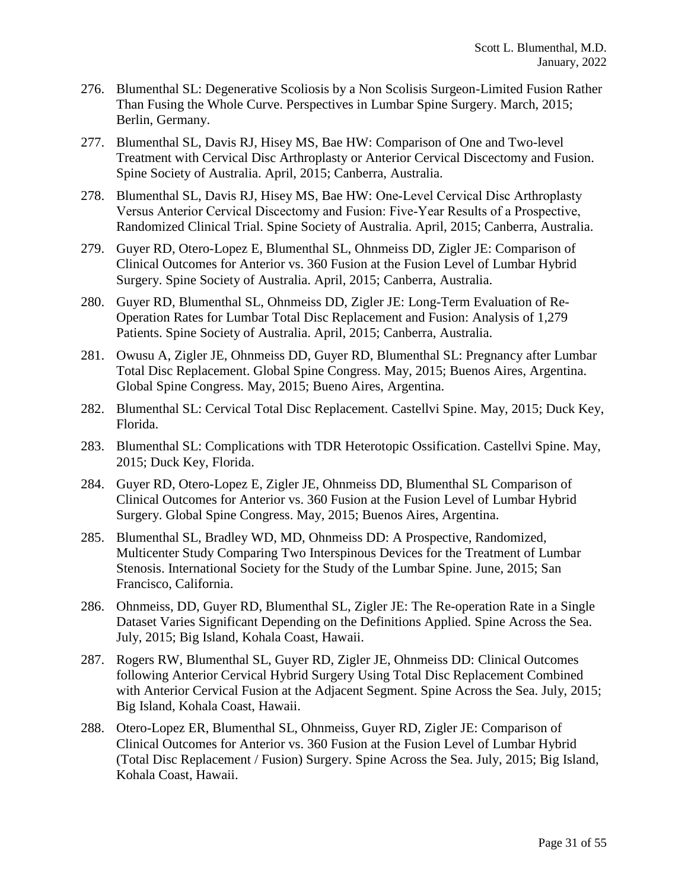- 276. Blumenthal SL: Degenerative Scoliosis by a Non Scolisis Surgeon-Limited Fusion Rather Than Fusing the Whole Curve. Perspectives in Lumbar Spine Surgery. March, 2015; Berlin, Germany.
- 277. Blumenthal SL, Davis RJ, Hisey MS, Bae HW: Comparison of One and Two-level Treatment with Cervical Disc Arthroplasty or Anterior Cervical Discectomy and Fusion. Spine Society of Australia. April, 2015; Canberra, Australia.
- 278. Blumenthal SL, Davis RJ, Hisey MS, Bae HW: One‐Level Cervical Disc Arthroplasty Versus Anterior Cervical Discectomy and Fusion: Five‐Year Results of a Prospective, Randomized Clinical Trial. Spine Society of Australia. April, 2015; Canberra, Australia.
- 279. Guyer RD, Otero-Lopez E, Blumenthal SL, Ohnmeiss DD, Zigler JE: Comparison of Clinical Outcomes for Anterior vs. 360 Fusion at the Fusion Level of Lumbar Hybrid Surgery. Spine Society of Australia. April, 2015; Canberra, Australia.
- 280. Guyer RD, Blumenthal SL, Ohnmeiss DD, Zigler JE: Long-Term Evaluation of Re-Operation Rates for Lumbar Total Disc Replacement and Fusion: Analysis of 1,279 Patients. Spine Society of Australia. April, 2015; Canberra, Australia.
- 281. Owusu A, Zigler JE, Ohnmeiss DD, Guyer RD, Blumenthal SL: Pregnancy after Lumbar Total Disc Replacement. Global Spine Congress. May, 2015; Buenos Aires, Argentina. Global Spine Congress. May, 2015; Bueno Aires, Argentina.
- 282. Blumenthal SL: Cervical Total Disc Replacement. Castellvi Spine. May, 2015; Duck Key, Florida.
- 283. Blumenthal SL: Complications with TDR Heterotopic Ossification. Castellvi Spine. May, 2015; Duck Key, Florida.
- 284. Guyer RD, Otero-Lopez E, Zigler JE, Ohnmeiss DD, Blumenthal SL Comparison of Clinical Outcomes for Anterior vs. 360 Fusion at the Fusion Level of Lumbar Hybrid Surgery. Global Spine Congress. May, 2015; Buenos Aires, Argentina.
- 285. Blumenthal SL, Bradley WD, MD, Ohnmeiss DD: A Prospective, Randomized, Multicenter Study Comparing Two Interspinous Devices for the Treatment of Lumbar Stenosis. International Society for the Study of the Lumbar Spine. June, 2015; San Francisco, California.
- 286. Ohnmeiss, DD, Guyer RD, Blumenthal SL, Zigler JE: The Re-operation Rate in a Single Dataset Varies Significant Depending on the Definitions Applied. Spine Across the Sea. July, 2015; Big Island, Kohala Coast, Hawaii.
- 287. Rogers RW, Blumenthal SL, Guyer RD, Zigler JE, Ohnmeiss DD: Clinical Outcomes following Anterior Cervical Hybrid Surgery Using Total Disc Replacement Combined with Anterior Cervical Fusion at the Adjacent Segment. Spine Across the Sea. July, 2015; Big Island, Kohala Coast, Hawaii.
- 288. Otero-Lopez ER, Blumenthal SL, Ohnmeiss, Guyer RD, Zigler JE: Comparison of Clinical Outcomes for Anterior vs. 360 Fusion at the Fusion Level of Lumbar Hybrid (Total Disc Replacement / Fusion) Surgery. Spine Across the Sea. July, 2015; Big Island, Kohala Coast, Hawaii.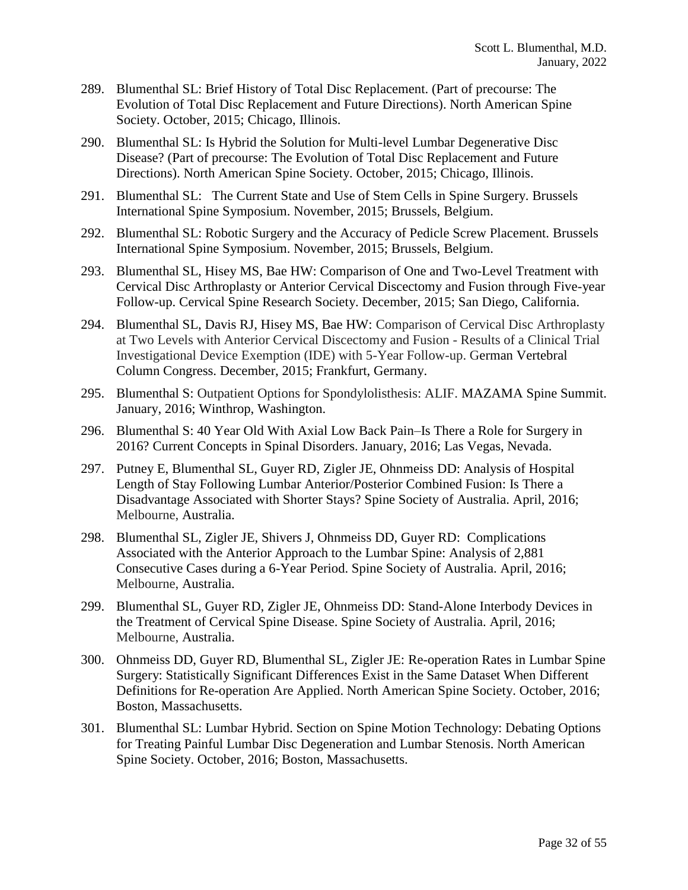- 289. Blumenthal SL: Brief History of Total Disc Replacement. (Part of precourse: The Evolution of Total Disc Replacement and Future Directions). North American Spine Society. October, 2015; Chicago, Illinois.
- 290. Blumenthal SL: Is Hybrid the Solution for Multi-level Lumbar Degenerative Disc Disease? (Part of precourse: The Evolution of Total Disc Replacement and Future Directions). North American Spine Society. October, 2015; Chicago, Illinois.
- 291. Blumenthal SL: The Current State and Use of Stem Cells in Spine Surgery. Brussels International Spine Symposium. November, 2015; Brussels, Belgium.
- 292. Blumenthal SL: Robotic Surgery and the Accuracy of Pedicle Screw Placement. Brussels International Spine Symposium. November, 2015; Brussels, Belgium.
- 293. Blumenthal SL, Hisey MS, Bae HW: Comparison of One and Two-Level Treatment with Cervical Disc Arthroplasty or Anterior Cervical Discectomy and Fusion through Five-year Follow-up. Cervical Spine Research Society. December, 2015; San Diego, California.
- 294. Blumenthal SL, Davis RJ, Hisey MS, Bae HW: Comparison of Cervical Disc Arthroplasty at Two Levels with Anterior Cervical Discectomy and Fusion - Results of a Clinical Trial Investigational Device Exemption (IDE) with 5-Year Follow-up. German Vertebral Column Congress. December, 2015; Frankfurt, Germany.
- 295. Blumenthal S: Outpatient Options for Spondylolisthesis: ALIF. MAZAMA Spine Summit. January, 2016; Winthrop, Washington.
- 296. Blumenthal S: 40 Year Old With Axial Low Back Pain–Is There a Role for Surgery in 2016? Current Concepts in Spinal Disorders. January, 2016; Las Vegas, Nevada.
- 297. Putney E, Blumenthal SL, Guyer RD, Zigler JE, Ohnmeiss DD: Analysis of Hospital Length of Stay Following Lumbar Anterior/Posterior Combined Fusion: Is There a Disadvantage Associated with Shorter Stays? Spine Society of Australia. April, 2016; Melbourne, Australia.
- 298. Blumenthal SL, Zigler JE, Shivers J, Ohnmeiss DD, Guyer RD: Complications Associated with the Anterior Approach to the Lumbar Spine: Analysis of 2,881 Consecutive Cases during a 6-Year Period. Spine Society of Australia. April, 2016; Melbourne, Australia.
- 299. Blumenthal SL, Guyer RD, Zigler JE, Ohnmeiss DD: Stand-Alone Interbody Devices in the Treatment of Cervical Spine Disease. Spine Society of Australia. April, 2016; Melbourne, Australia.
- 300. Ohnmeiss DD, Guyer RD, Blumenthal SL, Zigler JE: Re-operation Rates in Lumbar Spine Surgery: Statistically Significant Differences Exist in the Same Dataset When Different Definitions for Re-operation Are Applied. North American Spine Society. October, 2016; Boston, Massachusetts.
- 301. Blumenthal SL: Lumbar Hybrid. Section on Spine Motion Technology: Debating Options for Treating Painful Lumbar Disc Degeneration and Lumbar Stenosis. North American Spine Society. October, 2016; Boston, Massachusetts.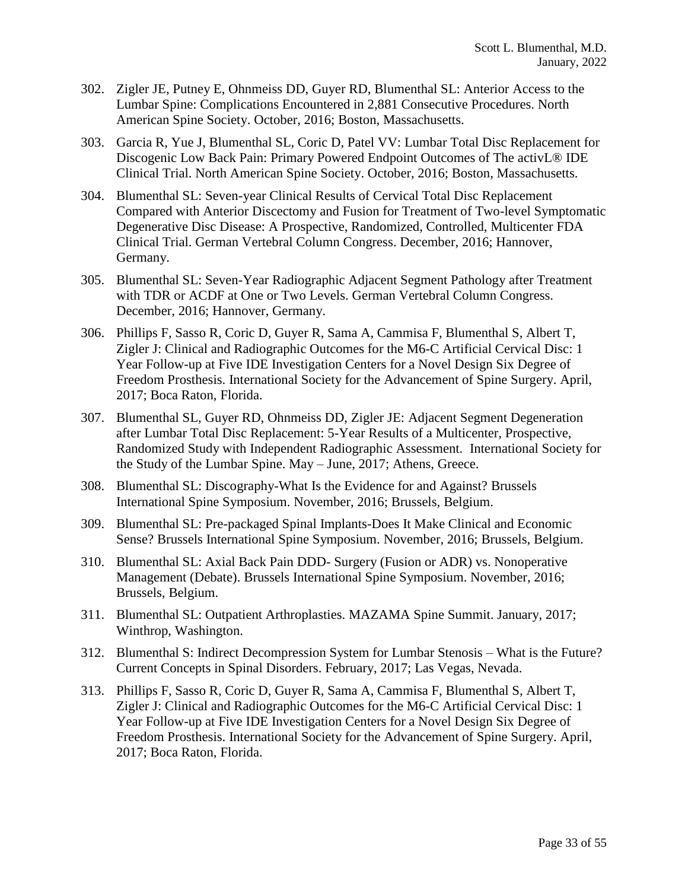- 302. Zigler JE, Putney E, Ohnmeiss DD, Guyer RD, Blumenthal SL: Anterior Access to the Lumbar Spine: Complications Encountered in 2,881 Consecutive Procedures. North American Spine Society. October, 2016; Boston, Massachusetts.
- 303. Garcia R, Yue J, Blumenthal SL, Coric D, Patel VV: Lumbar Total Disc Replacement for Discogenic Low Back Pain: Primary Powered Endpoint Outcomes of The activL® IDE Clinical Trial. North American Spine Society. October, 2016; Boston, Massachusetts.
- 304. Blumenthal SL: Seven-year Clinical Results of Cervical Total Disc Replacement Compared with Anterior Discectomy and Fusion for Treatment of Two-level Symptomatic Degenerative Disc Disease: A Prospective, Randomized, Controlled, Multicenter FDA Clinical Trial. German Vertebral Column Congress. December, 2016; Hannover, Germany.
- 305. Blumenthal SL: Seven-Year Radiographic Adjacent Segment Pathology after Treatment with TDR or ACDF at One or Two Levels. German Vertebral Column Congress. December, 2016; Hannover, Germany.
- 306. Phillips F, Sasso R, Coric D, Guyer R, Sama A, Cammisa F, Blumenthal S, Albert T, Zigler J: Clinical and Radiographic Outcomes for the M6-C Artificial Cervical Disc: 1 Year Follow-up at Five IDE Investigation Centers for a Novel Design Six Degree of Freedom Prosthesis. International Society for the Advancement of Spine Surgery. April, 2017; Boca Raton, Florida.
- 307. Blumenthal SL, Guyer RD, Ohnmeiss DD, Zigler JE: Adjacent Segment Degeneration after Lumbar Total Disc Replacement: 5-Year Results of a Multicenter, Prospective, Randomized Study with Independent Radiographic Assessment. International Society for the Study of the Lumbar Spine. May – June, 2017; Athens, Greece.
- 308. Blumenthal SL: Discography-What Is the Evidence for and Against? Brussels International Spine Symposium. November, 2016; Brussels, Belgium.
- 309. Blumenthal SL: Pre-packaged Spinal Implants-Does It Make Clinical and Economic Sense? Brussels International Spine Symposium. November, 2016; Brussels, Belgium.
- 310. Blumenthal SL: Axial Back Pain DDD- Surgery (Fusion or ADR) vs. Nonoperative Management (Debate). Brussels International Spine Symposium. November, 2016; Brussels, Belgium.
- 311. Blumenthal SL: Outpatient Arthroplasties. MAZAMA Spine Summit. January, 2017; Winthrop, Washington.
- 312. Blumenthal S: Indirect Decompression System for Lumbar Stenosis What is the Future? Current Concepts in Spinal Disorders. February, 2017; Las Vegas, Nevada.
- 313. Phillips F, Sasso R, Coric D, Guyer R, Sama A, Cammisa F, Blumenthal S, Albert T, Zigler J: Clinical and Radiographic Outcomes for the M6-C Artificial Cervical Disc: 1 Year Follow-up at Five IDE Investigation Centers for a Novel Design Six Degree of Freedom Prosthesis. International Society for the Advancement of Spine Surgery. April, 2017; Boca Raton, Florida.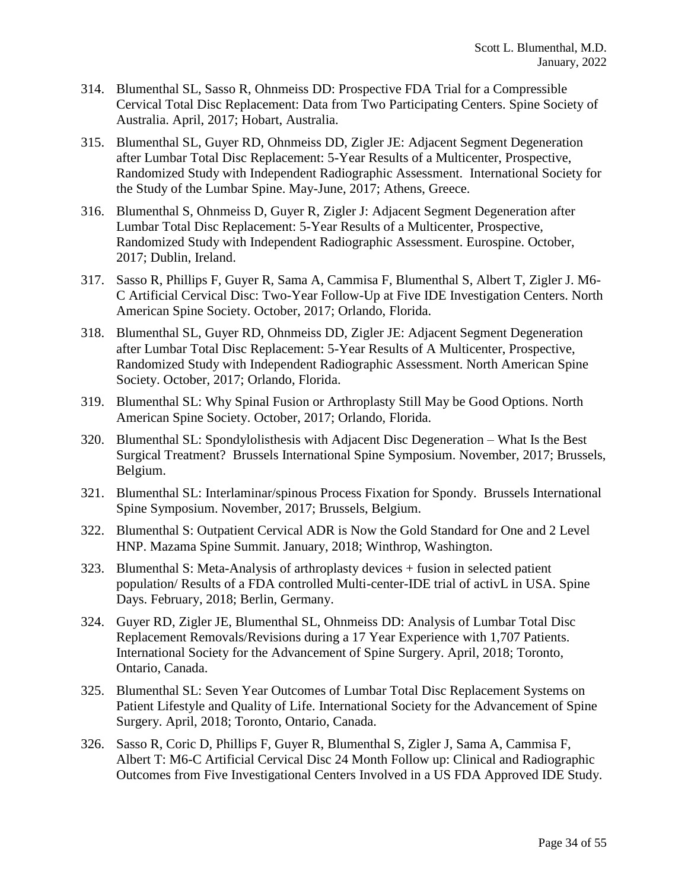- 314. Blumenthal SL, Sasso R, Ohnmeiss DD: Prospective FDA Trial for a Compressible Cervical Total Disc Replacement: Data from Two Participating Centers. Spine Society of Australia. April, 2017; Hobart, Australia.
- 315. Blumenthal SL, Guyer RD, Ohnmeiss DD, Zigler JE: Adjacent Segment Degeneration after Lumbar Total Disc Replacement: 5-Year Results of a Multicenter, Prospective, Randomized Study with Independent Radiographic Assessment. International Society for the Study of the Lumbar Spine. May-June, 2017; Athens, Greece.
- 316. Blumenthal S, Ohnmeiss D, Guyer R, Zigler J: Adjacent Segment Degeneration after Lumbar Total Disc Replacement: 5-Year Results of a Multicenter, Prospective, Randomized Study with Independent Radiographic Assessment. Eurospine. October, 2017; Dublin, Ireland.
- 317. Sasso R, Phillips F, Guyer R, Sama A, Cammisa F, Blumenthal S, Albert T, Zigler J. M6- C Artificial Cervical Disc: Two-Year Follow-Up at Five IDE Investigation Centers. North American Spine Society. October, 2017; Orlando, Florida.
- 318. Blumenthal SL, Guyer RD, Ohnmeiss DD, Zigler JE: Adjacent Segment Degeneration after Lumbar Total Disc Replacement: 5-Year Results of A Multicenter, Prospective, Randomized Study with Independent Radiographic Assessment. North American Spine Society. October, 2017; Orlando, Florida.
- 319. Blumenthal SL: Why Spinal Fusion or Arthroplasty Still May be Good Options. North American Spine Society. October, 2017; Orlando, Florida.
- 320. Blumenthal SL: Spondylolisthesis with Adjacent Disc Degeneration What Is the Best Surgical Treatment? Brussels International Spine Symposium. November, 2017; Brussels, Belgium.
- 321. Blumenthal SL: Interlaminar/spinous Process Fixation for Spondy. Brussels International Spine Symposium. November, 2017; Brussels, Belgium.
- 322. Blumenthal S: Outpatient Cervical ADR is Now the Gold Standard for One and 2 Level HNP. Mazama Spine Summit. January, 2018; Winthrop, Washington.
- 323. Blumenthal S: Meta-Analysis of arthroplasty devices + fusion in selected patient population/ Results of a FDA controlled Multi-center-IDE trial of activL in USA. Spine Days. February, 2018; Berlin, Germany.
- 324. Guyer RD, Zigler JE, Blumenthal SL, Ohnmeiss DD: Analysis of Lumbar Total Disc Replacement Removals/Revisions during a 17 Year Experience with 1,707 Patients. International Society for the Advancement of Spine Surgery. April, 2018; Toronto, Ontario, Canada.
- 325. Blumenthal SL: Seven Year Outcomes of Lumbar Total Disc Replacement Systems on Patient Lifestyle and Quality of Life. International Society for the Advancement of Spine Surgery. April, 2018; Toronto, Ontario, Canada.
- 326. Sasso R, Coric D, Phillips F, Guyer R, Blumenthal S, Zigler J, Sama A, Cammisa F, Albert T: M6-C Artificial Cervical Disc 24 Month Follow up: Clinical and Radiographic Outcomes from Five Investigational Centers Involved in a US FDA Approved IDE Study.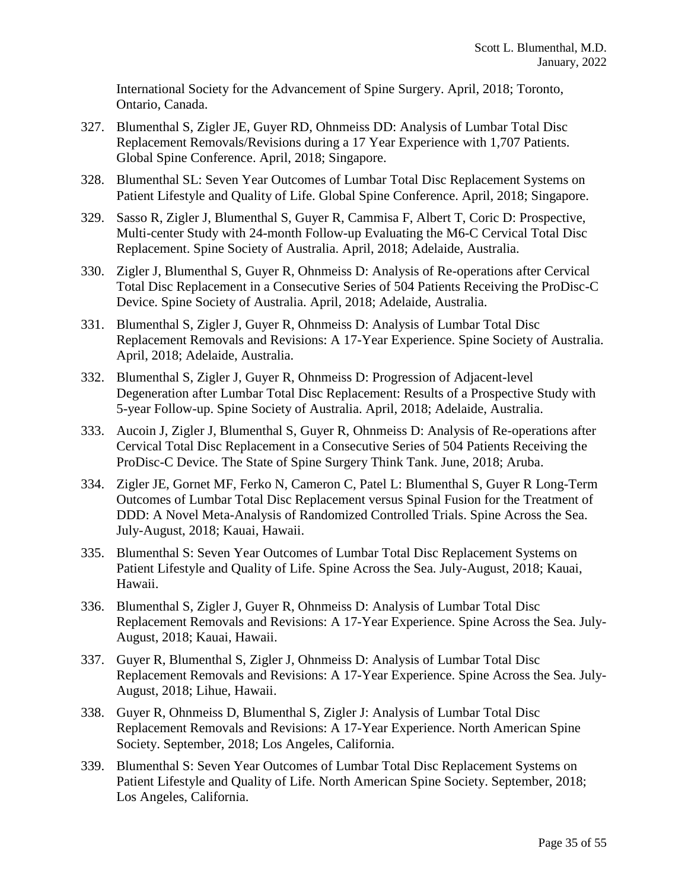International Society for the Advancement of Spine Surgery. April, 2018; Toronto, Ontario, Canada.

- 327. Blumenthal S, Zigler JE, Guyer RD, Ohnmeiss DD: Analysis of Lumbar Total Disc Replacement Removals/Revisions during a 17 Year Experience with 1,707 Patients. Global Spine Conference. April, 2018; Singapore.
- 328. Blumenthal SL: Seven Year Outcomes of Lumbar Total Disc Replacement Systems on Patient Lifestyle and Quality of Life. Global Spine Conference. April, 2018; Singapore.
- 329. Sasso R, Zigler J, Blumenthal S, Guyer R, Cammisa F, Albert T, Coric D: Prospective, Multi-center Study with 24-month Follow-up Evaluating the M6-C Cervical Total Disc Replacement. Spine Society of Australia. April, 2018; Adelaide, Australia.
- 330. Zigler J, Blumenthal S, Guyer R, Ohnmeiss D: Analysis of Re-operations after Cervical Total Disc Replacement in a Consecutive Series of 504 Patients Receiving the ProDisc-C Device. Spine Society of Australia. April, 2018; Adelaide, Australia.
- 331. Blumenthal S, Zigler J, Guyer R, Ohnmeiss D: Analysis of Lumbar Total Disc Replacement Removals and Revisions: A 17-Year Experience. Spine Society of Australia. April, 2018; Adelaide, Australia.
- 332. Blumenthal S, Zigler J, Guyer R, Ohnmeiss D: Progression of Adjacent-level Degeneration after Lumbar Total Disc Replacement: Results of a Prospective Study with 5-year Follow-up. Spine Society of Australia. April, 2018; Adelaide, Australia.
- 333. Aucoin J, Zigler J, Blumenthal S, Guyer R, Ohnmeiss D: Analysis of Re-operations after Cervical Total Disc Replacement in a Consecutive Series of 504 Patients Receiving the ProDisc-C Device. The State of Spine Surgery Think Tank. June, 2018; Aruba.
- 334. Zigler JE, Gornet MF, Ferko N, Cameron C, Patel L: Blumenthal S, Guyer R Long-Term Outcomes of Lumbar Total Disc Replacement versus Spinal Fusion for the Treatment of DDD: A Novel Meta-Analysis of Randomized Controlled Trials. Spine Across the Sea. July-August, 2018; Kauai, Hawaii.
- 335. Blumenthal S: Seven Year Outcomes of Lumbar Total Disc Replacement Systems on Patient Lifestyle and Quality of Life. Spine Across the Sea. July-August, 2018; Kauai, Hawaii.
- 336. Blumenthal S, Zigler J, Guyer R, Ohnmeiss D: Analysis of Lumbar Total Disc Replacement Removals and Revisions: A 17-Year Experience. Spine Across the Sea. July-August, 2018; Kauai, Hawaii.
- 337. Guyer R, Blumenthal S, Zigler J, Ohnmeiss D: Analysis of Lumbar Total Disc Replacement Removals and Revisions: A 17-Year Experience. Spine Across the Sea. July-August, 2018; Lihue, Hawaii.
- 338. Guyer R, Ohnmeiss D, Blumenthal S, Zigler J: Analysis of Lumbar Total Disc Replacement Removals and Revisions: A 17-Year Experience. North American Spine Society. September, 2018; Los Angeles, California.
- 339. Blumenthal S: Seven Year Outcomes of Lumbar Total Disc Replacement Systems on Patient Lifestyle and Quality of Life. North American Spine Society. September, 2018; Los Angeles, California.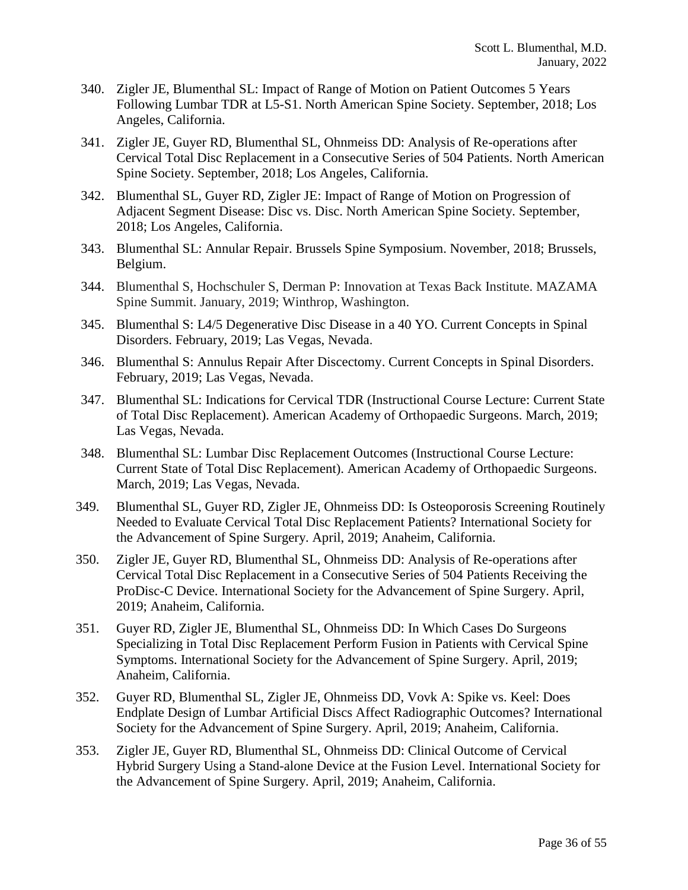- 340. Zigler JE, Blumenthal SL: Impact of Range of Motion on Patient Outcomes 5 Years Following Lumbar TDR at L5-S1. North American Spine Society. September, 2018; Los Angeles, California.
- 341. Zigler JE, Guyer RD, Blumenthal SL, Ohnmeiss DD: Analysis of Re-operations after Cervical Total Disc Replacement in a Consecutive Series of 504 Patients. North American Spine Society. September, 2018; Los Angeles, California.
- 342. Blumenthal SL, Guyer RD, Zigler JE: Impact of Range of Motion on Progression of Adjacent Segment Disease: Disc vs. Disc. North American Spine Society. September, 2018; Los Angeles, California.
- 343. Blumenthal SL: Annular Repair. Brussels Spine Symposium. November, 2018; Brussels, Belgium.
- 344. Blumenthal S, Hochschuler S, Derman P: Innovation at Texas Back Institute. MAZAMA Spine Summit. January, 2019; Winthrop, Washington.
- 345. Blumenthal S: L4/5 Degenerative Disc Disease in a 40 YO. Current Concepts in Spinal Disorders. February, 2019; Las Vegas, Nevada.
- 346. Blumenthal S: Annulus Repair After Discectomy. Current Concepts in Spinal Disorders. February, 2019; Las Vegas, Nevada.
- 347. Blumenthal SL: Indications for Cervical TDR (Instructional Course Lecture: Current State of Total Disc Replacement). American Academy of Orthopaedic Surgeons. March, 2019; Las Vegas, Nevada.
- 348. Blumenthal SL: Lumbar Disc Replacement Outcomes (Instructional Course Lecture: Current State of Total Disc Replacement). American Academy of Orthopaedic Surgeons. March, 2019; Las Vegas, Nevada.
- 349. Blumenthal SL, Guyer RD, Zigler JE, Ohnmeiss DD: Is Osteoporosis Screening Routinely Needed to Evaluate Cervical Total Disc Replacement Patients? International Society for the Advancement of Spine Surgery. April, 2019; Anaheim, California.
- 350. Zigler JE, Guyer RD, Blumenthal SL, Ohnmeiss DD: Analysis of Re-operations after Cervical Total Disc Replacement in a Consecutive Series of 504 Patients Receiving the ProDisc-C Device. International Society for the Advancement of Spine Surgery. April, 2019; Anaheim, California.
- 351. Guyer RD, Zigler JE, Blumenthal SL, Ohnmeiss DD: In Which Cases Do Surgeons Specializing in Total Disc Replacement Perform Fusion in Patients with Cervical Spine Symptoms. International Society for the Advancement of Spine Surgery. April, 2019; Anaheim, California.
- 352. Guyer RD, Blumenthal SL, Zigler JE, Ohnmeiss DD, Vovk A: Spike vs. Keel: Does Endplate Design of Lumbar Artificial Discs Affect Radiographic Outcomes? International Society for the Advancement of Spine Surgery. April, 2019; Anaheim, California.
- 353. Zigler JE, Guyer RD, Blumenthal SL, Ohnmeiss DD: Clinical Outcome of Cervical Hybrid Surgery Using a Stand-alone Device at the Fusion Level. International Society for the Advancement of Spine Surgery. April, 2019; Anaheim, California.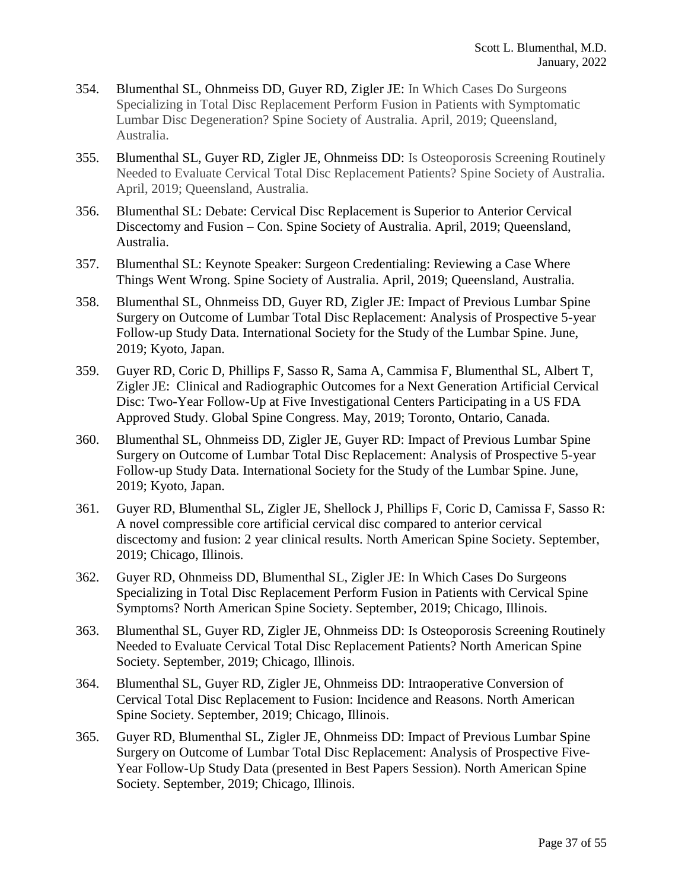- 354. Blumenthal SL, Ohnmeiss DD, Guyer RD, Zigler JE: In Which Cases Do Surgeons Specializing in Total Disc Replacement Perform Fusion in Patients with Symptomatic Lumbar Disc Degeneration? Spine Society of Australia. April, 2019; Queensland, Australia.
- 355. Blumenthal SL, Guyer RD, Zigler JE, Ohnmeiss DD: Is Osteoporosis Screening Routinely Needed to Evaluate Cervical Total Disc Replacement Patients? Spine Society of Australia. April, 2019; Queensland, Australia.
- 356. Blumenthal SL: Debate: Cervical Disc Replacement is Superior to Anterior Cervical Discectomy and Fusion – Con. Spine Society of Australia. April, 2019; Queensland, Australia.
- 357. Blumenthal SL: Keynote Speaker: Surgeon Credentialing: Reviewing a Case Where Things Went Wrong. Spine Society of Australia. April, 2019; Queensland, Australia.
- 358. Blumenthal SL, Ohnmeiss DD, Guyer RD, Zigler JE: Impact of Previous Lumbar Spine Surgery on Outcome of Lumbar Total Disc Replacement: Analysis of Prospective 5-year Follow-up Study Data. International Society for the Study of the Lumbar Spine. June, 2019; Kyoto, Japan.
- 359. Guyer RD, Coric D, Phillips F, Sasso R, Sama A, Cammisa F, Blumenthal SL, Albert T, Zigler JE: Clinical and Radiographic Outcomes for a Next Generation Artificial Cervical Disc: Two-Year Follow-Up at Five Investigational Centers Participating in a US FDA Approved Study. Global Spine Congress. May, 2019; Toronto, Ontario, Canada.
- 360. Blumenthal SL, Ohnmeiss DD, Zigler JE, Guyer RD: Impact of Previous Lumbar Spine Surgery on Outcome of Lumbar Total Disc Replacement: Analysis of Prospective 5-year Follow-up Study Data. International Society for the Study of the Lumbar Spine. June, 2019; Kyoto, Japan.
- 361. Guyer RD, Blumenthal SL, Zigler JE, Shellock J, Phillips F, Coric D, Camissa F, Sasso R: A novel compressible core artificial cervical disc compared to anterior cervical discectomy and fusion: 2 year clinical results. North American Spine Society. September, 2019; Chicago, Illinois.
- 362. Guyer RD, Ohnmeiss DD, Blumenthal SL, Zigler JE: In Which Cases Do Surgeons Specializing in Total Disc Replacement Perform Fusion in Patients with Cervical Spine Symptoms? North American Spine Society. September, 2019; Chicago, Illinois.
- 363. Blumenthal SL, Guyer RD, Zigler JE, Ohnmeiss DD: Is Osteoporosis Screening Routinely Needed to Evaluate Cervical Total Disc Replacement Patients? North American Spine Society. September, 2019; Chicago, Illinois.
- 364. Blumenthal SL, Guyer RD, Zigler JE, Ohnmeiss DD: Intraoperative Conversion of Cervical Total Disc Replacement to Fusion: Incidence and Reasons. North American Spine Society. September, 2019; Chicago, Illinois.
- 365. Guyer RD, Blumenthal SL, Zigler JE, Ohnmeiss DD: Impact of Previous Lumbar Spine Surgery on Outcome of Lumbar Total Disc Replacement: Analysis of Prospective Five-Year Follow-Up Study Data (presented in Best Papers Session). North American Spine Society. September, 2019; Chicago, Illinois.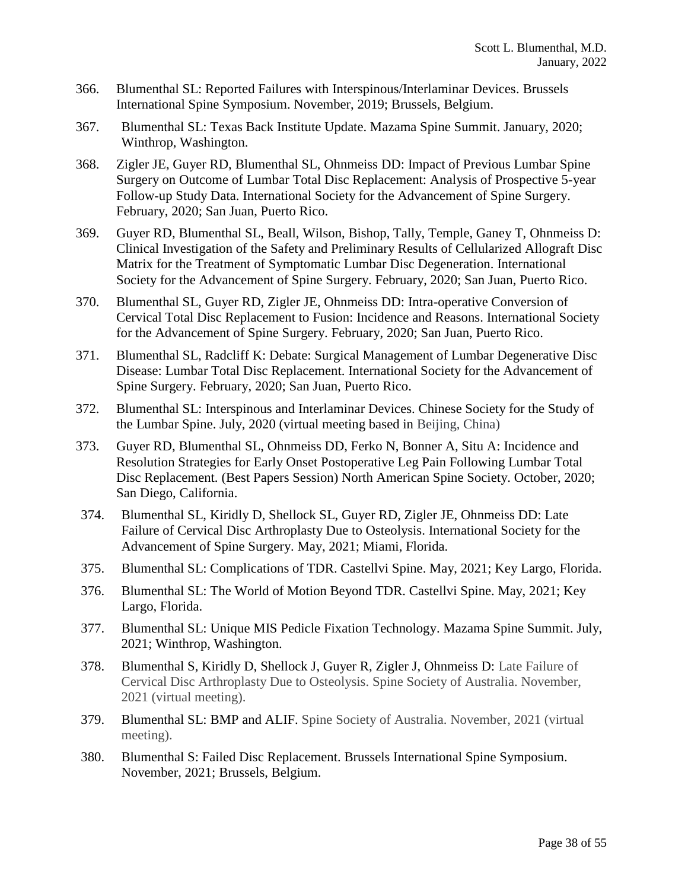- 366. Blumenthal SL: Reported Failures with Interspinous/Interlaminar Devices. Brussels International Spine Symposium. November, 2019; Brussels, Belgium.
- 367. Blumenthal SL: Texas Back Institute Update. Mazama Spine Summit. January, 2020; Winthrop, Washington.
- 368. Zigler JE, Guyer RD, Blumenthal SL, Ohnmeiss DD: Impact of Previous Lumbar Spine Surgery on Outcome of Lumbar Total Disc Replacement: Analysis of Prospective 5-year Follow-up Study Data. International Society for the Advancement of Spine Surgery. February, 2020; San Juan, Puerto Rico.
- 369. Guyer RD, Blumenthal SL, Beall, Wilson, Bishop, Tally, Temple, Ganey T, Ohnmeiss D: Clinical Investigation of the Safety and Preliminary Results of Cellularized Allograft Disc Matrix for the Treatment of Symptomatic Lumbar Disc Degeneration. International Society for the Advancement of Spine Surgery. February, 2020; San Juan, Puerto Rico.
- 370. Blumenthal SL, Guyer RD, Zigler JE, Ohnmeiss DD: Intra-operative Conversion of Cervical Total Disc Replacement to Fusion: Incidence and Reasons. International Society for the Advancement of Spine Surgery. February, 2020; San Juan, Puerto Rico.
- 371. Blumenthal SL, Radcliff K: Debate: Surgical Management of Lumbar Degenerative Disc Disease: Lumbar Total Disc Replacement. International Society for the Advancement of Spine Surgery. February, 2020; San Juan, Puerto Rico.
- 372. Blumenthal SL: Interspinous and Interlaminar Devices. Chinese Society for the Study of the Lumbar Spine. July, 2020 (virtual meeting based in Beijing, China)
- 373. Guyer RD, Blumenthal SL, Ohnmeiss DD, Ferko N, Bonner A, Situ A: Incidence and Resolution Strategies for Early Onset Postoperative Leg Pain Following Lumbar Total Disc Replacement. (Best Papers Session) North American Spine Society. October, 2020; San Diego, California.
- 374. Blumenthal SL, Kiridly D, Shellock SL, Guyer RD, Zigler JE, Ohnmeiss DD: Late Failure of Cervical Disc Arthroplasty Due to Osteolysis. International Society for the Advancement of Spine Surgery. May, 2021; Miami, Florida.
- 375. Blumenthal SL: Complications of TDR. Castellvi Spine. May, 2021; Key Largo, Florida.
- 376. Blumenthal SL: The World of Motion Beyond TDR. Castellvi Spine. May, 2021; Key Largo, Florida.
- 377. Blumenthal SL: Unique MIS Pedicle Fixation Technology. Mazama Spine Summit. July, 2021; Winthrop, Washington.
- 378. Blumenthal S, Kiridly D, Shellock J, Guyer R, Zigler J, Ohnmeiss D: Late Failure of Cervical Disc Arthroplasty Due to Osteolysis. Spine Society of Australia. November, 2021 (virtual meeting).
- 379. Blumenthal SL: BMP and ALIF. Spine Society of Australia. November, 2021 (virtual meeting).
- 380. Blumenthal S: Failed Disc Replacement. Brussels International Spine Symposium. November, 2021; Brussels, Belgium.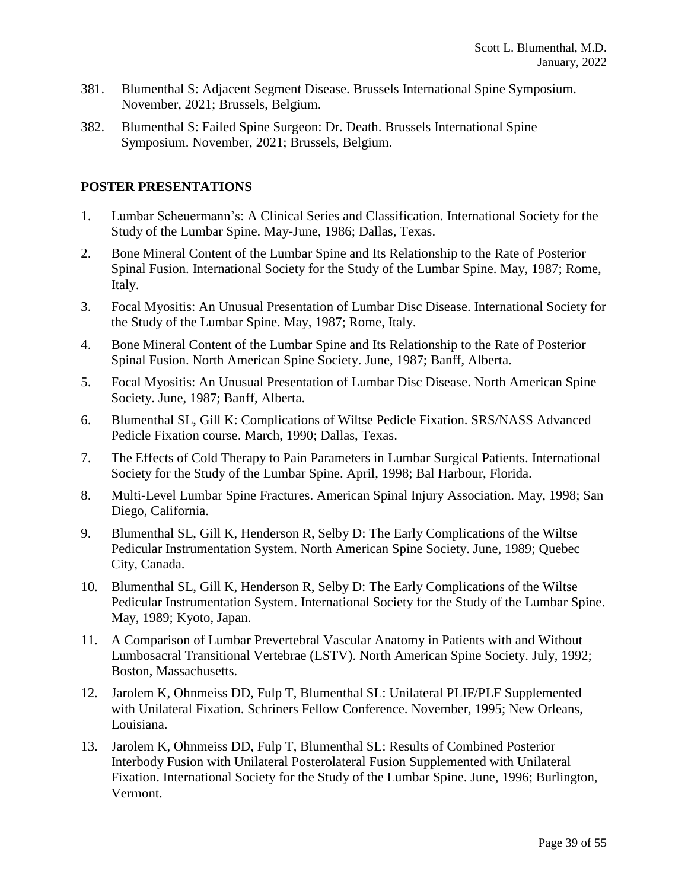- 381. Blumenthal S: Adjacent Segment Disease. Brussels International Spine Symposium. November, 2021; Brussels, Belgium.
- 382. Blumenthal S: Failed Spine Surgeon: Dr. Death. Brussels International Spine Symposium. November, 2021; Brussels, Belgium.

### **POSTER PRESENTATIONS**

- 1. Lumbar Scheuermann's: A Clinical Series and Classification. International Society for the Study of the Lumbar Spine. May-June, 1986; Dallas, Texas.
- 2. Bone Mineral Content of the Lumbar Spine and Its Relationship to the Rate of Posterior Spinal Fusion. International Society for the Study of the Lumbar Spine. May, 1987; Rome, Italy.
- 3. Focal Myositis: An Unusual Presentation of Lumbar Disc Disease. International Society for the Study of the Lumbar Spine. May, 1987; Rome, Italy.
- 4. Bone Mineral Content of the Lumbar Spine and Its Relationship to the Rate of Posterior Spinal Fusion. North American Spine Society. June, 1987; Banff, Alberta.
- 5. Focal Myositis: An Unusual Presentation of Lumbar Disc Disease. North American Spine Society. June, 1987; Banff, Alberta.
- 6. Blumenthal SL, Gill K: Complications of Wiltse Pedicle Fixation. SRS/NASS Advanced Pedicle Fixation course. March, 1990; Dallas, Texas.
- 7. The Effects of Cold Therapy to Pain Parameters in Lumbar Surgical Patients. International Society for the Study of the Lumbar Spine. April, 1998; Bal Harbour, Florida.
- 8. Multi-Level Lumbar Spine Fractures. American Spinal Injury Association. May, 1998; San Diego, California.
- 9. Blumenthal SL, Gill K, Henderson R, Selby D: The Early Complications of the Wiltse Pedicular Instrumentation System. North American Spine Society. June, 1989; Quebec City, Canada.
- 10. Blumenthal SL, Gill K, Henderson R, Selby D: The Early Complications of the Wiltse Pedicular Instrumentation System. International Society for the Study of the Lumbar Spine. May, 1989; Kyoto, Japan.
- 11. A Comparison of Lumbar Prevertebral Vascular Anatomy in Patients with and Without Lumbosacral Transitional Vertebrae (LSTV). North American Spine Society. July, 1992; Boston, Massachusetts.
- 12. Jarolem K, Ohnmeiss DD, Fulp T, Blumenthal SL: Unilateral PLIF/PLF Supplemented with Unilateral Fixation. Schriners Fellow Conference. November, 1995; New Orleans, Louisiana.
- 13. Jarolem K, Ohnmeiss DD, Fulp T, Blumenthal SL: Results of Combined Posterior Interbody Fusion with Unilateral Posterolateral Fusion Supplemented with Unilateral Fixation. International Society for the Study of the Lumbar Spine. June, 1996; Burlington, Vermont.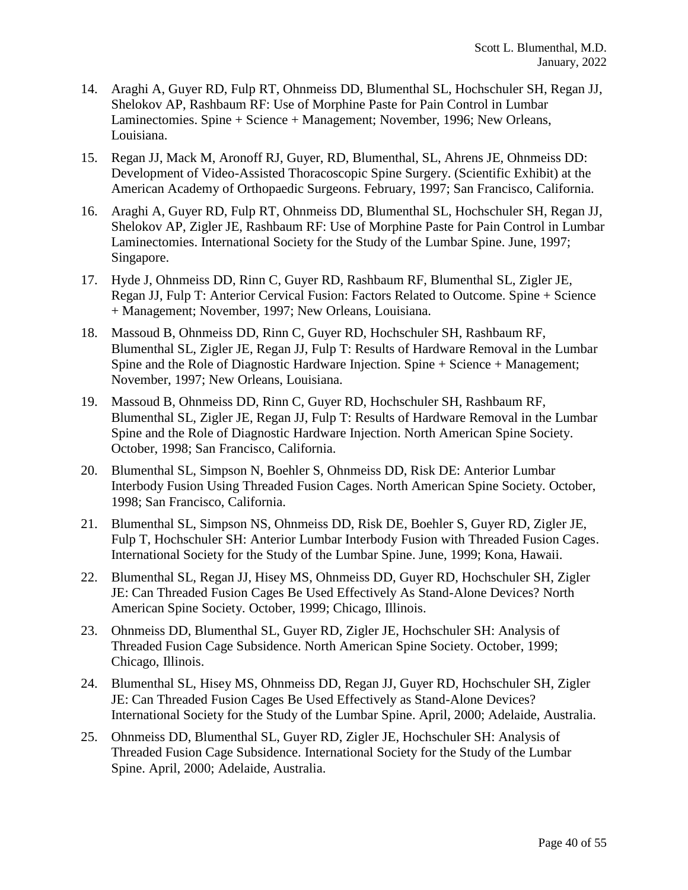- 14. Araghi A, Guyer RD, Fulp RT, Ohnmeiss DD, Blumenthal SL, Hochschuler SH, Regan JJ, Shelokov AP, Rashbaum RF: Use of Morphine Paste for Pain Control in Lumbar Laminectomies. Spine + Science + Management; November, 1996; New Orleans, Louisiana.
- 15. Regan JJ, Mack M, Aronoff RJ, Guyer, RD, Blumenthal, SL, Ahrens JE, Ohnmeiss DD: Development of Video-Assisted Thoracoscopic Spine Surgery. (Scientific Exhibit) at the American Academy of Orthopaedic Surgeons. February, 1997; San Francisco, California.
- 16. Araghi A, Guyer RD, Fulp RT, Ohnmeiss DD, Blumenthal SL, Hochschuler SH, Regan JJ, Shelokov AP, Zigler JE, Rashbaum RF: Use of Morphine Paste for Pain Control in Lumbar Laminectomies. International Society for the Study of the Lumbar Spine. June, 1997; Singapore.
- 17. Hyde J, Ohnmeiss DD, Rinn C, Guyer RD, Rashbaum RF, Blumenthal SL, Zigler JE, Regan JJ, Fulp T: Anterior Cervical Fusion: Factors Related to Outcome. Spine + Science + Management; November, 1997; New Orleans, Louisiana.
- 18. Massoud B, Ohnmeiss DD, Rinn C, Guyer RD, Hochschuler SH, Rashbaum RF, Blumenthal SL, Zigler JE, Regan JJ, Fulp T: Results of Hardware Removal in the Lumbar Spine and the Role of Diagnostic Hardware Injection. Spine + Science + Management; November, 1997; New Orleans, Louisiana.
- 19. Massoud B, Ohnmeiss DD, Rinn C, Guyer RD, Hochschuler SH, Rashbaum RF, Blumenthal SL, Zigler JE, Regan JJ, Fulp T: Results of Hardware Removal in the Lumbar Spine and the Role of Diagnostic Hardware Injection. North American Spine Society. October, 1998; San Francisco, California.
- 20. Blumenthal SL, Simpson N, Boehler S, Ohnmeiss DD, Risk DE: Anterior Lumbar Interbody Fusion Using Threaded Fusion Cages. North American Spine Society. October, 1998; San Francisco, California.
- 21. Blumenthal SL, Simpson NS, Ohnmeiss DD, Risk DE, Boehler S, Guyer RD, Zigler JE, Fulp T, Hochschuler SH: Anterior Lumbar Interbody Fusion with Threaded Fusion Cages. International Society for the Study of the Lumbar Spine. June, 1999; Kona, Hawaii.
- 22. Blumenthal SL, Regan JJ, Hisey MS, Ohnmeiss DD, Guyer RD, Hochschuler SH, Zigler JE: Can Threaded Fusion Cages Be Used Effectively As Stand-Alone Devices? North American Spine Society. October, 1999; Chicago, Illinois.
- 23. Ohnmeiss DD, Blumenthal SL, Guyer RD, Zigler JE, Hochschuler SH: Analysis of Threaded Fusion Cage Subsidence. North American Spine Society. October, 1999; Chicago, Illinois.
- 24. Blumenthal SL, Hisey MS, Ohnmeiss DD, Regan JJ, Guyer RD, Hochschuler SH, Zigler JE: Can Threaded Fusion Cages Be Used Effectively as Stand-Alone Devices? International Society for the Study of the Lumbar Spine. April, 2000; Adelaide, Australia.
- 25. Ohnmeiss DD, Blumenthal SL, Guyer RD, Zigler JE, Hochschuler SH: Analysis of Threaded Fusion Cage Subsidence. International Society for the Study of the Lumbar Spine. April, 2000; Adelaide, Australia.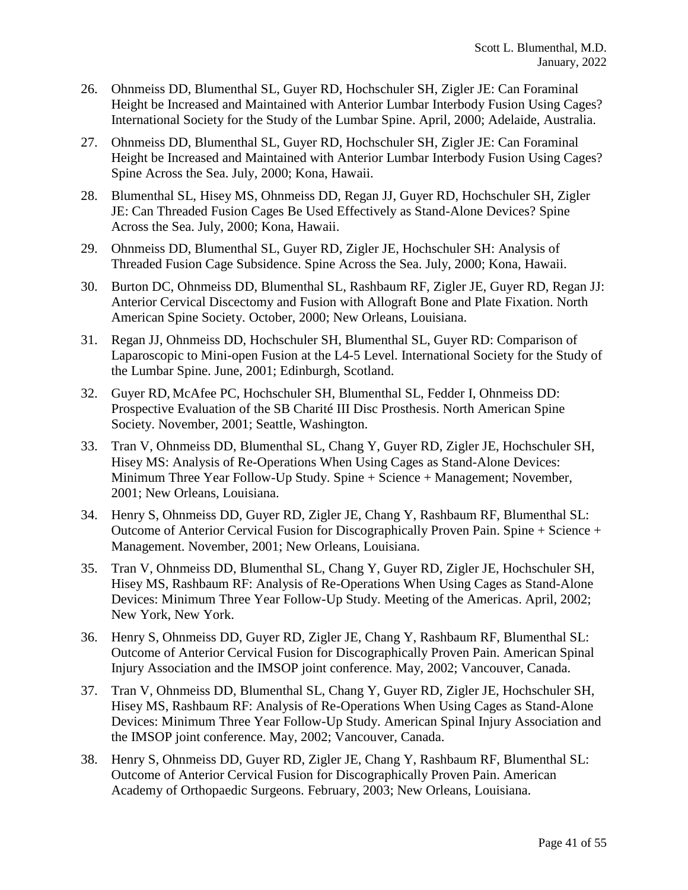- 26. Ohnmeiss DD, Blumenthal SL, Guyer RD, Hochschuler SH, Zigler JE: Can Foraminal Height be Increased and Maintained with Anterior Lumbar Interbody Fusion Using Cages? International Society for the Study of the Lumbar Spine. April, 2000; Adelaide, Australia.
- 27. Ohnmeiss DD, Blumenthal SL, Guyer RD, Hochschuler SH, Zigler JE: Can Foraminal Height be Increased and Maintained with Anterior Lumbar Interbody Fusion Using Cages? Spine Across the Sea. July, 2000; Kona, Hawaii.
- 28. Blumenthal SL, Hisey MS, Ohnmeiss DD, Regan JJ, Guyer RD, Hochschuler SH, Zigler JE: Can Threaded Fusion Cages Be Used Effectively as Stand-Alone Devices? Spine Across the Sea. July, 2000; Kona, Hawaii.
- 29. Ohnmeiss DD, Blumenthal SL, Guyer RD, Zigler JE, Hochschuler SH: Analysis of Threaded Fusion Cage Subsidence. Spine Across the Sea. July, 2000; Kona, Hawaii.
- 30. Burton DC, Ohnmeiss DD, Blumenthal SL, Rashbaum RF, Zigler JE, Guyer RD, Regan JJ: Anterior Cervical Discectomy and Fusion with Allograft Bone and Plate Fixation. North American Spine Society. October, 2000; New Orleans, Louisiana.
- 31. Regan JJ, Ohnmeiss DD, Hochschuler SH, Blumenthal SL, Guyer RD: Comparison of Laparoscopic to Mini-open Fusion at the L4-5 Level. International Society for the Study of the Lumbar Spine. June, 2001; Edinburgh, Scotland.
- 32. Guyer RD, McAfee PC, Hochschuler SH, Blumenthal SL, Fedder I, Ohnmeiss DD: Prospective Evaluation of the SB Charité III Disc Prosthesis. North American Spine Society. November, 2001; Seattle, Washington.
- 33. Tran V, Ohnmeiss DD, Blumenthal SL, Chang Y, Guyer RD, Zigler JE, Hochschuler SH, Hisey MS: Analysis of Re-Operations When Using Cages as Stand-Alone Devices: Minimum Three Year Follow-Up Study. Spine + Science + Management; November, 2001; New Orleans, Louisiana.
- 34. Henry S, Ohnmeiss DD, Guyer RD, Zigler JE, Chang Y, Rashbaum RF, Blumenthal SL: Outcome of Anterior Cervical Fusion for Discographically Proven Pain. Spine + Science + Management. November, 2001; New Orleans, Louisiana.
- 35. Tran V, Ohnmeiss DD, Blumenthal SL, Chang Y, Guyer RD, Zigler JE, Hochschuler SH, Hisey MS, Rashbaum RF: Analysis of Re-Operations When Using Cages as Stand-Alone Devices: Minimum Three Year Follow-Up Study. Meeting of the Americas. April, 2002; New York, New York.
- 36. Henry S, Ohnmeiss DD, Guyer RD, Zigler JE, Chang Y, Rashbaum RF, Blumenthal SL: Outcome of Anterior Cervical Fusion for Discographically Proven Pain. American Spinal Injury Association and the IMSOP joint conference. May, 2002; Vancouver, Canada.
- 37. Tran V, Ohnmeiss DD, Blumenthal SL, Chang Y, Guyer RD, Zigler JE, Hochschuler SH, Hisey MS, Rashbaum RF: Analysis of Re-Operations When Using Cages as Stand-Alone Devices: Minimum Three Year Follow-Up Study. American Spinal Injury Association and the IMSOP joint conference. May, 2002; Vancouver, Canada.
- 38. Henry S, Ohnmeiss DD, Guyer RD, Zigler JE, Chang Y, Rashbaum RF, Blumenthal SL: Outcome of Anterior Cervical Fusion for Discographically Proven Pain. American Academy of Orthopaedic Surgeons. February, 2003; New Orleans, Louisiana.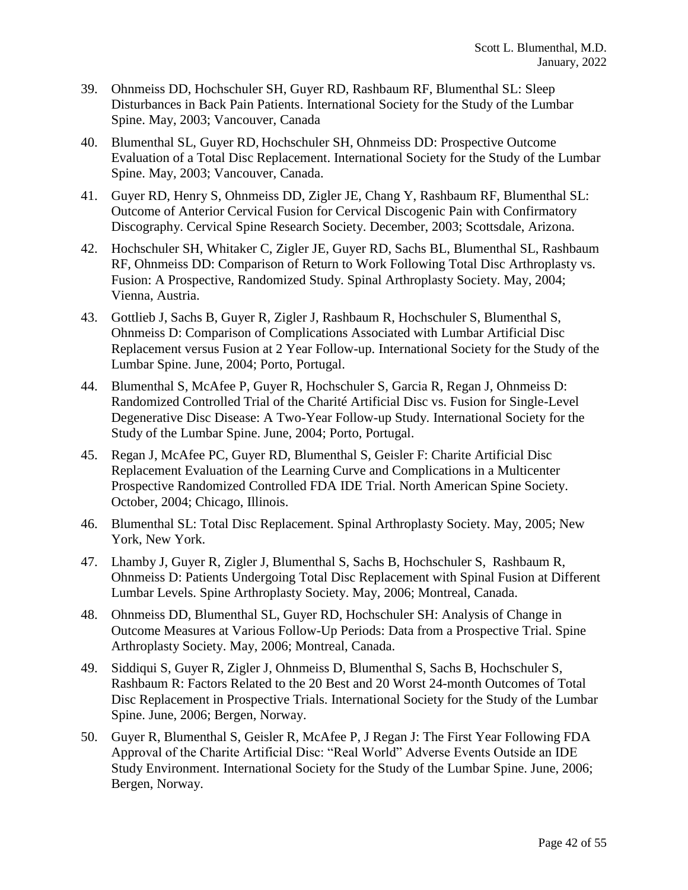- 39. Ohnmeiss DD, Hochschuler SH, Guyer RD, Rashbaum RF, Blumenthal SL: Sleep Disturbances in Back Pain Patients. International Society for the Study of the Lumbar Spine. May, 2003; Vancouver, Canada
- 40. Blumenthal SL, Guyer RD, Hochschuler SH, Ohnmeiss DD: Prospective Outcome Evaluation of a Total Disc Replacement. International Society for the Study of the Lumbar Spine. May, 2003; Vancouver, Canada.
- 41. Guyer RD, Henry S, Ohnmeiss DD, Zigler JE, Chang Y, Rashbaum RF, Blumenthal SL: Outcome of Anterior Cervical Fusion for Cervical Discogenic Pain with Confirmatory Discography. Cervical Spine Research Society. December, 2003; Scottsdale, Arizona.
- 42. Hochschuler SH, Whitaker C, Zigler JE, Guyer RD, Sachs BL, Blumenthal SL, Rashbaum RF, Ohnmeiss DD: Comparison of Return to Work Following Total Disc Arthroplasty vs. Fusion: A Prospective, Randomized Study. Spinal Arthroplasty Society. May, 2004; Vienna, Austria.
- 43. Gottlieb J, Sachs B, Guyer R, Zigler J, Rashbaum R, Hochschuler S, Blumenthal S, Ohnmeiss D: Comparison of Complications Associated with Lumbar Artificial Disc Replacement versus Fusion at 2 Year Follow-up. International Society for the Study of the Lumbar Spine. June, 2004; Porto, Portugal.
- 44. Blumenthal S, McAfee P, Guyer R, Hochschuler S, Garcia R, Regan J, Ohnmeiss D: Randomized Controlled Trial of the Charité Artificial Disc vs. Fusion for Single-Level Degenerative Disc Disease: A Two-Year Follow-up Study. International Society for the Study of the Lumbar Spine. June, 2004; Porto, Portugal.
- 45. Regan J, McAfee PC, Guyer RD, Blumenthal S, Geisler F: Charite Artificial Disc Replacement Evaluation of the Learning Curve and Complications in a Multicenter Prospective Randomized Controlled FDA IDE Trial. North American Spine Society. October, 2004; Chicago, Illinois.
- 46. Blumenthal SL: Total Disc Replacement. Spinal Arthroplasty Society. May, 2005; New York, New York.
- 47. Lhamby J, Guyer R, Zigler J, Blumenthal S, Sachs B, Hochschuler S, Rashbaum R, Ohnmeiss D: Patients Undergoing Total Disc Replacement with Spinal Fusion at Different Lumbar Levels. Spine Arthroplasty Society. May, 2006; Montreal, Canada.
- 48. Ohnmeiss DD, Blumenthal SL, Guyer RD, Hochschuler SH: Analysis of Change in Outcome Measures at Various Follow-Up Periods: Data from a Prospective Trial. Spine Arthroplasty Society. May, 2006; Montreal, Canada.
- 49. Siddiqui S, Guyer R, Zigler J, Ohnmeiss D, Blumenthal S, Sachs B, Hochschuler S, Rashbaum R: Factors Related to the 20 Best and 20 Worst 24-month Outcomes of Total Disc Replacement in Prospective Trials. International Society for the Study of the Lumbar Spine. June, 2006; Bergen, Norway.
- 50. Guyer R, Blumenthal S, Geisler R, McAfee P, J Regan J: The First Year Following FDA Approval of the Charite Artificial Disc: "Real World" Adverse Events Outside an IDE Study Environment. International Society for the Study of the Lumbar Spine. June, 2006; Bergen, Norway.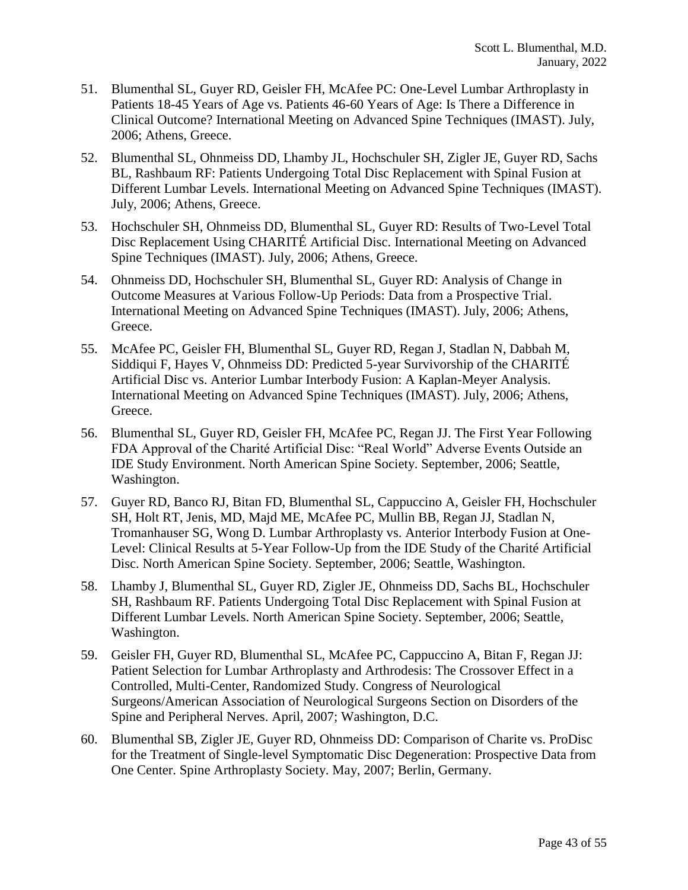- 51. Blumenthal SL, Guyer RD, Geisler FH, McAfee PC: One-Level Lumbar Arthroplasty in Patients 18-45 Years of Age vs. Patients 46-60 Years of Age: Is There a Difference in Clinical Outcome? International Meeting on Advanced Spine Techniques (IMAST). July, 2006; Athens, Greece.
- 52. Blumenthal SL, Ohnmeiss DD, Lhamby JL, Hochschuler SH, Zigler JE, Guyer RD, Sachs BL, Rashbaum RF: Patients Undergoing Total Disc Replacement with Spinal Fusion at Different Lumbar Levels. International Meeting on Advanced Spine Techniques (IMAST). July, 2006; Athens, Greece.
- 53. Hochschuler SH, Ohnmeiss DD, Blumenthal SL, Guyer RD: Results of Two-Level Total Disc Replacement Using CHARITÉ Artificial Disc. International Meeting on Advanced Spine Techniques (IMAST). July, 2006; Athens, Greece.
- 54. Ohnmeiss DD, Hochschuler SH, Blumenthal SL, Guyer RD: Analysis of Change in Outcome Measures at Various Follow-Up Periods: Data from a Prospective Trial. International Meeting on Advanced Spine Techniques (IMAST). July, 2006; Athens, Greece.
- 55. McAfee PC, Geisler FH, Blumenthal SL, Guyer RD, Regan J, Stadlan N, Dabbah M, Siddiqui F, Hayes V, Ohnmeiss DD: Predicted 5-year Survivorship of the CHARITÉ Artificial Disc vs. Anterior Lumbar Interbody Fusion: A Kaplan-Meyer Analysis. International Meeting on Advanced Spine Techniques (IMAST). July, 2006; Athens, Greece.
- 56. Blumenthal SL, Guyer RD, Geisler FH, McAfee PC, Regan JJ. The First Year Following FDA Approval of the Charité Artificial Disc: "Real World" Adverse Events Outside an IDE Study Environment. North American Spine Society. September, 2006; Seattle, Washington.
- 57. Guyer RD, Banco RJ, Bitan FD, Blumenthal SL, Cappuccino A, Geisler FH, Hochschuler SH, Holt RT, Jenis, MD, Majd ME, McAfee PC, Mullin BB, Regan JJ, Stadlan N, Tromanhauser SG, Wong D. Lumbar Arthroplasty vs. Anterior Interbody Fusion at One-Level: Clinical Results at 5-Year Follow-Up from the IDE Study of the Charité Artificial Disc. North American Spine Society. September, 2006; Seattle, Washington.
- 58. Lhamby J, Blumenthal SL, Guyer RD, Zigler JE, Ohnmeiss DD, Sachs BL, Hochschuler SH, Rashbaum RF. Patients Undergoing Total Disc Replacement with Spinal Fusion at Different Lumbar Levels. North American Spine Society. September, 2006; Seattle, Washington.
- 59. Geisler FH, Guyer RD, Blumenthal SL, McAfee PC, Cappuccino A, Bitan F, Regan JJ: Patient Selection for Lumbar Arthroplasty and Arthrodesis: The Crossover Effect in a Controlled, Multi-Center, Randomized Study. Congress of Neurological Surgeons/American Association of Neurological Surgeons Section on Disorders of the Spine and Peripheral Nerves. April, 2007; Washington, D.C.
- 60. Blumenthal SB, Zigler JE, Guyer RD, Ohnmeiss DD: Comparison of Charite vs. ProDisc for the Treatment of Single-level Symptomatic Disc Degeneration: Prospective Data from One Center. Spine Arthroplasty Society. May, 2007; Berlin, Germany.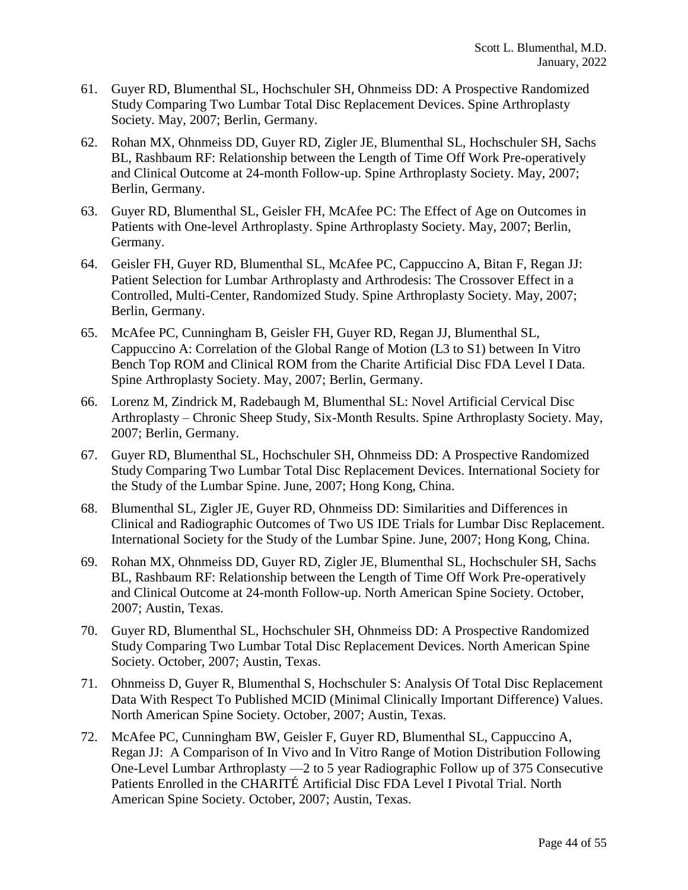- 61. Guyer RD, Blumenthal SL, Hochschuler SH, Ohnmeiss DD: A Prospective Randomized Study Comparing Two Lumbar Total Disc Replacement Devices. Spine Arthroplasty Society. May, 2007; Berlin, Germany.
- 62. Rohan MX, Ohnmeiss DD, Guyer RD, Zigler JE, Blumenthal SL, Hochschuler SH, Sachs BL, Rashbaum RF: Relationship between the Length of Time Off Work Pre-operatively and Clinical Outcome at 24-month Follow-up. Spine Arthroplasty Society. May, 2007; Berlin, Germany.
- 63. Guyer RD, Blumenthal SL, Geisler FH, McAfee PC: The Effect of Age on Outcomes in Patients with One-level Arthroplasty. Spine Arthroplasty Society. May, 2007; Berlin, Germany.
- 64. Geisler FH, Guyer RD, Blumenthal SL, McAfee PC, Cappuccino A, Bitan F, Regan JJ: Patient Selection for Lumbar Arthroplasty and Arthrodesis: The Crossover Effect in a Controlled, Multi-Center, Randomized Study. Spine Arthroplasty Society. May, 2007; Berlin, Germany.
- 65. McAfee PC, Cunningham B, Geisler FH, Guyer RD, Regan JJ, Blumenthal SL, Cappuccino A: Correlation of the Global Range of Motion (L3 to S1) between In Vitro Bench Top ROM and Clinical ROM from the Charite Artificial Disc FDA Level I Data. Spine Arthroplasty Society. May, 2007; Berlin, Germany.
- 66. Lorenz M, Zindrick M, Radebaugh M, Blumenthal SL: Novel Artificial Cervical Disc Arthroplasty – Chronic Sheep Study, Six-Month Results. Spine Arthroplasty Society. May, 2007; Berlin, Germany.
- 67. Guyer RD, Blumenthal SL, Hochschuler SH, Ohnmeiss DD: A Prospective Randomized Study Comparing Two Lumbar Total Disc Replacement Devices. International Society for the Study of the Lumbar Spine. June, 2007; Hong Kong, China.
- 68. Blumenthal SL, Zigler JE, Guyer RD, Ohnmeiss DD: Similarities and Differences in Clinical and Radiographic Outcomes of Two US IDE Trials for Lumbar Disc Replacement. International Society for the Study of the Lumbar Spine. June, 2007; Hong Kong, China.
- 69. Rohan MX, Ohnmeiss DD, Guyer RD, Zigler JE, Blumenthal SL, Hochschuler SH, Sachs BL, Rashbaum RF: Relationship between the Length of Time Off Work Pre-operatively and Clinical Outcome at 24-month Follow-up. North American Spine Society. October, 2007; Austin, Texas.
- 70. Guyer RD, Blumenthal SL, Hochschuler SH, Ohnmeiss DD: A Prospective Randomized Study Comparing Two Lumbar Total Disc Replacement Devices. North American Spine Society. October, 2007; Austin, Texas.
- 71. Ohnmeiss D, Guyer R, Blumenthal S, Hochschuler S: Analysis Of Total Disc Replacement Data With Respect To Published MCID (Minimal Clinically Important Difference) Values. North American Spine Society. October, 2007; Austin, Texas.
- 72. McAfee PC, Cunningham BW, Geisler F, Guyer RD, Blumenthal SL, Cappuccino A, Regan JJ: A Comparison of In Vivo and In Vitro Range of Motion Distribution Following One-Level Lumbar Arthroplasty —2 to 5 year Radiographic Follow up of 375 Consecutive Patients Enrolled in the CHARITÉ Artificial Disc FDA Level I Pivotal Trial. North American Spine Society. October, 2007; Austin, Texas.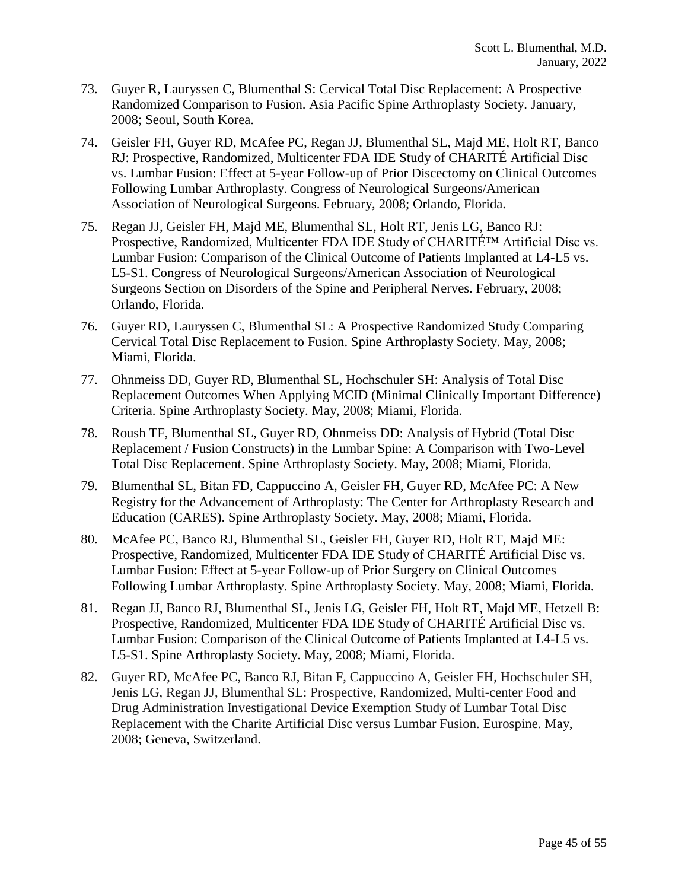- 73. Guyer R, Lauryssen C, Blumenthal S: Cervical Total Disc Replacement: A Prospective Randomized Comparison to Fusion. Asia Pacific Spine Arthroplasty Society. January, 2008; Seoul, South Korea.
- 74. Geisler FH, Guyer RD, McAfee PC, Regan JJ, Blumenthal SL, Majd ME, Holt RT, Banco RJ: Prospective, Randomized, Multicenter FDA IDE Study of CHARITÉ Artificial Disc vs. Lumbar Fusion: Effect at 5-year Follow-up of Prior Discectomy on Clinical Outcomes Following Lumbar Arthroplasty. Congress of Neurological Surgeons/American Association of Neurological Surgeons. February, 2008; Orlando, Florida.
- 75. Regan JJ, Geisler FH, Majd ME, Blumenthal SL, Holt RT, Jenis LG, Banco RJ: Prospective, Randomized, Multicenter FDA IDE Study of CHARITÉ™ Artificial Disc vs. Lumbar Fusion: Comparison of the Clinical Outcome of Patients Implanted at L4-L5 vs. L5-S1. Congress of Neurological Surgeons/American Association of Neurological Surgeons Section on Disorders of the Spine and Peripheral Nerves. February, 2008; Orlando, Florida.
- 76. Guyer RD, Lauryssen C, Blumenthal SL: A Prospective Randomized Study Comparing Cervical Total Disc Replacement to Fusion. Spine Arthroplasty Society. May, 2008; Miami, Florida.
- 77. Ohnmeiss DD, Guyer RD, Blumenthal SL, Hochschuler SH: Analysis of Total Disc Replacement Outcomes When Applying MCID (Minimal Clinically Important Difference) Criteria. Spine Arthroplasty Society. May, 2008; Miami, Florida.
- 78. Roush TF, Blumenthal SL, Guyer RD, Ohnmeiss DD: Analysis of Hybrid (Total Disc Replacement / Fusion Constructs) in the Lumbar Spine: A Comparison with Two-Level Total Disc Replacement. Spine Arthroplasty Society. May, 2008; Miami, Florida.
- 79. Blumenthal SL, Bitan FD, Cappuccino A, Geisler FH, Guyer RD, McAfee PC: A New Registry for the Advancement of Arthroplasty: The Center for Arthroplasty Research and Education (CARES). Spine Arthroplasty Society. May, 2008; Miami, Florida.
- 80. McAfee PC, Banco RJ, Blumenthal SL, Geisler FH, Guyer RD, Holt RT, Majd ME: Prospective, Randomized, Multicenter FDA IDE Study of CHARITÉ Artificial Disc vs. Lumbar Fusion: Effect at 5-year Follow-up of Prior Surgery on Clinical Outcomes Following Lumbar Arthroplasty. Spine Arthroplasty Society. May, 2008; Miami, Florida.
- 81. Regan JJ, Banco RJ, Blumenthal SL, Jenis LG, Geisler FH, Holt RT, Majd ME, Hetzell B: Prospective, Randomized, Multicenter FDA IDE Study of CHARITÉ Artificial Disc vs. Lumbar Fusion: Comparison of the Clinical Outcome of Patients Implanted at L4-L5 vs. L5-S1. Spine Arthroplasty Society. May, 2008; Miami, Florida.
- 82. Guyer RD, McAfee PC, Banco RJ, Bitan F, Cappuccino A, Geisler FH, Hochschuler SH, Jenis LG, Regan JJ, Blumenthal SL: Prospective, Randomized, Multi-center Food and Drug Administration Investigational Device Exemption Study of Lumbar Total Disc Replacement with the Charite Artificial Disc versus Lumbar Fusion. Eurospine. May, 2008; Geneva, Switzerland.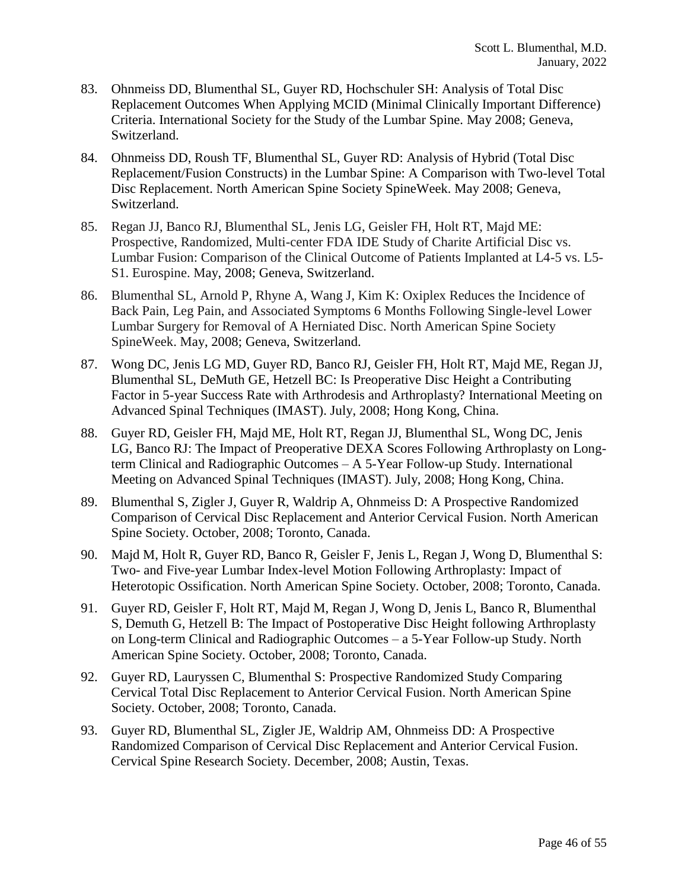- 83. Ohnmeiss DD, Blumenthal SL, Guyer RD, Hochschuler SH: Analysis of Total Disc Replacement Outcomes When Applying MCID (Minimal Clinically Important Difference) Criteria. International Society for the Study of the Lumbar Spine. May 2008; Geneva, Switzerland.
- 84. Ohnmeiss DD, Roush TF, Blumenthal SL, Guyer RD: Analysis of Hybrid (Total Disc Replacement/Fusion Constructs) in the Lumbar Spine: A Comparison with Two-level Total Disc Replacement. North American Spine Society SpineWeek. May 2008; Geneva, Switzerland.
- 85. Regan JJ, Banco RJ, Blumenthal SL, Jenis LG, Geisler FH, Holt RT, Majd ME: Prospective, Randomized, Multi-center FDA IDE Study of Charite Artificial Disc vs. Lumbar Fusion: Comparison of the Clinical Outcome of Patients Implanted at L4-5 vs. L5- S1. Eurospine. May, 2008; Geneva, Switzerland.
- 86. Blumenthal SL, Arnold P, Rhyne A, Wang J, Kim K: Oxiplex Reduces the Incidence of Back Pain, Leg Pain, and Associated Symptoms 6 Months Following Single-level Lower Lumbar Surgery for Removal of A Herniated Disc. North American Spine Society SpineWeek. May, 2008; Geneva, Switzerland.
- 87. Wong DC, Jenis LG MD, Guyer RD, Banco RJ, Geisler FH, Holt RT, Majd ME, Regan JJ, Blumenthal SL, DeMuth GE, Hetzell BC: Is Preoperative Disc Height a Contributing Factor in 5-year Success Rate with Arthrodesis and Arthroplasty? International Meeting on Advanced Spinal Techniques (IMAST). July, 2008; Hong Kong, China.
- 88. Guyer RD, Geisler FH, Majd ME, Holt RT, Regan JJ, Blumenthal SL, Wong DC, Jenis LG, Banco RJ: The Impact of Preoperative DEXA Scores Following Arthroplasty on Longterm Clinical and Radiographic Outcomes – A 5-Year Follow-up Study. International Meeting on Advanced Spinal Techniques (IMAST). July, 2008; Hong Kong, China.
- 89. Blumenthal S, Zigler J, Guyer R, Waldrip A, Ohnmeiss D: A Prospective Randomized Comparison of Cervical Disc Replacement and Anterior Cervical Fusion. North American Spine Society. October, 2008; Toronto, Canada.
- 90. Majd M, Holt R, Guyer RD, Banco R, Geisler F, Jenis L, Regan J, Wong D, Blumenthal S: Two- and Five-year Lumbar Index-level Motion Following Arthroplasty: Impact of Heterotopic Ossification. North American Spine Society. October, 2008; Toronto, Canada.
- 91. Guyer RD, Geisler F, Holt RT, Majd M, Regan J, Wong D, Jenis L, Banco R, Blumenthal S, Demuth G, Hetzell B: The Impact of Postoperative Disc Height following Arthroplasty on Long-term Clinical and Radiographic Outcomes – a 5-Year Follow-up Study. North American Spine Society. October, 2008; Toronto, Canada.
- 92. Guyer RD, Lauryssen C, Blumenthal S: Prospective Randomized Study Comparing Cervical Total Disc Replacement to Anterior Cervical Fusion. North American Spine Society. October, 2008; Toronto, Canada.
- 93. Guyer RD, Blumenthal SL, Zigler JE, Waldrip AM, Ohnmeiss DD: A Prospective Randomized Comparison of Cervical Disc Replacement and Anterior Cervical Fusion. Cervical Spine Research Society. December, 2008; Austin, Texas.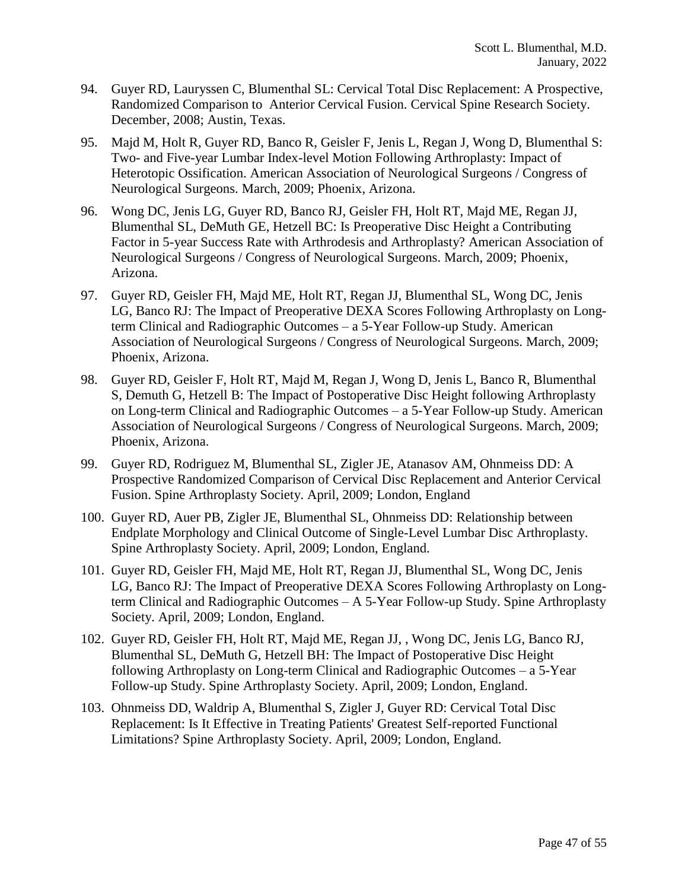- 94. Guyer RD, Lauryssen C, Blumenthal SL: Cervical Total Disc Replacement: A Prospective, Randomized Comparison to Anterior Cervical Fusion. Cervical Spine Research Society. December, 2008; Austin, Texas.
- 95. Majd M, Holt R, Guyer RD, Banco R, Geisler F, Jenis L, Regan J, Wong D, Blumenthal S: Two- and Five-year Lumbar Index-level Motion Following Arthroplasty: Impact of Heterotopic Ossification. American Association of Neurological Surgeons / Congress of Neurological Surgeons. March, 2009; Phoenix, Arizona.
- 96. Wong DC, Jenis LG, Guyer RD, Banco RJ, Geisler FH, Holt RT, Majd ME, Regan JJ, Blumenthal SL, DeMuth GE, Hetzell BC: Is Preoperative Disc Height a Contributing Factor in 5-year Success Rate with Arthrodesis and Arthroplasty? American Association of Neurological Surgeons / Congress of Neurological Surgeons. March, 2009; Phoenix, Arizona.
- 97. Guyer RD, Geisler FH, Majd ME, Holt RT, Regan JJ, Blumenthal SL, Wong DC, Jenis LG, Banco RJ: The Impact of Preoperative DEXA Scores Following Arthroplasty on Longterm Clinical and Radiographic Outcomes – a 5-Year Follow-up Study. American Association of Neurological Surgeons / Congress of Neurological Surgeons. March, 2009; Phoenix, Arizona.
- 98. Guyer RD, Geisler F, Holt RT, Majd M, Regan J, Wong D, Jenis L, Banco R, Blumenthal S, Demuth G, Hetzell B: The Impact of Postoperative Disc Height following Arthroplasty on Long-term Clinical and Radiographic Outcomes – a 5-Year Follow-up Study. American Association of Neurological Surgeons / Congress of Neurological Surgeons. March, 2009; Phoenix, Arizona.
- 99. Guyer RD, Rodriguez M, Blumenthal SL, Zigler JE, Atanasov AM, Ohnmeiss DD: A Prospective Randomized Comparison of Cervical Disc Replacement and Anterior Cervical Fusion. Spine Arthroplasty Society. April, 2009; London, England
- 100. Guyer RD, Auer PB, Zigler JE, Blumenthal SL, Ohnmeiss DD: Relationship between Endplate Morphology and Clinical Outcome of Single-Level Lumbar Disc Arthroplasty. Spine Arthroplasty Society. April, 2009; London, England.
- 101. Guyer RD, Geisler FH, Majd ME, Holt RT, Regan JJ, Blumenthal SL, Wong DC, Jenis LG, Banco RJ: The Impact of Preoperative DEXA Scores Following Arthroplasty on Longterm Clinical and Radiographic Outcomes – A 5-Year Follow-up Study. Spine Arthroplasty Society. April, 2009; London, England.
- 102. Guyer RD, Geisler FH, Holt RT, Majd ME, Regan JJ, , Wong DC, Jenis LG, Banco RJ, Blumenthal SL, DeMuth G, Hetzell BH: The Impact of Postoperative Disc Height following Arthroplasty on Long-term Clinical and Radiographic Outcomes – a 5-Year Follow-up Study. Spine Arthroplasty Society. April, 2009; London, England.
- 103. Ohnmeiss DD, Waldrip A, Blumenthal S, Zigler J, Guyer RD: Cervical Total Disc Replacement: Is It Effective in Treating Patients' Greatest Self-reported Functional Limitations? Spine Arthroplasty Society. April, 2009; London, England.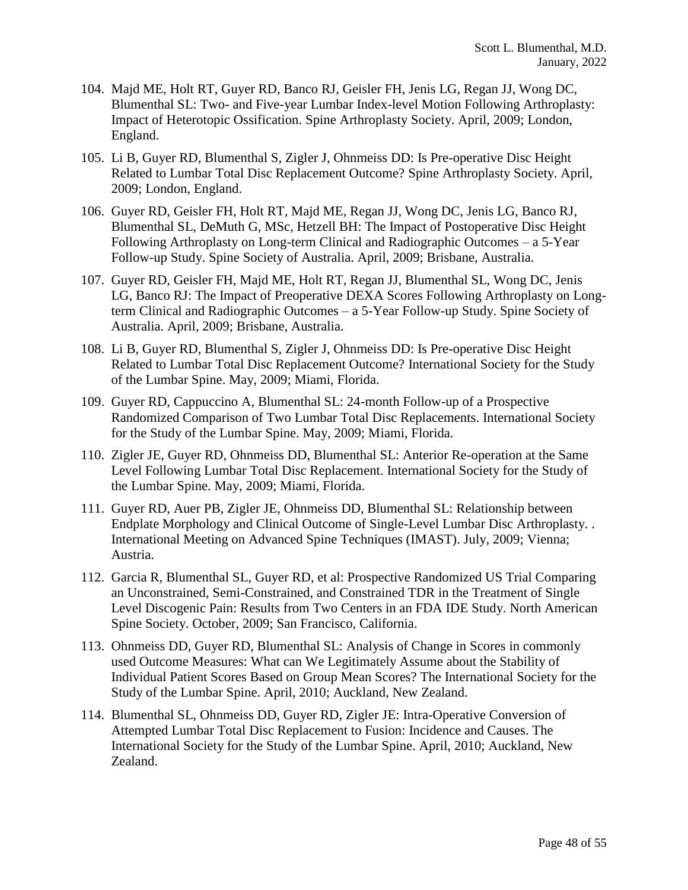- 104. Majd ME, Holt RT, Guyer RD, Banco RJ, Geisler FH, Jenis LG, Regan JJ, Wong DC, Blumenthal SL: Two- and Five-year Lumbar Index-level Motion Following Arthroplasty: Impact of Heterotopic Ossification. Spine Arthroplasty Society. April, 2009; London, England.
- 105. Li B, Guyer RD, Blumenthal S, Zigler J, Ohnmeiss DD: Is Pre-operative Disc Height Related to Lumbar Total Disc Replacement Outcome? Spine Arthroplasty Society. April, 2009; London, England.
- 106. Guyer RD, Geisler FH, Holt RT, Majd ME, Regan JJ, Wong DC, Jenis LG, Banco RJ, Blumenthal SL, DeMuth G, MSc, Hetzell BH: The Impact of Postoperative Disc Height Following Arthroplasty on Long-term Clinical and Radiographic Outcomes – a 5-Year Follow-up Study. Spine Society of Australia. April, 2009; Brisbane, Australia.
- 107. Guyer RD, Geisler FH, Majd ME, Holt RT, Regan JJ, Blumenthal SL, Wong DC, Jenis LG, Banco RJ: The Impact of Preoperative DEXA Scores Following Arthroplasty on Longterm Clinical and Radiographic Outcomes – a 5-Year Follow-up Study. Spine Society of Australia. April, 2009; Brisbane, Australia.
- 108. Li B, Guyer RD, Blumenthal S, Zigler J, Ohnmeiss DD: Is Pre-operative Disc Height Related to Lumbar Total Disc Replacement Outcome? International Society for the Study of the Lumbar Spine. May, 2009; Miami, Florida.
- 109. Guyer RD, Cappuccino A, Blumenthal SL: 24-month Follow-up of a Prospective Randomized Comparison of Two Lumbar Total Disc Replacements. International Society for the Study of the Lumbar Spine. May, 2009; Miami, Florida.
- 110. Zigler JE, Guyer RD, Ohnmeiss DD, Blumenthal SL: Anterior Re-operation at the Same Level Following Lumbar Total Disc Replacement. International Society for the Study of the Lumbar Spine. May, 2009; Miami, Florida.
- 111. Guyer RD, Auer PB, Zigler JE, Ohnmeiss DD, Blumenthal SL: Relationship between Endplate Morphology and Clinical Outcome of Single-Level Lumbar Disc Arthroplasty. . International Meeting on Advanced Spine Techniques (IMAST). July, 2009; Vienna; Austria.
- 112. Garcia R, Blumenthal SL, Guyer RD, et al: Prospective Randomized US Trial Comparing an Unconstrained, Semi-Constrained, and Constrained TDR in the Treatment of Single Level Discogenic Pain: Results from Two Centers in an FDA IDE Study. North American Spine Society. October, 2009; San Francisco, California.
- 113. Ohnmeiss DD, Guyer RD, Blumenthal SL: Analysis of Change in Scores in commonly used Outcome Measures: What can We Legitimately Assume about the Stability of Individual Patient Scores Based on Group Mean Scores? The International Society for the Study of the Lumbar Spine. April, 2010; Auckland, New Zealand.
- 114. Blumenthal SL, Ohnmeiss DD, Guyer RD, Zigler JE: Intra-Operative Conversion of Attempted Lumbar Total Disc Replacement to Fusion: Incidence and Causes. The International Society for the Study of the Lumbar Spine. April, 2010; Auckland, New Zealand.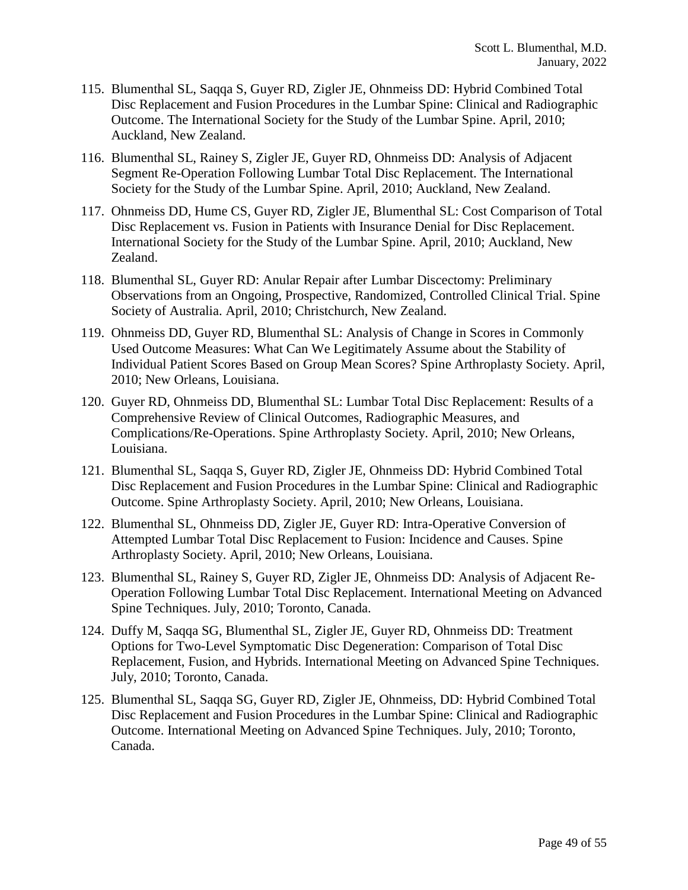- 115. Blumenthal SL, Saqqa S, Guyer RD, Zigler JE, Ohnmeiss DD: Hybrid Combined Total Disc Replacement and Fusion Procedures in the Lumbar Spine: Clinical and Radiographic Outcome. The International Society for the Study of the Lumbar Spine. April, 2010; Auckland, New Zealand.
- 116. Blumenthal SL, Rainey S, Zigler JE, Guyer RD, Ohnmeiss DD: Analysis of Adjacent Segment Re-Operation Following Lumbar Total Disc Replacement. The International Society for the Study of the Lumbar Spine. April, 2010; Auckland, New Zealand.
- 117. Ohnmeiss DD, Hume CS, Guyer RD, Zigler JE, Blumenthal SL: Cost Comparison of Total Disc Replacement vs. Fusion in Patients with Insurance Denial for Disc Replacement. International Society for the Study of the Lumbar Spine. April, 2010; Auckland, New Zealand.
- 118. Blumenthal SL, Guyer RD: Anular Repair after Lumbar Discectomy: Preliminary Observations from an Ongoing, Prospective, Randomized, Controlled Clinical Trial. Spine Society of Australia. April, 2010; Christchurch, New Zealand.
- 119. Ohnmeiss DD, Guyer RD, Blumenthal SL: Analysis of Change in Scores in Commonly Used Outcome Measures: What Can We Legitimately Assume about the Stability of Individual Patient Scores Based on Group Mean Scores? Spine Arthroplasty Society. April, 2010; New Orleans, Louisiana.
- 120. Guyer RD, Ohnmeiss DD, Blumenthal SL: Lumbar Total Disc Replacement: Results of a Comprehensive Review of Clinical Outcomes, Radiographic Measures, and Complications/Re-Operations. Spine Arthroplasty Society. April, 2010; New Orleans, Louisiana.
- 121. Blumenthal SL, Saqqa S, Guyer RD, Zigler JE, Ohnmeiss DD: Hybrid Combined Total Disc Replacement and Fusion Procedures in the Lumbar Spine: Clinical and Radiographic Outcome. Spine Arthroplasty Society. April, 2010; New Orleans, Louisiana.
- 122. Blumenthal SL, Ohnmeiss DD, Zigler JE, Guyer RD: Intra-Operative Conversion of Attempted Lumbar Total Disc Replacement to Fusion: Incidence and Causes. Spine Arthroplasty Society. April, 2010; New Orleans, Louisiana.
- 123. Blumenthal SL, Rainey S, Guyer RD, Zigler JE, Ohnmeiss DD: Analysis of Adjacent Re-Operation Following Lumbar Total Disc Replacement. International Meeting on Advanced Spine Techniques. July, 2010; Toronto, Canada.
- 124. Duffy M, Saqqa SG, Blumenthal SL, Zigler JE, Guyer RD, Ohnmeiss DD: Treatment Options for Two-Level Symptomatic Disc Degeneration: Comparison of Total Disc Replacement, Fusion, and Hybrids. International Meeting on Advanced Spine Techniques. July, 2010; Toronto, Canada.
- 125. Blumenthal SL, Saqqa SG, Guyer RD, Zigler JE, Ohnmeiss, DD: Hybrid Combined Total Disc Replacement and Fusion Procedures in the Lumbar Spine: Clinical and Radiographic Outcome. International Meeting on Advanced Spine Techniques. July, 2010; Toronto, Canada.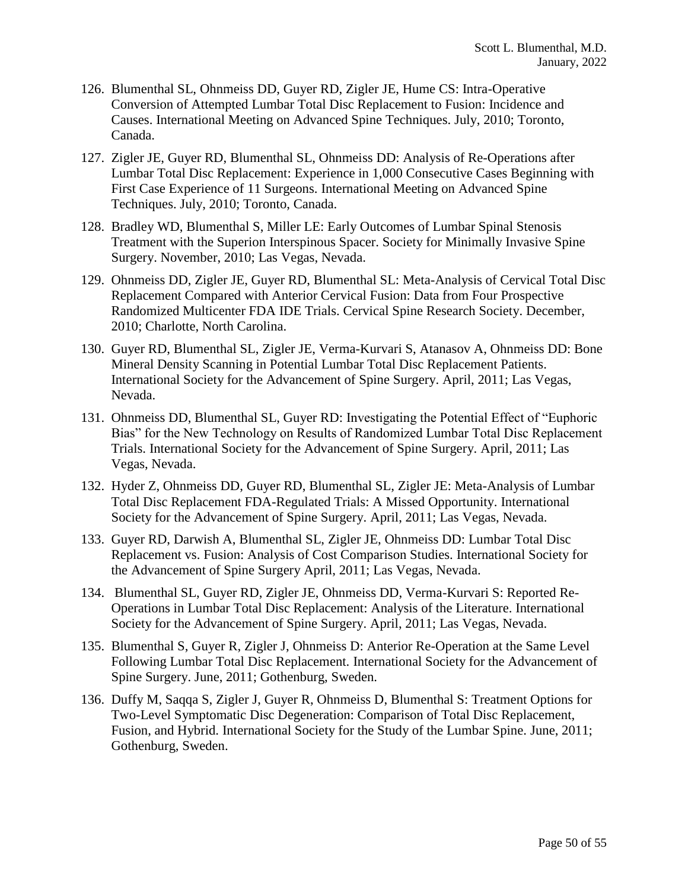- 126. Blumenthal SL, Ohnmeiss DD, Guyer RD, Zigler JE, Hume CS: Intra-Operative Conversion of Attempted Lumbar Total Disc Replacement to Fusion: Incidence and Causes. International Meeting on Advanced Spine Techniques. July, 2010; Toronto, Canada.
- 127. Zigler JE, Guyer RD, Blumenthal SL, Ohnmeiss DD: Analysis of Re-Operations after Lumbar Total Disc Replacement: Experience in 1,000 Consecutive Cases Beginning with First Case Experience of 11 Surgeons. International Meeting on Advanced Spine Techniques. July, 2010; Toronto, Canada.
- 128. Bradley WD, Blumenthal S, Miller LE: Early Outcomes of Lumbar Spinal Stenosis Treatment with the Superion Interspinous Spacer. Society for Minimally Invasive Spine Surgery. November, 2010; Las Vegas, Nevada.
- 129. Ohnmeiss DD, Zigler JE, Guyer RD, Blumenthal SL: Meta-Analysis of Cervical Total Disc Replacement Compared with Anterior Cervical Fusion: Data from Four Prospective Randomized Multicenter FDA IDE Trials. Cervical Spine Research Society. December, 2010; Charlotte, North Carolina.
- 130. Guyer RD, Blumenthal SL, Zigler JE, Verma-Kurvari S, Atanasov A, Ohnmeiss DD: Bone Mineral Density Scanning in Potential Lumbar Total Disc Replacement Patients. International Society for the Advancement of Spine Surgery. April, 2011; Las Vegas, Nevada.
- 131. Ohnmeiss DD, Blumenthal SL, Guyer RD: Investigating the Potential Effect of "Euphoric Bias" for the New Technology on Results of Randomized Lumbar Total Disc Replacement Trials. International Society for the Advancement of Spine Surgery. April, 2011; Las Vegas, Nevada.
- 132. Hyder Z, Ohnmeiss DD, Guyer RD, Blumenthal SL, Zigler JE: Meta-Analysis of Lumbar Total Disc Replacement FDA-Regulated Trials: A Missed Opportunity. International Society for the Advancement of Spine Surgery. April, 2011; Las Vegas, Nevada.
- 133. Guyer RD, Darwish A, Blumenthal SL, Zigler JE, Ohnmeiss DD: Lumbar Total Disc Replacement vs. Fusion: Analysis of Cost Comparison Studies. International Society for the Advancement of Spine Surgery April, 2011; Las Vegas, Nevada.
- 134. Blumenthal SL, Guyer RD, Zigler JE, Ohnmeiss DD, Verma-Kurvari S: Reported Re-Operations in Lumbar Total Disc Replacement: Analysis of the Literature. International Society for the Advancement of Spine Surgery. April, 2011; Las Vegas, Nevada.
- 135. Blumenthal S, Guyer R, Zigler J, Ohnmeiss D: Anterior Re-Operation at the Same Level Following Lumbar Total Disc Replacement. International Society for the Advancement of Spine Surgery. June, 2011; Gothenburg, Sweden.
- 136. Duffy M, Saqqa S, Zigler J, Guyer R, Ohnmeiss D, Blumenthal S: Treatment Options for Two-Level Symptomatic Disc Degeneration: Comparison of Total Disc Replacement, Fusion, and Hybrid. International Society for the Study of the Lumbar Spine. June, 2011; Gothenburg, Sweden.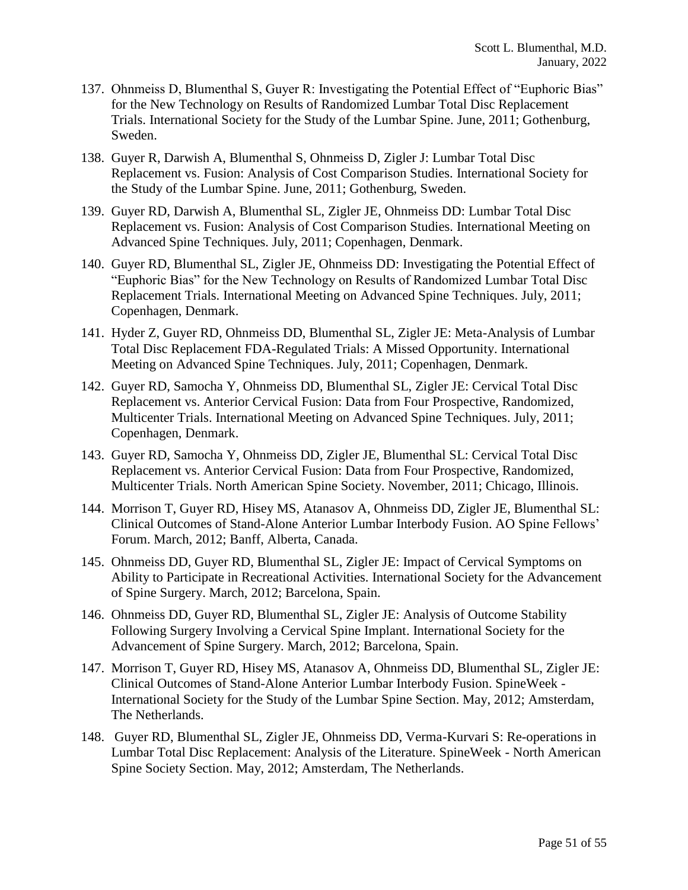- 137. Ohnmeiss D, Blumenthal S, Guyer R: Investigating the Potential Effect of "Euphoric Bias" for the New Technology on Results of Randomized Lumbar Total Disc Replacement Trials. International Society for the Study of the Lumbar Spine. June, 2011; Gothenburg, Sweden.
- 138. Guyer R, Darwish A, Blumenthal S, Ohnmeiss D, Zigler J: Lumbar Total Disc Replacement vs. Fusion: Analysis of Cost Comparison Studies. International Society for the Study of the Lumbar Spine. June, 2011; Gothenburg, Sweden.
- 139. Guyer RD, Darwish A, Blumenthal SL, Zigler JE, Ohnmeiss DD: Lumbar Total Disc Replacement vs. Fusion: Analysis of Cost Comparison Studies. International Meeting on Advanced Spine Techniques. July, 2011; Copenhagen, Denmark.
- 140. Guyer RD, Blumenthal SL, Zigler JE, Ohnmeiss DD: Investigating the Potential Effect of "Euphoric Bias" for the New Technology on Results of Randomized Lumbar Total Disc Replacement Trials. International Meeting on Advanced Spine Techniques. July, 2011; Copenhagen, Denmark.
- 141. Hyder Z, Guyer RD, Ohnmeiss DD, Blumenthal SL, Zigler JE: Meta-Analysis of Lumbar Total Disc Replacement FDA-Regulated Trials: A Missed Opportunity. International Meeting on Advanced Spine Techniques. July, 2011; Copenhagen, Denmark.
- 142. Guyer RD, Samocha Y, Ohnmeiss DD, Blumenthal SL, Zigler JE: Cervical Total Disc Replacement vs. Anterior Cervical Fusion: Data from Four Prospective, Randomized, Multicenter Trials. International Meeting on Advanced Spine Techniques. July, 2011; Copenhagen, Denmark.
- 143. Guyer RD, Samocha Y, Ohnmeiss DD, Zigler JE, Blumenthal SL: Cervical Total Disc Replacement vs. Anterior Cervical Fusion: Data from Four Prospective, Randomized, Multicenter Trials. North American Spine Society. November, 2011; Chicago, Illinois.
- 144. Morrison T, Guyer RD, Hisey MS, Atanasov A, Ohnmeiss DD, Zigler JE, Blumenthal SL: Clinical Outcomes of Stand-Alone Anterior Lumbar Interbody Fusion. AO Spine Fellows' Forum. March, 2012; Banff, Alberta, Canada.
- 145. Ohnmeiss DD, Guyer RD, Blumenthal SL, Zigler JE: Impact of Cervical Symptoms on Ability to Participate in Recreational Activities. International Society for the Advancement of Spine Surgery. March, 2012; Barcelona, Spain.
- 146. Ohnmeiss DD, Guyer RD, Blumenthal SL, Zigler JE: Analysis of Outcome Stability Following Surgery Involving a Cervical Spine Implant. International Society for the Advancement of Spine Surgery. March, 2012; Barcelona, Spain.
- 147. Morrison T, Guyer RD, Hisey MS, Atanasov A, Ohnmeiss DD, Blumenthal SL, Zigler JE: Clinical Outcomes of Stand-Alone Anterior Lumbar Interbody Fusion. SpineWeek - International Society for the Study of the Lumbar Spine Section. May, 2012; Amsterdam, The Netherlands.
- 148. Guyer RD, Blumenthal SL, Zigler JE, Ohnmeiss DD, Verma-Kurvari S: Re-operations in Lumbar Total Disc Replacement: Analysis of the Literature. SpineWeek - North American Spine Society Section. May, 2012; Amsterdam, The Netherlands.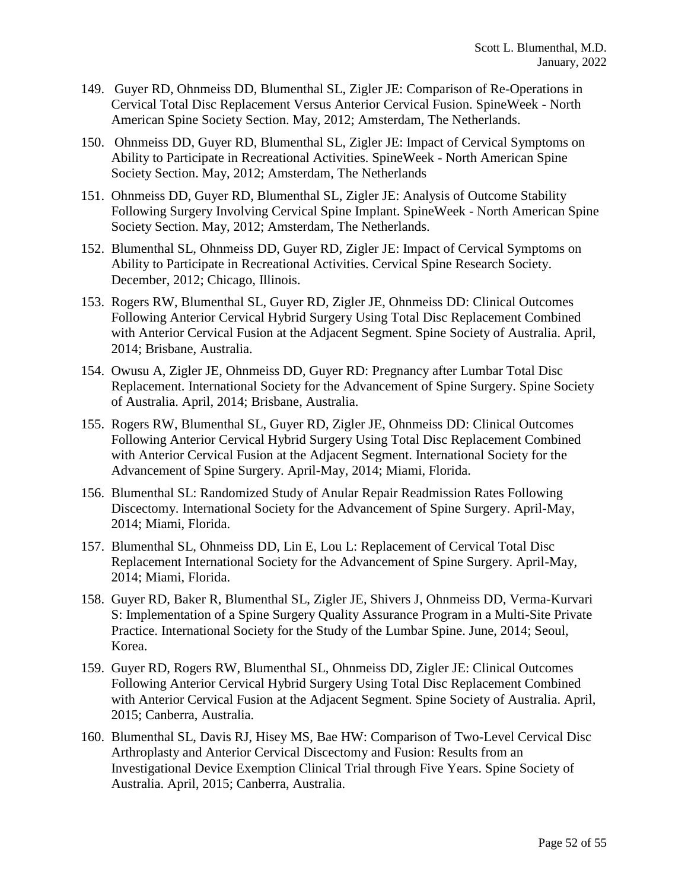- 149. Guyer RD, Ohnmeiss DD, Blumenthal SL, Zigler JE: Comparison of Re-Operations in Cervical Total Disc Replacement Versus Anterior Cervical Fusion. SpineWeek - North American Spine Society Section. May, 2012; Amsterdam, The Netherlands.
- 150. Ohnmeiss DD, Guyer RD, Blumenthal SL, Zigler JE: Impact of Cervical Symptoms on Ability to Participate in Recreational Activities. SpineWeek - North American Spine Society Section. May, 2012; Amsterdam, The Netherlands
- 151. Ohnmeiss DD, Guyer RD, Blumenthal SL, Zigler JE: Analysis of Outcome Stability Following Surgery Involving Cervical Spine Implant. SpineWeek - North American Spine Society Section. May, 2012; Amsterdam, The Netherlands.
- 152. Blumenthal SL, Ohnmeiss DD, Guyer RD, Zigler JE: Impact of Cervical Symptoms on Ability to Participate in Recreational Activities. Cervical Spine Research Society. December, 2012; Chicago, Illinois.
- 153. Rogers RW, Blumenthal SL, Guyer RD, Zigler JE, Ohnmeiss DD: Clinical Outcomes Following Anterior Cervical Hybrid Surgery Using Total Disc Replacement Combined with Anterior Cervical Fusion at the Adjacent Segment. Spine Society of Australia. April, 2014; Brisbane, Australia.
- 154. Owusu A, Zigler JE, Ohnmeiss DD, Guyer RD: Pregnancy after Lumbar Total Disc Replacement. International Society for the Advancement of Spine Surgery. Spine Society of Australia. April, 2014; Brisbane, Australia.
- 155. Rogers RW, Blumenthal SL, Guyer RD, Zigler JE, Ohnmeiss DD: Clinical Outcomes Following Anterior Cervical Hybrid Surgery Using Total Disc Replacement Combined with Anterior Cervical Fusion at the Adjacent Segment. International Society for the Advancement of Spine Surgery. April-May, 2014; Miami, Florida.
- 156. Blumenthal SL: Randomized Study of Anular Repair Readmission Rates Following Discectomy. International Society for the Advancement of Spine Surgery. April-May, 2014; Miami, Florida.
- 157. Blumenthal SL, Ohnmeiss DD, Lin E, Lou L: Replacement of Cervical Total Disc Replacement International Society for the Advancement of Spine Surgery. April-May, 2014; Miami, Florida.
- 158. Guyer RD, Baker R, Blumenthal SL, Zigler JE, Shivers J, Ohnmeiss DD, Verma-Kurvari S: Implementation of a Spine Surgery Quality Assurance Program in a Multi-Site Private Practice. International Society for the Study of the Lumbar Spine. June, 2014; Seoul, Korea.
- 159. Guyer RD, Rogers RW, Blumenthal SL, Ohnmeiss DD, Zigler JE: Clinical Outcomes Following Anterior Cervical Hybrid Surgery Using Total Disc Replacement Combined with Anterior Cervical Fusion at the Adjacent Segment. Spine Society of Australia. April, 2015; Canberra, Australia.
- 160. Blumenthal SL, Davis RJ, Hisey MS, Bae HW: Comparison of Two-Level Cervical Disc Arthroplasty and Anterior Cervical Discectomy and Fusion: Results from an Investigational Device Exemption Clinical Trial through Five Years. Spine Society of Australia. April, 2015; Canberra, Australia.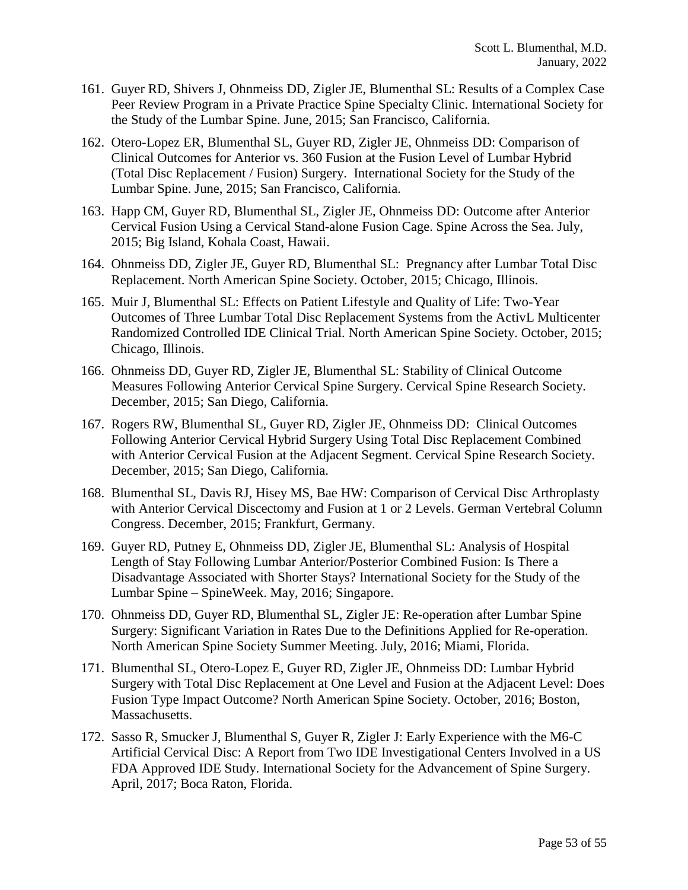- 161. Guyer RD, Shivers J, Ohnmeiss DD, Zigler JE, Blumenthal SL: Results of a Complex Case Peer Review Program in a Private Practice Spine Specialty Clinic. International Society for the Study of the Lumbar Spine. June, 2015; San Francisco, California.
- 162. Otero-Lopez ER, Blumenthal SL, Guyer RD, Zigler JE, Ohnmeiss DD: Comparison of Clinical Outcomes for Anterior vs. 360 Fusion at the Fusion Level of Lumbar Hybrid (Total Disc Replacement / Fusion) Surgery. International Society for the Study of the Lumbar Spine. June, 2015; San Francisco, California.
- 163. Happ CM, Guyer RD, Blumenthal SL, Zigler JE, Ohnmeiss DD: Outcome after Anterior Cervical Fusion Using a Cervical Stand-alone Fusion Cage. Spine Across the Sea. July, 2015; Big Island, Kohala Coast, Hawaii.
- 164. Ohnmeiss DD, Zigler JE, Guyer RD, Blumenthal SL: Pregnancy after Lumbar Total Disc Replacement. North American Spine Society. October, 2015; Chicago, Illinois.
- 165. Muir J, Blumenthal SL: Effects on Patient Lifestyle and Quality of Life: Two-Year Outcomes of Three Lumbar Total Disc Replacement Systems from the ActivL Multicenter Randomized Controlled IDE Clinical Trial. North American Spine Society. October, 2015; Chicago, Illinois.
- 166. Ohnmeiss DD, Guyer RD, Zigler JE, Blumenthal SL: Stability of Clinical Outcome Measures Following Anterior Cervical Spine Surgery. Cervical Spine Research Society. December, 2015; San Diego, California.
- 167. Rogers RW, Blumenthal SL, Guyer RD, Zigler JE, Ohnmeiss DD: Clinical Outcomes Following Anterior Cervical Hybrid Surgery Using Total Disc Replacement Combined with Anterior Cervical Fusion at the Adjacent Segment. Cervical Spine Research Society. December, 2015; San Diego, California.
- 168. Blumenthal SL, Davis RJ, Hisey MS, Bae HW: Comparison of Cervical Disc Arthroplasty with Anterior Cervical Discectomy and Fusion at 1 or 2 Levels. German Vertebral Column Congress. December, 2015; Frankfurt, Germany.
- 169. Guyer RD, Putney E, Ohnmeiss DD, Zigler JE, Blumenthal SL: Analysis of Hospital Length of Stay Following Lumbar Anterior/Posterior Combined Fusion: Is There a Disadvantage Associated with Shorter Stays? International Society for the Study of the Lumbar Spine – SpineWeek. May, 2016; Singapore.
- 170. Ohnmeiss DD, Guyer RD, Blumenthal SL, Zigler JE: Re-operation after Lumbar Spine Surgery: Significant Variation in Rates Due to the Definitions Applied for Re-operation. North American Spine Society Summer Meeting. July, 2016; Miami, Florida.
- 171. Blumenthal SL, Otero-Lopez E, Guyer RD, Zigler JE, Ohnmeiss DD: Lumbar Hybrid Surgery with Total Disc Replacement at One Level and Fusion at the Adjacent Level: Does Fusion Type Impact Outcome? North American Spine Society. October, 2016; Boston, Massachusetts.
- 172. Sasso R, Smucker J, Blumenthal S, Guyer R, Zigler J: Early Experience with the M6-C Artificial Cervical Disc: A Report from Two IDE Investigational Centers Involved in a US FDA Approved IDE Study. International Society for the Advancement of Spine Surgery. April, 2017; Boca Raton, Florida.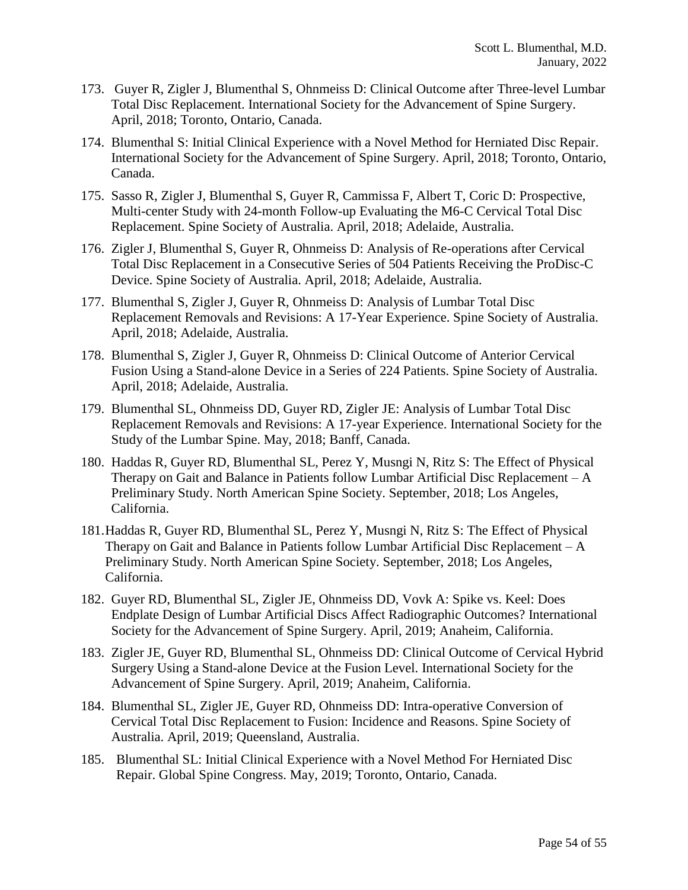- 173. Guyer R, Zigler J, Blumenthal S, Ohnmeiss D: Clinical Outcome after Three-level Lumbar Total Disc Replacement. International Society for the Advancement of Spine Surgery. April, 2018; Toronto, Ontario, Canada.
- 174. Blumenthal S: Initial Clinical Experience with a Novel Method for Herniated Disc Repair. International Society for the Advancement of Spine Surgery. April, 2018; Toronto, Ontario, Canada.
- 175. Sasso R, Zigler J, Blumenthal S, Guyer R, Cammissa F, Albert T, Coric D: Prospective, Multi-center Study with 24-month Follow-up Evaluating the M6-C Cervical Total Disc Replacement. Spine Society of Australia. April, 2018; Adelaide, Australia.
- 176. Zigler J, Blumenthal S, Guyer R, Ohnmeiss D: Analysis of Re-operations after Cervical Total Disc Replacement in a Consecutive Series of 504 Patients Receiving the ProDisc-C Device. Spine Society of Australia. April, 2018; Adelaide, Australia.
- 177. Blumenthal S, Zigler J, Guyer R, Ohnmeiss D: Analysis of Lumbar Total Disc Replacement Removals and Revisions: A 17-Year Experience. Spine Society of Australia. April, 2018; Adelaide, Australia.
- 178. Blumenthal S, Zigler J, Guyer R, Ohnmeiss D: Clinical Outcome of Anterior Cervical Fusion Using a Stand-alone Device in a Series of 224 Patients. Spine Society of Australia. April, 2018; Adelaide, Australia.
- 179. Blumenthal SL, Ohnmeiss DD, Guyer RD, Zigler JE: Analysis of Lumbar Total Disc Replacement Removals and Revisions: A 17-year Experience. International Society for the Study of the Lumbar Spine. May, 2018; Banff, Canada.
- 180. Haddas R, Guyer RD, Blumenthal SL, Perez Y, Musngi N, Ritz S: The Effect of Physical Therapy on Gait and Balance in Patients follow Lumbar Artificial Disc Replacement – A Preliminary Study. North American Spine Society. September, 2018; Los Angeles, California.
- 181.Haddas R, Guyer RD, Blumenthal SL, Perez Y, Musngi N, Ritz S: The Effect of Physical Therapy on Gait and Balance in Patients follow Lumbar Artificial Disc Replacement – A Preliminary Study. North American Spine Society. September, 2018; Los Angeles, California.
- 182. Guyer RD, Blumenthal SL, Zigler JE, Ohnmeiss DD, Vovk A: Spike vs. Keel: Does Endplate Design of Lumbar Artificial Discs Affect Radiographic Outcomes? International Society for the Advancement of Spine Surgery. April, 2019; Anaheim, California.
- 183. Zigler JE, Guyer RD, Blumenthal SL, Ohnmeiss DD: Clinical Outcome of Cervical Hybrid Surgery Using a Stand-alone Device at the Fusion Level. International Society for the Advancement of Spine Surgery. April, 2019; Anaheim, California.
- 184. Blumenthal SL, Zigler JE, Guyer RD, Ohnmeiss DD: Intra-operative Conversion of Cervical Total Disc Replacement to Fusion: Incidence and Reasons. Spine Society of Australia. April, 2019; Queensland, Australia.
- 185. Blumenthal SL: Initial Clinical Experience with a Novel Method For Herniated Disc Repair. Global Spine Congress. May, 2019; Toronto, Ontario, Canada.